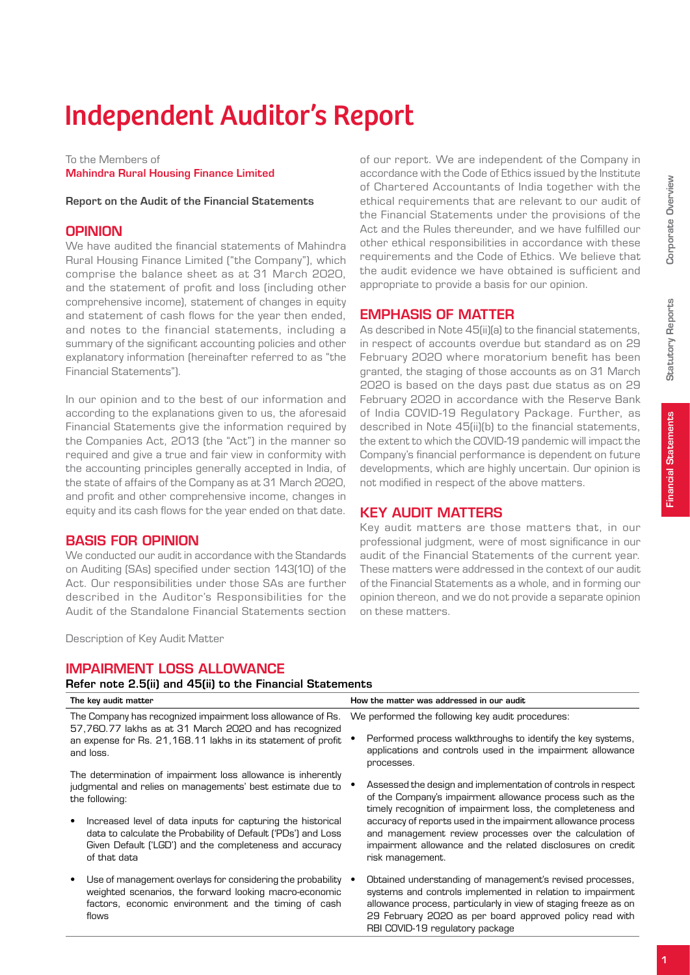# Independent Auditor's Report

# To the Members of

Mahindra Rural Housing Finance Limited

# Report on the Audit of the Financial Statements

# **OPINION**

We have audited the financial statements of Mahindra Rural Housing Finance Limited ("the Company"), which comprise the balance sheet as at 31 March 2020, and the statement of profit and loss (including other comprehensive income), statement of changes in equity and statement of cash flows for the year then ended, and notes to the financial statements, including a summary of the significant accounting policies and other explanatory information (hereinafter referred to as "the Financial Statements").

In our opinion and to the best of our information and according to the explanations given to us, the aforesaid Financial Statements give the information required by the Companies Act, 2013 (the "Act") in the manner so required and give a true and fair view in conformity with the accounting principles generally accepted in India, of the state of affairs of the Company as at 31 March 2020, and profit and other comprehensive income, changes in equity and its cash flows for the year ended on that date.

# Basis for Opinion

We conducted our audit in accordance with the Standards on Auditing (SAs) specified under section 143(10) of the Act. Our responsibilities under those SAs are further described in the Auditor's Responsibilities for the Audit of the Standalone Financial Statements section

Description of Key Audit Matter

of our report. We are independent of the Company in accordance with the Code of Ethics issued by the Institute of Chartered Accountants of India together with the ethical requirements that are relevant to our audit of the Financial Statements under the provisions of the Act and the Rules thereunder, and we have fulfilled our other ethical responsibilities in accordance with these requirements and the Code of Ethics. We believe that the audit evidence we have obtained is sufficient and appropriate to provide a basis for our opinion.

# Emphasis of matter

As described in Note 45(ii)(a) to the financial statements, in respect of accounts overdue but standard as on 29 February 2020 where moratorium benefit has been granted, the staging of those accounts as on 31 March 2020 is based on the days past due status as on 29 February 2020 in accordance with the Reserve Bank of India COVID-19 Regulatory Package. Further, as described in Note 45(ii)(b) to the financial statements, the extent to which the COVID-19 pandemic will impact the Company's financial performance is dependent on future developments, which are highly uncertain. Our opinion is not modified in respect of the above matters.

# Key Audit Matters

RBI COVID-19 regulatory package

Key audit matters are those matters that, in our professional judgment, were of most significance in our audit of the Financial Statements of the current year. These matters were addressed in the context of our audit of the Financial Statements as a whole, and in forming our opinion thereon, and we do not provide a separate opinion on these matters.

# Impairment Loss Allowance

# Refer note 2.5(ii) and 45(ii) to the Financial Statements

| The key audit matter                                                                                                                         |                                                                                                                                                                                                         |  | How the matter was addressed in our audit                                                                                                                                                                                                             |  |  |  |
|----------------------------------------------------------------------------------------------------------------------------------------------|---------------------------------------------------------------------------------------------------------------------------------------------------------------------------------------------------------|--|-------------------------------------------------------------------------------------------------------------------------------------------------------------------------------------------------------------------------------------------------------|--|--|--|
| The Company has recognized impairment loss allowance of Rs.<br>57,760.77 lakhs as at 31 March 2020 and has recognized                        |                                                                                                                                                                                                         |  | We performed the following key audit procedures:                                                                                                                                                                                                      |  |  |  |
|                                                                                                                                              | an expense for Rs. 21, 168.11 lakhs in its statement of profit<br>and loss.                                                                                                                             |  | Performed process walkthroughs to identify the key systems,<br>applications and controls used in the impairment allowance<br>processes.                                                                                                               |  |  |  |
| The determination of impairment loss allowance is inherently<br>judgmental and relies on managements' best estimate due to<br>the following: |                                                                                                                                                                                                         |  | Assessed the design and implementation of controls in respect<br>of the Company's impairment allowance process such as the<br>timely recognition of impairment loss, the completeness and                                                             |  |  |  |
| $\bullet$                                                                                                                                    | Increased level of data inputs for capturing the historical<br>data to calculate the Probability of Default ('PDs') and Loss<br>Given Default ('LGD') and the completeness and accuracy<br>of that data |  | accuracy of reports used in the impairment allowance process<br>and management review processes over the calculation of<br>impairment allowance and the related disclosures on credit<br>risk management.                                             |  |  |  |
| $\bullet$                                                                                                                                    | Use of management overlays for considering the probability<br>weighted scenarios, the forward looking macro-economic<br>factors, economic environment and the timing of cash<br>flows                   |  | Obtained understanding of management's revised processes,<br>systems and controls implemented in relation to impairment<br>allowance process, particularly in view of staging freeze as on<br>29 February 2020 as per board approved policy read with |  |  |  |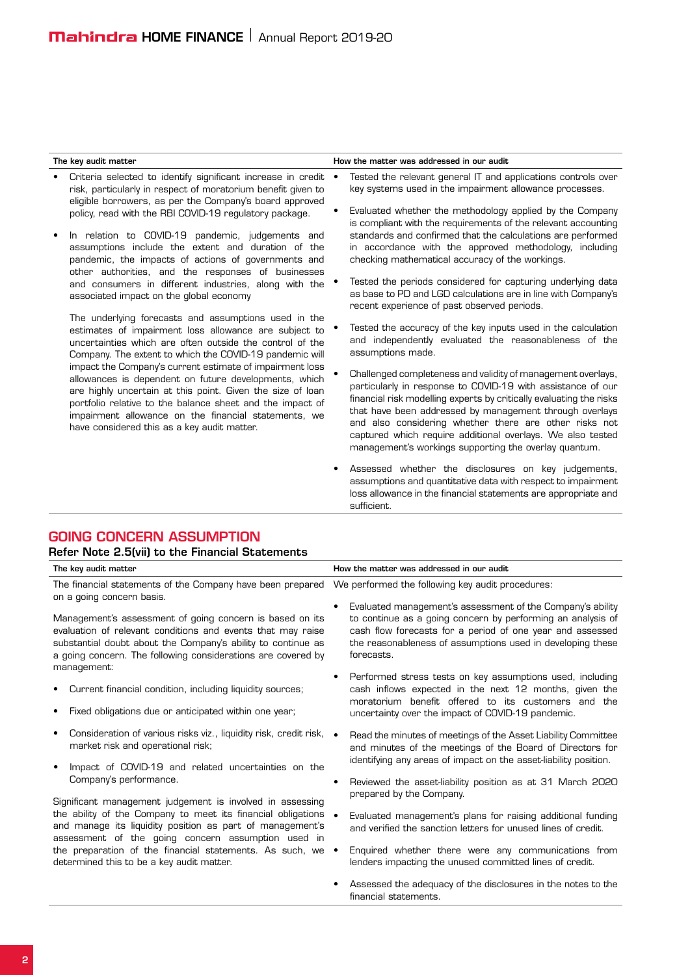| The<br>matte.<br>uan.<br>Pν<br>. | audit<br><b>OUP</b><br>was<br>10W<br>addressed<br>т.ne<br>natter .<br>. |
|----------------------------------|-------------------------------------------------------------------------|
|                                  |                                                                         |

- Criteria selected to identify significant increase in credit . risk, particularly in respect of moratorium benefit given to eligible borrowers, as per the Company's board approved policy, read with the RBI COVID-19 regulatory package.
- In relation to COVID-19 pandemic, judgements and assumptions include the extent and duration of the pandemic, the impacts of actions of governments and other authorities, and the responses of businesses and consumers in different industries, along with the associated impact on the global economy

The underlying forecasts and assumptions used in the estimates of impairment loss allowance are subject to uncertainties which are often outside the control of the Company. The extent to which the COVID-19 pandemic will impact the Company's current estimate of impairment loss allowances is dependent on future developments, which are highly uncertain at this point. Given the size of loan portfolio relative to the balance sheet and the impact of impairment allowance on the financial statements, we have considered this as a key audit matter.

- Tested the relevant general IT and applications controls over key systems used in the impairment allowance processes.
- Evaluated whether the methodology applied by the Company is compliant with the requirements of the relevant accounting standards and confirmed that the calculations are performed in accordance with the approved methodology, including checking mathematical accuracy of the workings.
- Tested the periods considered for capturing underlying data as base to PD and LGD calculations are in line with Company's recent experience of past observed periods.
- Tested the accuracy of the key inputs used in the calculation and independently evaluated the reasonableness of the assumptions made.
- Challenged completeness and validity of management overlays, particularly in response to COVID-19 with assistance of our financial risk modelling experts by critically evaluating the risks that have been addressed by management through overlays and also considering whether there are other risks not captured which require additional overlays. We also tested management's workings supporting the overlay quantum.
- Assessed whether the disclosures on key judgements, assumptions and quantitative data with respect to impairment loss allowance in the financial statements are appropriate and sufficient.

# Going Concern assumption

Refer Note 2.5(vii) to the Financial Statements

| The key audit matter                                                                                                                                                                                                                                                                 | How the matter was addressed in our audit                                                                                                                                                                                                                               |
|--------------------------------------------------------------------------------------------------------------------------------------------------------------------------------------------------------------------------------------------------------------------------------------|-------------------------------------------------------------------------------------------------------------------------------------------------------------------------------------------------------------------------------------------------------------------------|
| The financial statements of the Company have been prepared We performed the following key audit procedures:                                                                                                                                                                          |                                                                                                                                                                                                                                                                         |
| on a going concern basis.<br>Management's assessment of going concern is based on its<br>evaluation of relevant conditions and events that may raise<br>substantial doubt about the Company's ability to continue as<br>a going concern. The following considerations are covered by | Evaluated management's assessment of the Company's ability<br>٠<br>to continue as a going concern by performing an analysis of<br>cash flow forecasts for a period of one year and assessed<br>the reasonableness of assumptions used in developing these<br>forecasts. |
| management:<br>Current financial condition, including liquidity sources;                                                                                                                                                                                                             | Performed stress tests on key assumptions used, including<br>٠<br>cash inflows expected in the next 12 months, given the<br>moratorium benefit offered to its customers and the                                                                                         |
| Fixed obligations due or anticipated within one year;<br>٠                                                                                                                                                                                                                           | uncertainty over the impact of COVID-19 pandemic.                                                                                                                                                                                                                       |
| Consideration of various risks viz., liquidity risk, credit risk,<br>$\bullet$<br>market risk and operational risk;                                                                                                                                                                  | Read the minutes of meetings of the Asset Liability Committee<br>and minutes of the meetings of the Board of Directors for<br>identifying any areas of impact on the asset-liability position.                                                                          |
| Impact of COVID-19 and related uncertainties on the<br>$\bullet$<br>Company's performance.                                                                                                                                                                                           | Reviewed the asset-liability position as at 31 March 2020<br>٠                                                                                                                                                                                                          |
| Significant management judgement is involved in assessing                                                                                                                                                                                                                            | prepared by the Company.                                                                                                                                                                                                                                                |
| the ability of the Company to meet its financial obligations<br>and manage its liquidity position as part of management's<br>assessment of the going concern assumption used in                                                                                                      | Evaluated management's plans for raising additional funding<br>and verified the sanction letters for unused lines of credit.                                                                                                                                            |
| the preparation of the financial statements. As such, we<br>determined this to be a key audit matter.                                                                                                                                                                                | Enquired whether there were any communications from<br>lenders impacting the unused committed lines of credit.                                                                                                                                                          |
|                                                                                                                                                                                                                                                                                      | Assessed the adequacy of the disclosures in the notes to the<br>٠<br>financial statements.                                                                                                                                                                              |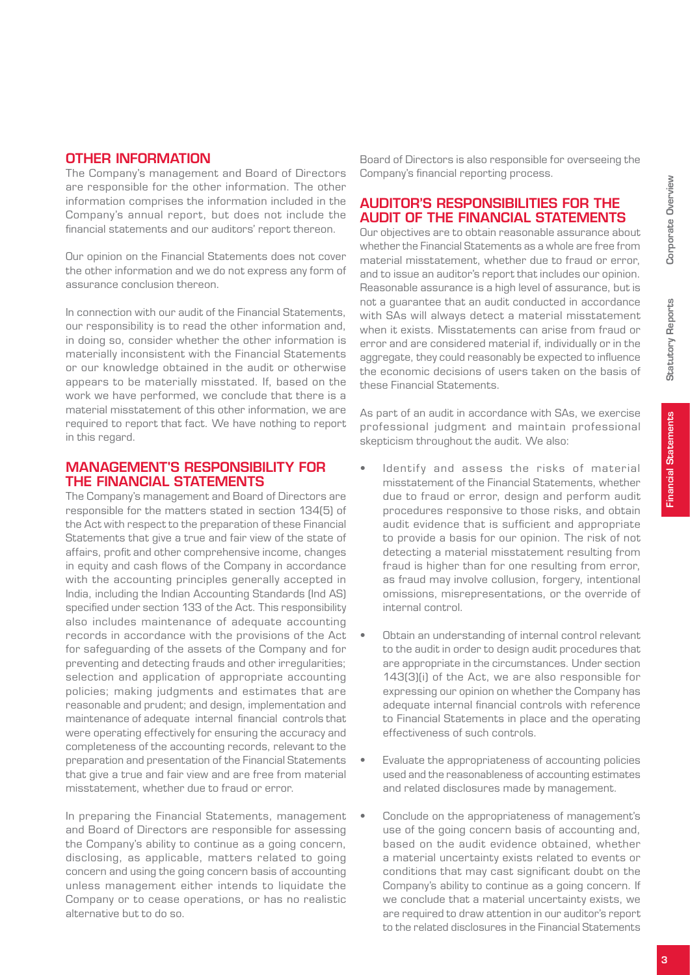# **Statutory Reports** Statutory Reports

# Other Information

The Company's management and Board of Directors are responsible for the other information. The other information comprises the information included in the Company's annual report, but does not include the financial statements and our auditors' report thereon.

Our opinion on the Financial Statements does not cover the other information and we do not express any form of assurance conclusion thereon.

In connection with our audit of the Financial Statements, our responsibility is to read the other information and, in doing so, consider whether the other information is materially inconsistent with the Financial Statements or our knowledge obtained in the audit or otherwise appears to be materially misstated. If, based on the work we have performed, we conclude that there is a material misstatement of this other information, we are required to report that fact. We have nothing to report in this regard.

### Management's Responsibility for the Financial Statements

The Company's management and Board of Directors are responsible for the matters stated in section 134(5) of the Act with respect to the preparation of these Financial Statements that give a true and fair view of the state of affairs, profit and other comprehensive income, changes in equity and cash flows of the Company in accordance with the accounting principles generally accepted in India, including the Indian Accounting Standards (Ind AS) specified under section 133 of the Act. This responsibility also includes maintenance of adequate accounting records in accordance with the provisions of the Act for safeguarding of the assets of the Company and for preventing and detecting frauds and other irregularities; selection and application of appropriate accounting policies; making judgments and estimates that are reasonable and prudent; and design, implementation and maintenance of adequate internal financial controls that were operating effectively for ensuring the accuracy and completeness of the accounting records, relevant to the preparation and presentation of the Financial Statements that give a true and fair view and are free from material misstatement, whether due to fraud or error.

In preparing the Financial Statements, management and Board of Directors are responsible for assessing the Company's ability to continue as a going concern, disclosing, as applicable, matters related to going concern and using the going concern basis of accounting unless management either intends to liquidate the Company or to cease operations, or has no realistic alternative but to do so.

Board of Directors is also responsible for overseeing the Company's financial reporting process.

# Auditor's Responsibilities for the Audit of the Financial Statements

Our objectives are to obtain reasonable assurance about whether the Financial Statements as a whole are free from material misstatement, whether due to fraud or error, and to issue an auditor's report that includes our opinion. Reasonable assurance is a high level of assurance, but is not a guarantee that an audit conducted in accordance with SAs will always detect a material misstatement when it exists. Misstatements can arise from fraud or error and are considered material if, individually or in the aggregate, they could reasonably be expected to influence the economic decisions of users taken on the basis of these Financial Statements.

As part of an audit in accordance with SAs, we exercise professional judgment and maintain professional skepticism throughout the audit. We also:

- Identify and assess the risks of material misstatement of the Financial Statements, whether due to fraud or error, design and perform audit procedures responsive to those risks, and obtain audit evidence that is sufficient and appropriate to provide a basis for our opinion. The risk of not detecting a material misstatement resulting from fraud is higher than for one resulting from error. as fraud may involve collusion, forgery, intentional omissions, misrepresentations, or the override of internal control.
- Obtain an understanding of internal control relevant to the audit in order to design audit procedures that are appropriate in the circumstances. Under section 143(3)(i) of the Act, we are also responsible for expressing our opinion on whether the Company has adequate internal financial controls with reference to Financial Statements in place and the operating effectiveness of such controls.
- Evaluate the appropriateness of accounting policies used and the reasonableness of accounting estimates and related disclosures made by management.
- Conclude on the appropriateness of management's use of the going concern basis of accounting and, based on the audit evidence obtained, whether a material uncertainty exists related to events or conditions that may cast significant doubt on the Company's ability to continue as a going concern. If we conclude that a material uncertainty exists, we are required to draw attention in our auditor's report to the related disclosures in the Financial Statements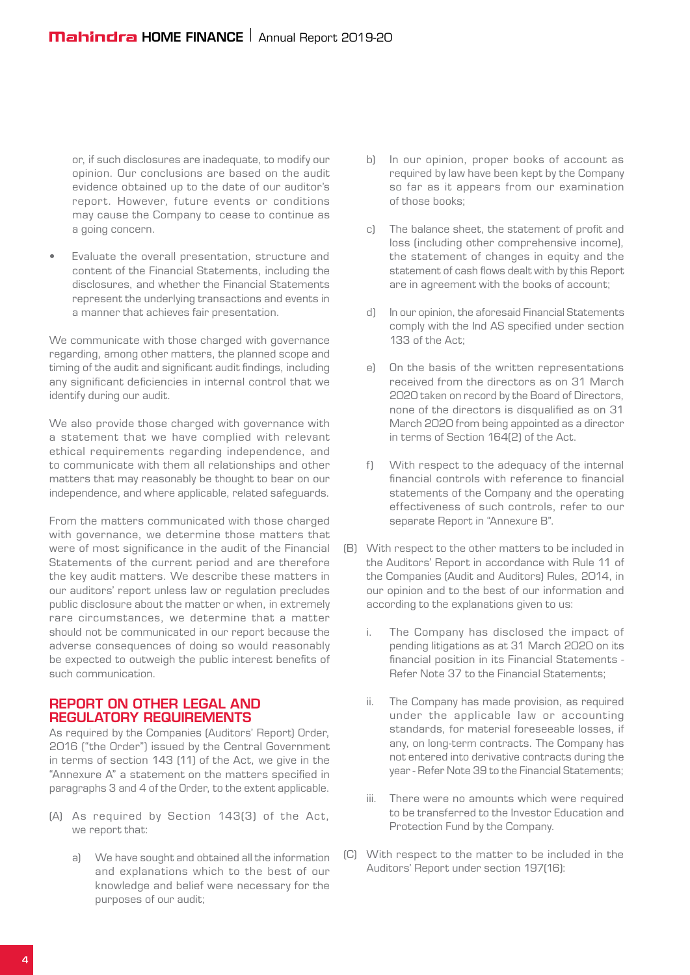or, if such disclosures are inadequate, to modify our opinion. Our conclusions are based on the audit evidence obtained up to the date of our auditor's report. However, future events or conditions may cause the Company to cease to continue as a going concern.

Evaluate the overall presentation, structure and content of the Financial Statements, including the disclosures, and whether the Financial Statements represent the underlying transactions and events in a manner that achieves fair presentation.

We communicate with those charged with governance regarding, among other matters, the planned scope and timing of the audit and significant audit findings, including any significant deficiencies in internal control that we identify during our audit.

We also provide those charged with governance with a statement that we have complied with relevant ethical requirements regarding independence, and to communicate with them all relationships and other matters that may reasonably be thought to bear on our independence, and where applicable, related safeguards.

From the matters communicated with those charged with governance, we determine those matters that were of most significance in the audit of the Financial Statements of the current period and are therefore the key audit matters. We describe these matters in our auditors' report unless law or regulation precludes public disclosure about the matter or when, in extremely rare circumstances, we determine that a matter should not be communicated in our report because the adverse consequences of doing so would reasonably be expected to outweigh the public interest benefits of such communication.

# Report on Other Legal and Regulatory Requirements

As required by the Companies (Auditors' Report) Order, 2016 ("the Order") issued by the Central Government in terms of section 143 (11) of the Act, we give in the "Annexure A" a statement on the matters specified in paragraphs 3 and 4 of the Order, to the extent applicable.

- $[A]$  As required by Section 143 $[3]$  of the Act, we report that:
	- a) We have sought and obtained all the information and explanations which to the best of our knowledge and belief were necessary for the purposes of our audit;
- In our opinion, proper books of account as required by law have been kept by the Company so far as it appears from our examination of those books;
- c) The balance sheet, the statement of profit and loss (including other comprehensive income), the statement of changes in equity and the statement of cash flows dealt with by this Report are in agreement with the books of account;
- d) In our opinion, the aforesaid Financial Statements comply with the Ind AS specified under section 133 of the Act;
- e) On the basis of the written representations received from the directors as on 31 March 2020 taken on record by the Board of Directors, none of the directors is disqualified as on 31 March 2020 from being appointed as a director in terms of Section 164(2) of the Act.
- f) With respect to the adequacy of the internal financial controls with reference to financial statements of the Company and the operating ef fectiveness of such controls, refer to our separate Report in "Annexure B".
- (B) With respect to the other matters to be included in the Auditors' Report in accordance with Rule 11 of the Companies (Audit and Auditors) Rules, 2014, in our opinion and to the best of our information and according to the explanations given to us:
	- i. The Company has disclosed the impact of pending litigations as at 31 March 2020 on its financial position in its Financial Statements - Refer Note 37 to the Financial Statements;
	- ii. The Company has made provision, as required under the applicable law or accounting standards, for material foreseeable losses, if any, on long-term contracts. The Company has not entered into derivative contracts during the year - Refer Note 39 to the Financial Statements;
	- iii. There were no amounts which were required to be transferred to the Investor Education and Protection Fund by the Company.
- (C) With respect to the matter to be included in the Auditors' Report under section 197(16):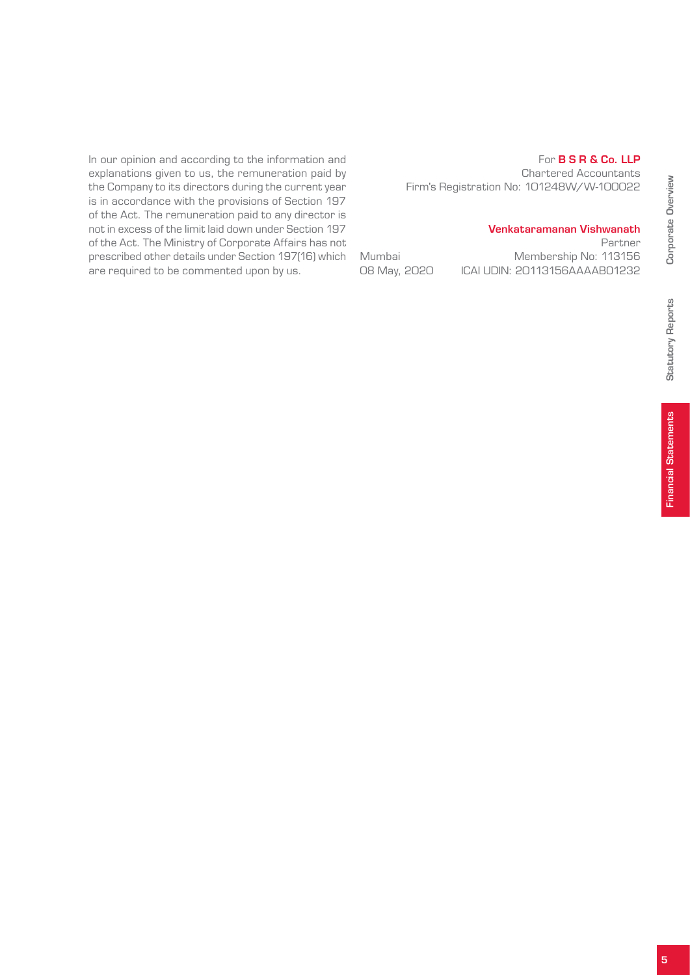In our opinion and according to the information and explanations given to us, the remuneration paid by the Company to its directors during the current year is in accordance with the provisions of Section 197 of the Act. The remuneration paid to any director is not in excess of the limit laid down under Section 197 of the Act. The Ministry of Corporate Affairs has not prescribed other details under Section 197(16) which are required to be commented upon by us.

For **B S R & Co. LLP** Chartered Accountants Firm's Registration No: 101248W/W-100022

### Venkataramanan Vishwanath

Partner Mumbai Membership No: 113156 08 May, 2020 ICAI UDIN: 20113156AAAABO1232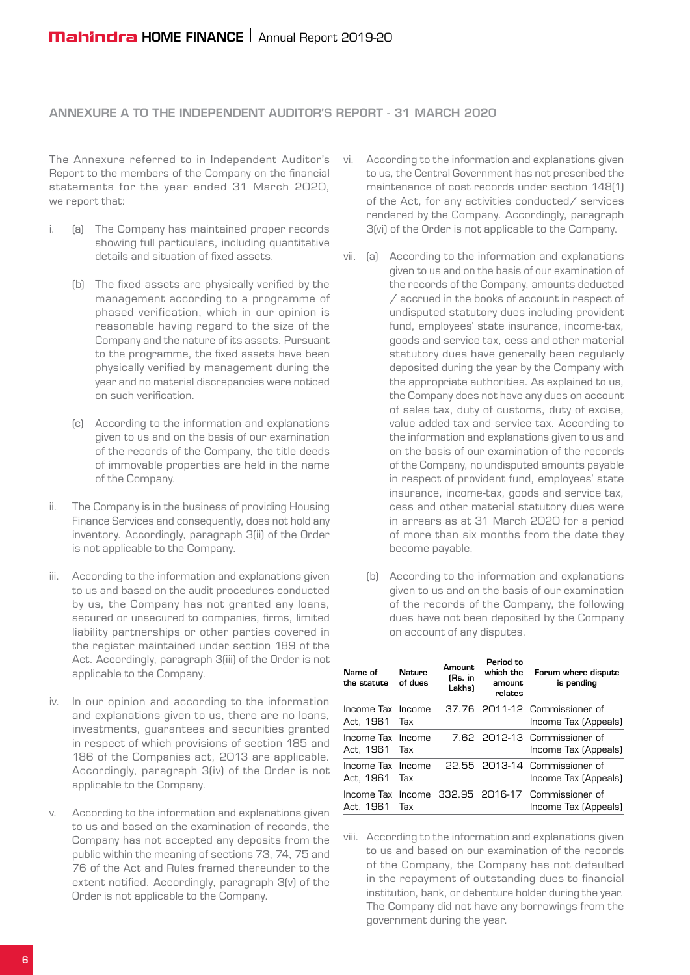#### Annexure A to the Independent Auditor's Report - 31 March 2020

The Annexure referred to in Independent Auditor's Report to the members of the Company on the financial statements for the year ended 31 March 2020, we report that:

- i. (a) The Company has maintained proper records showing full particulars, including quantitative details and situation of fixed assets.
	- (b) The fixed assets are physically verified by the management according to a programme of phased verification, which in our opinion is reasonable having regard to the size of the Company and the nature of its assets. Pursuant to the programme, the fixed assets have been physically verified by management during the year and no material discrepancies were noticed on such verification.
	- (c) According to the information and explanations given to us and on the basis of our examination of the records of the Company, the title deeds of immovable properties are held in the name of the Company.
- ii. The Company is in the business of providing Housing Finance Services and consequently, does not hold any inventory. Accordingly, paragraph 3(ii) of the Order is not applicable to the Company.
- iii. According to the information and explanations given to us and based on the audit procedures conducted by us, the Company has not granted any loans, secured or unsecured to companies, firms, limited liability partnerships or other parties covered in the register maintained under section 189 of the Act. Accordingly, paragraph 3(iii) of the Order is not applicable to the Company.
- iv. In our opinion and according to the information and explanations given to us, there are no loans, investments, guarantees and securities granted in respect of which provisions of section 185 and 186 of the Companies act, 2013 are applicable. Accordingly, paragraph 3(iv) of the Order is not applicable to the Company.
- According to the information and explanations given to us and based on the examination of records, the Company has not accepted any deposits from the public within the meaning of sections 73, 74, 75 and 76 of the Act and Rules framed thereunder to the extent notified. Accordingly, paragraph 3(v) of the Order is not applicable to the Company.
- vi. According to the information and explanations given to us, the Central Government has not prescribed the maintenance of cost records under section 148(1) of the Act, for any activities conducted/ services rendered by the Company. Accordingly, paragraph 3(vi) of the Order is not applicable to the Company.
- vii. (a) According to the information and explanations given to us and on the basis of our examination of the records of the Company, amounts deducted / accrued in the books of account in respect of undisputed statutory dues including provident fund, employees' state insurance, income-tax, goods and service tax, cess and other material statutory dues have generally been regularly deposited during the year by the Company with the appropriate authorities. As explained to us, the Company does not have any dues on account of sales tax, duty of customs, duty of excise, value added tax and service tax. According to the information and explanations given to us and on the basis of our examination of the records of the Company, no undisputed amounts payable in respect of provident fund, employees' state insurance, income-tax, goods and service tax, cess and other material statutory dues were in arrears as at 31 March 2020 for a period of more than six months from the date they become payable.
	- (b) According to the information and explanations given to us and on the basis of our examination of the records of the Company, the following dues have not been deposited by the Company on account of any disputes.

| Name of<br>the statute         | Nature<br>of dues | Amount<br>(Rs. in<br><b>Lakhs</b> | Period to<br>which the<br>amount<br>relates | Forum where dispute<br>is pending                                        |
|--------------------------------|-------------------|-----------------------------------|---------------------------------------------|--------------------------------------------------------------------------|
| Income Tax Income<br>Act, 1961 | Tax               |                                   |                                             | 37.76 2011-12 Commissioner of<br>Income Tax (Appeals)                    |
| Income Tax Income<br>Act, 1961 | Tax               |                                   |                                             | 7.62 2012-13 Commissioner of<br>Income Tax (Appeals)                     |
| Income Tax Income<br>Act. 1961 | Tax               |                                   |                                             | 22.55 2013-14 Commissioner of<br>Income Tax (Appeals)                    |
| Act, 1961                      | Tax               |                                   |                                             | Income Tax Income 332.95 2016-17 Commissioner of<br>Income Tax (Appeals) |

viii. According to the information and explanations given to us and based on our examination of the records of the Company, the Company has not defaulted in the repayment of outstanding dues to financial institution, bank, or debenture holder during the year. The Company did not have any borrowings from the government during the year.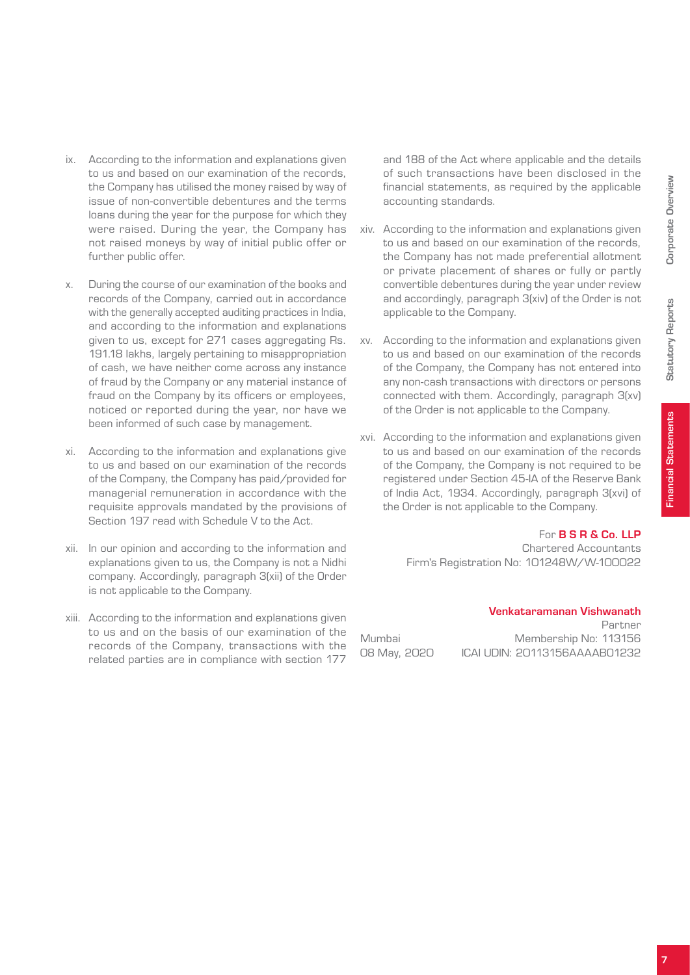Statutory Reports

**Statutory Reports** 

- ix. According to the information and explanations given to us and based on our examination of the records, the Company has utilised the money raised by way of issue of non-convertible debentures and the terms loans during the year for the purpose for which they were raised. During the year, the Company has not raised moneys by way of initial public offer or further public offer.
- x. During the course of our examination of the books and records of the Company, carried out in accordance with the generally accepted auditing practices in India, and according to the information and explanations given to us, except for 271 cases aggregating Rs. 191.18 lakhs, largely pertaining to misappropriation of cash, we have neither come across any instance of fraud by the Company or any material instance of fraud on the Company by its officers or employees, noticed or reported during the year, nor have we been informed of such case by management.
- xi. According to the information and explanations give to us and based on our examination of the records of the Company, the Company has paid/provided for managerial remuneration in accordance with the requisite approvals mandated by the provisions of Section 197 read with Schedule V to the Act.
- xii. In our opinion and according to the information and explanations given to us, the Company is not a Nidhi company. Accordingly, paragraph 3(xii) of the Order is not applicable to the Company.
- xiii. According to the information and explanations given to us and on the basis of our examination of the records of the Company, transactions with the related parties are in compliance with section 177

and 188 of the Act where applicable and the details of such transactions have been disclosed in the financial statements, as required by the applicable accounting standards.

- xiv. According to the information and explanations given to us and based on our examination of the records, the Company has not made preferential allotment or private placement of shares or fully or partly convertible debentures during the year under review and accordingly, paragraph 3(xiv) of the Order is not applicable to the Company.
- xv. According to the information and explanations given to us and based on our examination of the records of the Company, the Company has not entered into any non-cash transactions with directors or persons connected with them. Accordingly, paragraph 3(xv) of the Order is not applicable to the Company.
- xvi. According to the information and explanations given to us and based on our examination of the records of the Company, the Company is not required to be registered under Section 45-IA of the Reserve Bank of India Act, 1934. Accordingly, paragraph 3(xvi) of the Order is not applicable to the Company.

#### For **B S R & Co. LLP**

Chartered Accountants Firm's Registration No: 101248W/W-100022

#### Venkataramanan Vishwanath

|              | Partner                       |
|--------------|-------------------------------|
| Mumbai       | Membership No: 113156         |
| 08 May, 2020 | ICAI UDIN: 20113156AAAAB01232 |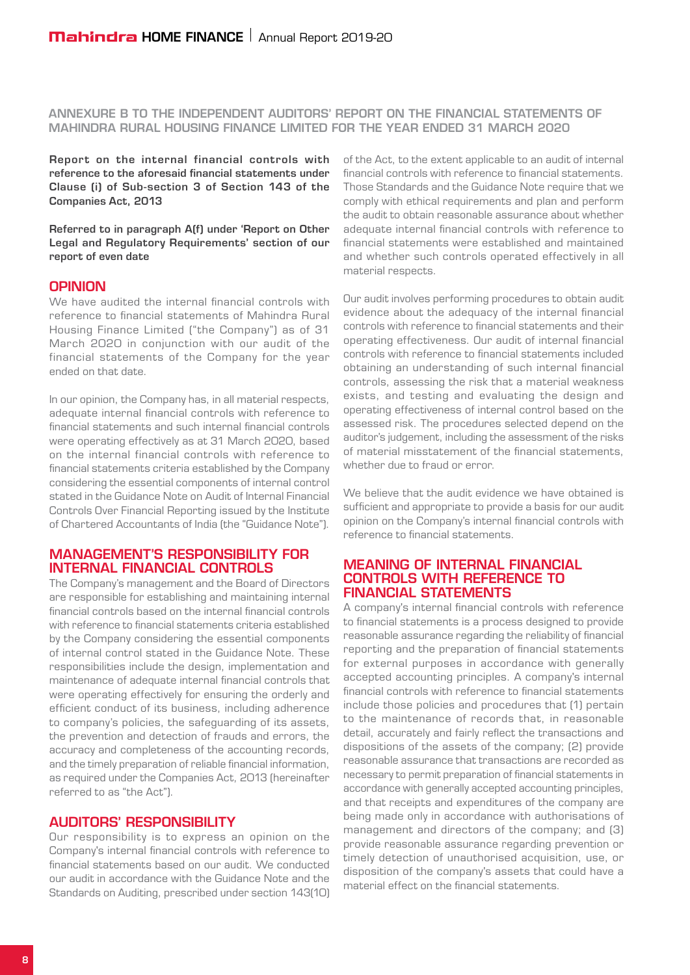#### Annexure B to the Independent Auditors' report on the financial statements of Mahindra Rural Housing Finance Limited for the year ended 31 March 2020

Report on the internal financial controls with reference to the aforesaid financial statements under Clause (i) of Sub-section 3 of Section 143 of the Companies Act, 2013

Referred to in paragraph A(f) under 'Report on Other Legal and Regulatory Requirements' section of our report of even date

### **OPINION**

We have audited the internal financial controls with reference to financial statements of Mahindra Rural Housing Finance Limited ("the Company") as of 31 March 2020 in conjunction with our audit of the financial statements of the Company for the year ended on that date.

In our opinion, the Company has, in all material respects, adequate internal financial controls with reference to financial statements and such internal financial controls were operating effectively as at 31 March 2020, based on the internal financial controls with reference to financial statements criteria established by the Company considering the essential components of internal control stated in the Guidance Note on Audit of Internal Financial Controls Over Financial Reporting issued by the Institute of Chartered Accountants of India (the "Guidance Note").

# Management's Responsibility for Internal Financial Controls

The Company's management and the Board of Directors are responsible for establishing and maintaining internal financial controls based on the internal financial controls with reference to financial statements criteria established by the Company considering the essential components of internal control stated in the Guidance Note. These responsibilities include the design, implementation and maintenance of adequate internal financial controls that were operating effectively for ensuring the orderly and efficient conduct of its business, including adherence to company's policies, the safeguarding of its assets, the prevention and detection of frauds and errors, the accuracy and completeness of the accounting records, and the timely preparation of reliable financial information, as required under the Companies Act, 2013 (hereinafter referred to as "the Act").

## Auditors' Responsibility

Our responsibility is to express an opinion on the Company's internal financial controls with reference to financial statements based on our audit. We conducted our audit in accordance with the Guidance Note and the Standards on Auditing, prescribed under section 143(10) of the Act, to the extent applicable to an audit of internal financial controls with reference to financial statements. Those Standards and the Guidance Note require that we comply with ethical requirements and plan and perform the audit to obtain reasonable assurance about whether adequate internal financial controls with reference to financial statements were established and maintained and whether such controls operated effectively in all material respects.

Our audit involves performing procedures to obtain audit evidence about the adequacy of the internal financial controls with reference to financial statements and their operating effectiveness. Our audit of internal financial controls with reference to financial statements included obtaining an understanding of such internal financial controls, assessing the risk that a material weakness exists, and testing and evaluating the design and operating effectiveness of internal control based on the assessed risk. The procedures selected depend on the auditor's judgement, including the assessment of the risks of material misstatement of the financial statements, whether due to fraud or error.

We believe that the audit evidence we have obtained is sufficient and appropriate to provide a basis for our audit opinion on the Company's internal financial controls with reference to financial statements.

### Meaning of Internal Financial controls with Reference to Financial Statements

A company's internal financial controls with reference to financial statements is a process designed to provide reasonable assurance regarding the reliability of financial reporting and the preparation of financial statements for external purposes in accordance with generally accepted accounting principles. A company's internal financial controls with reference to financial statements include those policies and procedures that (1) pertain to the maintenance of records that, in reasonable detail, accurately and fairly reflect the transactions and dispositions of the assets of the company; (2) provide reasonable assurance that transactions are recorded as necessary to permit preparation of financial statements in accordance with generally accepted accounting principles, and that receipts and expenditures of the company are being made only in accordance with authorisations of management and directors of the company; and (3) provide reasonable assurance regarding prevention or timely detection of unauthorised acquisition, use, or disposition of the company's assets that could have a material effect on the financial statements.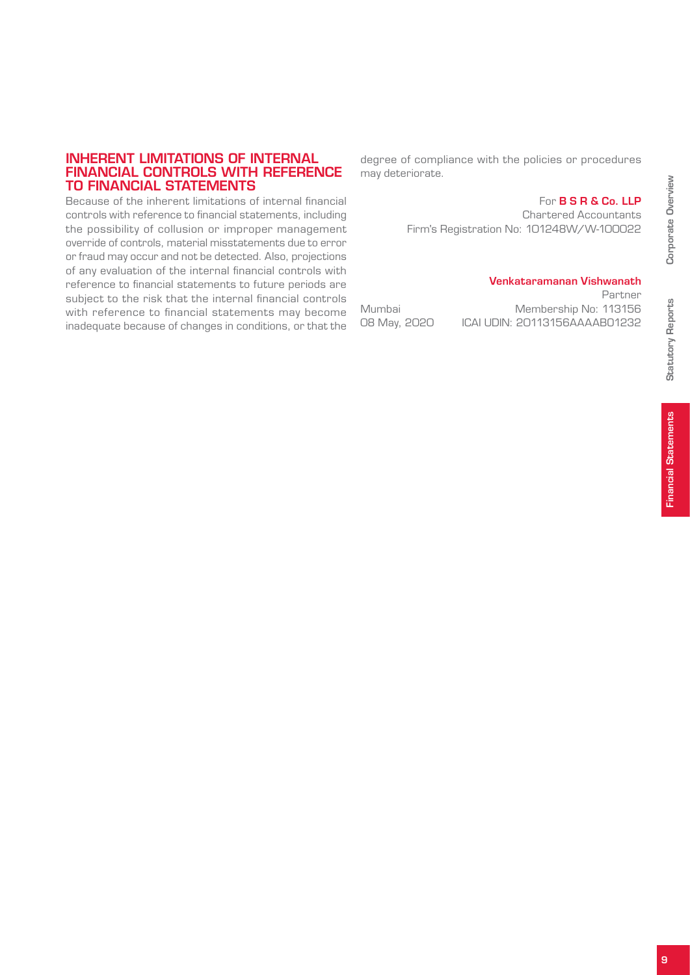### Inherent Limitations of Internal Financial controls with Reference to Financial Statements

Because of the inherent limitations of internal financial controls with reference to financial statements, including the possibility of collusion or improper management override of controls, material misstatements due to error or fraud may occur and not be detected. Also, projections of any evaluation of the internal financial controls with reference to financial statements to future periods are subject to the risk that the internal financial controls with reference to financial statements may become inadequate because of changes in conditions, or that the

degree of compliance with the policies or procedures may deteriorate.

### For **B S R & Co. LLP**

Chartered Accountants Firm's Registration No: 101248W/W-100022

#### Venkataramanan Vishwanath

Partner Mumbai Membership No: 113156 08 May, 2020 ICAI UDIN: 20113156AAAABO1232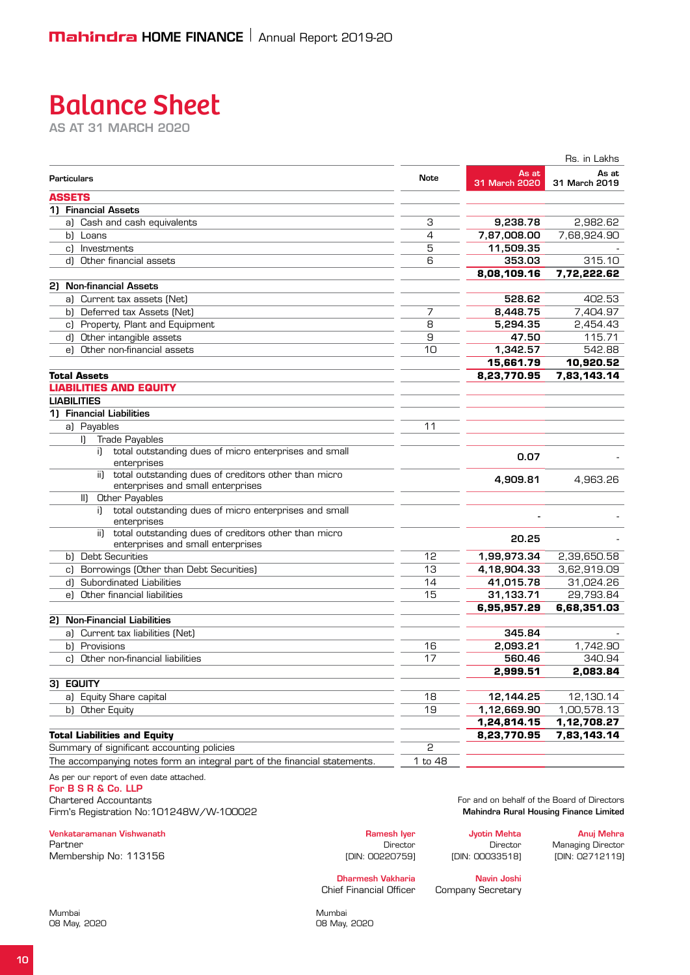# Balance Sheet

as at 31 March 2020

|                                                                                               |                |                        | Rs. in Lakhs           |
|-----------------------------------------------------------------------------------------------|----------------|------------------------|------------------------|
| <b>Particulars</b>                                                                            | <b>Note</b>    | As at<br>31 March 2020 | As at<br>31 March 2019 |
| <b>ASSETS</b>                                                                                 |                |                        |                        |
| 1) Financial Assets                                                                           |                |                        |                        |
| a) Cash and cash equivalents                                                                  | З              | 9,238.78               | 2,982.62               |
| b) Loans                                                                                      | $\overline{4}$ | 7,87,008.00            | 7,68,924.90            |
| c) Investments                                                                                | 5              | 11,509.35              |                        |
| Other financial assets<br>d)                                                                  | 6              | 353.03                 | 315.10                 |
|                                                                                               |                | 8,08,109.16            | 7,72,222.62            |
| 2) Non-financial Assets                                                                       |                |                        |                        |
| a) Current tax assets (Net)                                                                   |                | 528.62                 | 402.53                 |
| b) Deferred tax Assets (Net)                                                                  | 7              | 8,448.75               | 7,404.97               |
| c) Property, Plant and Equipment                                                              | 8              | 5,294.35               | 2,454.43               |
| d) Other intangible assets                                                                    | 9              | 47.50                  | 115.71                 |
| e) Other non-financial assets                                                                 | 10             | 1,342.57               | 542.88                 |
|                                                                                               |                | 15,661.79              | 10,920.52              |
| <b>Total Assets</b>                                                                           |                | 8,23,770.95            | 7,83,143.14            |
| <b>LIABILITIES AND EQUITY</b>                                                                 |                |                        |                        |
| <b>LIABILITIES</b>                                                                            |                |                        |                        |
| 1) Financial Liabilities                                                                      |                |                        |                        |
| a) Payables                                                                                   | 11             |                        |                        |
| <b>Trade Payables</b><br>n                                                                    |                |                        |                        |
| total outstanding dues of micro enterprises and small<br>i).<br>enterprises                   |                | 0.07                   |                        |
| ii) total outstanding dues of creditors other than micro<br>enterprises and small enterprises |                | 4,909.81               | 4,963.26               |
| Other Payables<br>$\mathbb{I}$                                                                |                |                        |                        |
| total outstanding dues of micro enterprises and small<br>i1.<br>enterprises                   |                |                        |                        |
| ii) total outstanding dues of creditors other than micro<br>enterprises and small enterprises |                | 20.25                  |                        |
| <b>Debt Securities</b><br>bì                                                                  | 12             | 1,99,973.34            | 2,39,650.58            |
| Borrowings (Other than Debt Securities)<br>c)                                                 | 13             | 4,18,904.33            | 3,62,919.09            |
| d) Subordinated Liabilities                                                                   | 14             | 41,015.78              | 31,024.26              |
| Other financial liabilities<br>e)                                                             | 15             | 31,133.71              | 29,793.84              |
|                                                                                               |                | 6,95,957.29            | 6,68,351.03            |
| 2) Non-Financial Liabilities                                                                  |                |                        |                        |
| a) Current tax liabilities (Net)                                                              |                | 345.84                 |                        |
| b) Provisions                                                                                 | 16             | 2,093.21               | 1,742.90               |
| c) Other non-financial liabilities                                                            | 17             | 560.46                 | 340.94                 |
|                                                                                               |                | 2,999.51               | 2,083.84               |
| 3) EQUITY                                                                                     |                |                        |                        |
| a) Equity Share capital                                                                       | 18             | 12,144.25              | 12,130.14              |
| b) Other Equity                                                                               | 19             | 1,12,669.90            | 1,00,578.13            |
|                                                                                               |                | 1,24,814.15            | 1,12,708.27            |
| <b>Total Liabilities and Equity</b>                                                           |                | 8,23,770.95            | 7,83,143.14            |
| Summary of significant accounting policies                                                    | 2              |                        |                        |
| The accompanying notes form an integral part of the financial statements.                     | 1 to 48        |                        |                        |

As per our report of even date attached.

#### For B S R & Co. LLP

#### Venkataramanan Vishwanath Ramesh Iyer Jyotin Mehta Anuj Mehra

Membership No: 113156

Dharmesh Vakharia Navin Joshi

Chartered Accountants **For and Accountants** For and on behalf of the Board of Directors Firm's Registration No:101248W/W-100022 Mahindra Rural Housing Finance Limited

Partner Director Director Managing Director

Chief Financial Officer Company Secretary

08 May, 2020

Mumbai Mumbai (1992)<br>1999 - May, 2020 May, 2020 May, 2020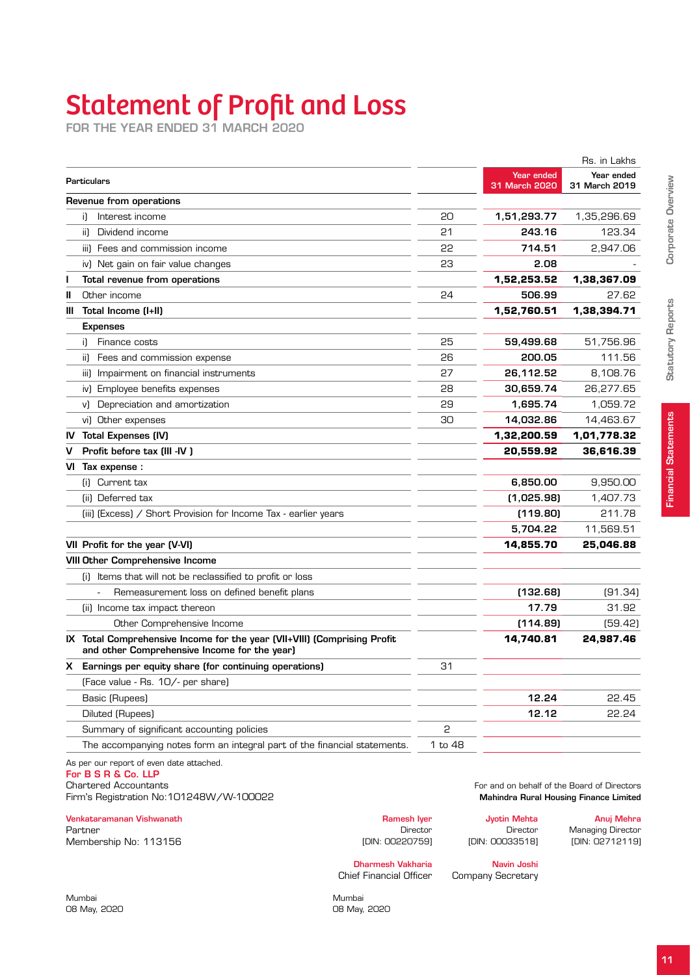# Statement of Profit and Loss

for the year ended 31 March 2020

|   |                                                                                                                          |         |                             | Rs. in Lakhs                |
|---|--------------------------------------------------------------------------------------------------------------------------|---------|-----------------------------|-----------------------------|
|   | <b>Particulars</b>                                                                                                       |         | Year ended<br>31 March 2020 | Year ended<br>31 March 2019 |
|   | Revenue from operations                                                                                                  |         |                             |                             |
|   | Interest income<br>i1.                                                                                                   | 20      | 1,51,293.77                 | 1,35,296.69                 |
|   | ii)<br>Dividend income                                                                                                   | 21      | 243.16                      | 123.34                      |
|   | iii) Fees and commission income                                                                                          | 55      | 714.51                      | 2,947.06                    |
|   | iv) Net gain on fair value changes                                                                                       | 23      | 2.08                        |                             |
| т | Total revenue from operations                                                                                            |         | 1,52,253.52                 | 1,38,367.09                 |
| Ш | Other income                                                                                                             | 24      | 506.99                      | 27.62                       |
| Ш | Total Income (I+II)                                                                                                      |         | 1,52,760.51                 | 1,38,394.71                 |
|   | <b>Expenses</b>                                                                                                          |         |                             |                             |
|   | i) Finance costs                                                                                                         | 25      | 59,499.68                   | 51,756.96                   |
|   | ii) Fees and commission expense                                                                                          | 26      | 200.05                      | 111.56                      |
|   | iii) Impairment on financial instruments                                                                                 | 27      | 26,112.52                   | 8,108.76                    |
|   | iv) Employee benefits expenses                                                                                           | 28      | 30,659.74                   | 26,277.65                   |
|   | Depreciation and amortization<br>v)                                                                                      | 29      | 1,695.74                    | 1,059.72                    |
|   | vi) Other expenses                                                                                                       | 30      | 14,032.86                   | 14,463.67                   |
|   | <b>IV</b> Total Expenses (IV)                                                                                            |         | 1,32,200.59                 | 1,01,778.32                 |
| v | Profit before tax (III -IV)                                                                                              |         | 20,559.92                   | 36,616.39                   |
|   | VI Tax expense :                                                                                                         |         |                             |                             |
|   | (i) Current tax                                                                                                          |         | 6,850.00                    | 9,950.00                    |
|   | (ii) Deferred tax                                                                                                        |         | (1,025.98)                  | 1,407.73                    |
|   | (iii) (Excess) / Short Provision for Income Tax - earlier years                                                          |         | (119.80)                    | 211.78                      |
|   |                                                                                                                          |         | 5,704.22                    | 11,569.51                   |
|   | VII Profit for the year (V-VI)                                                                                           |         | 14,855.70                   | 25,046.88                   |
|   | <b>VIII Other Comprehensive Income</b>                                                                                   |         |                             |                             |
|   | (i) Items that will not be reclassified to profit or loss                                                                |         |                             |                             |
|   | Remeasurement loss on defined benefit plans                                                                              |         | (132.68)                    | (91.34)                     |
|   | (ii) Income tax impact thereon                                                                                           |         | 17.79                       | 31.92                       |
|   | Other Comprehensive Income                                                                                               |         | (114.89)                    | (59.42)                     |
|   | IX Total Comprehensive Income for the year (VII+VIII) (Comprising Profit<br>and other Comprehensive Income for the year) |         | 14,740.81                   | 24,987.46                   |
|   | X Earnings per equity share (for continuing operations)                                                                  | 31      |                             |                             |
|   | (Face value - Rs. 10/- per share)                                                                                        |         |                             |                             |
|   | Basic (Rupees)                                                                                                           |         | 12.24                       | 22.45                       |
|   | Diluted (Rupees)                                                                                                         |         | 12.12                       | 22.24                       |
|   | Summary of significant accounting policies                                                                               | 5       |                             |                             |
|   | The accompanying notes form an integral part of the financial statements.                                                | 1 to 48 |                             |                             |

As per our report of even date attached.

#### For B S R & Co. LLP

Chartered Accountants<br>
For and on behalf of the Board of Directors<br>
Firm's Registration No:101248W/W-100022 Firm's Registration No:101248W/W-100022

Venkataramanan Vishwanath Ramesh Iyer Jyotin Mehta Anuj Mehra Partner Director Director Managing Director Membership No: 113156

Dharmesh Vakharia Navin Joshi Chief Financial Officer Company Secretary

Mumbai Mumbai 08 May, 2020 **08 May, 2020**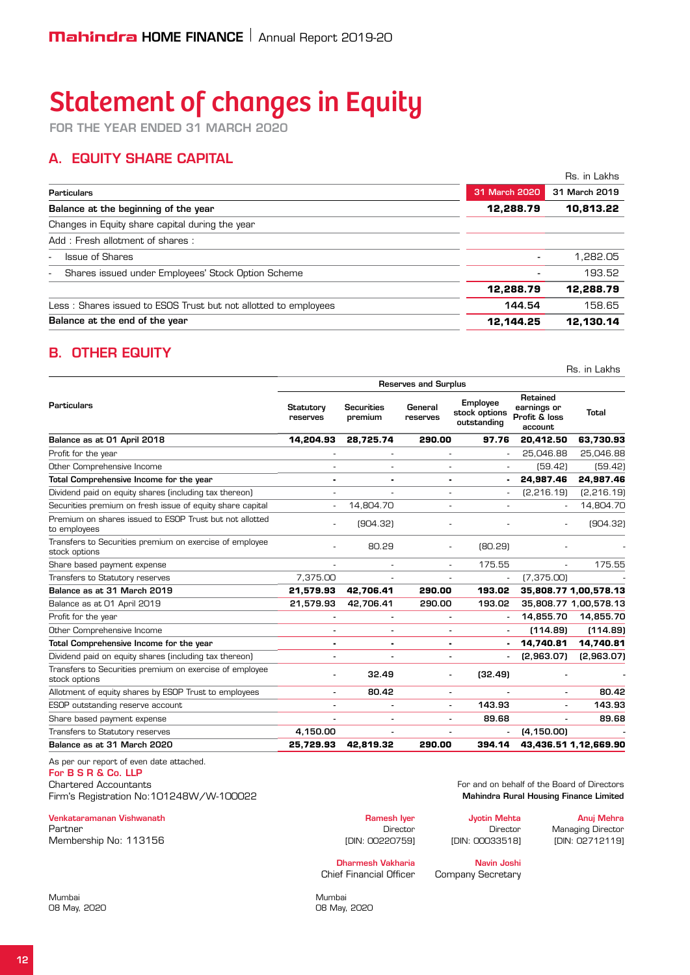# Statement of changes in Equity

for the year ended 31 March 2020

# A. Equity share capital

|                                                                                |               | Rs. in Lakhs  |
|--------------------------------------------------------------------------------|---------------|---------------|
| <b>Particulars</b>                                                             | 31 March 2020 | 31 March 2019 |
| Balance at the beginning of the year                                           | 12,288.79     | 10,813.22     |
| Changes in Equity share capital during the year                                |               |               |
| Add: Fresh allotment of shares:                                                |               |               |
| <b>Issue of Shares</b><br>$\overline{a}$                                       |               | 1,282.05      |
| Shares issued under Employees' Stock Option Scheme<br>$\overline{\phantom{0}}$ |               | 193.52        |
|                                                                                | 12,288.79     | 12,288.79     |
| Less: Shares issued to ESOS Trust but not allotted to employees                | 144.54        | 158.65        |
| Balance at the end of the year                                                 | 12,144.25     | 12,130.14     |

# B. Other Equity

|                                                                          |                              |                              |                     |                                          |                                                     | Rs. in Lakhs          |
|--------------------------------------------------------------------------|------------------------------|------------------------------|---------------------|------------------------------------------|-----------------------------------------------------|-----------------------|
| <b>Reserves and Surplus</b>                                              |                              |                              |                     |                                          |                                                     |                       |
| <b>Particulars</b>                                                       | <b>Statutory</b><br>reserves | <b>Securities</b><br>premium | General<br>reserves | Employee<br>stock options<br>outstanding | Retained<br>earnings or<br>Profit & loss<br>account | <b>Total</b>          |
| Balance as at 01 April 2018                                              | 14.204.93                    | 28,725.74                    | 290.00              | 97.76                                    | 20.412.50                                           | 63,730.93             |
| Profit for the year                                                      |                              |                              |                     |                                          | 25.046.88                                           | 25.046.88             |
| Other Comprehensive Income                                               |                              |                              |                     |                                          | [59.42]                                             | (59.42)               |
| Total Comprehensive Income for the year                                  | ٠                            | ٠                            |                     |                                          | 24,987.46                                           | 24,987.46             |
| Dividend paid on equity shares (including tax thereon)                   |                              |                              |                     |                                          | [2, 216.19]                                         | [2, 216.19]           |
| Securities premium on fresh issue of equity share capital                |                              | 14.804.70                    |                     | $\sim$                                   |                                                     | 14.804.70             |
| Premium on shares issued to ESOP Trust but not allotted<br>to employees  |                              | [904.32]                     |                     |                                          |                                                     | [904.32]              |
| Transfers to Securities premium on exercise of employee<br>stock options |                              | 80.29                        |                     | (80.29)                                  |                                                     |                       |
| Share based payment expense                                              |                              |                              |                     | 175.55                                   |                                                     | 175.55                |
| Transfers to Statutory reserves                                          | 7,375.00                     |                              |                     | $\sim$                                   | (7, 375.00)                                         |                       |
| Balance as at 31 March 2019                                              | 21,579.93                    | 42,706.41                    | 290.00              | 193.02                                   |                                                     | 35,808.77 1,00,578.13 |
| Balance as at 01 April 2019                                              | 21,579.93                    | 42.706.41                    | 290.00              | 193.02                                   |                                                     | 35,808.77 1,00,578.13 |
| Profit for the year                                                      |                              |                              |                     |                                          | 14.855.70                                           | 14,855.70             |
| Other Comprehensive Income                                               |                              |                              |                     | $\blacksquare$                           | (114.89)                                            | (114.89)              |
| Total Comprehensive Income for the year                                  |                              |                              |                     |                                          | 14,740.81                                           | 14,740.81             |
| Dividend paid on equity shares (including tax thereon)                   |                              | $\overline{a}$               |                     | $\blacksquare$                           | (2,963.07)                                          | (2,963.07)            |
| Transfers to Securities premium on exercise of employee<br>stock options |                              | 32.49                        |                     | (32.49)                                  |                                                     |                       |
| Allotment of equity shares by ESOP Trust to employees                    | $\blacksquare$               | 80.42                        | ٠                   |                                          | $\blacksquare$                                      | 80.42                 |
| ESOP outstanding reserve account                                         |                              |                              |                     | 143.93                                   |                                                     | 143.93                |
| Share based payment expense                                              |                              | ٠                            | $\blacksquare$      | 89.68                                    |                                                     | 89.68                 |
| Transfers to Statutory reserves                                          | 4.150.00                     |                              |                     |                                          | (4.150.00)                                          |                       |
| Balance as at 31 March 2020                                              | 25.729.93                    | 42.819.32                    | 290.00              | 394.14                                   |                                                     | 43,436.51 1,12,669.90 |

As per our report of even date attached.

For **B S R & Co. LLP**<br>Chartered Accountants

Firm's Registration No:101248W/W-100022 **Mahindra Rural Housing Finance Limited** 

### Venkataramanan Vishwanath Ramesh Iyer Jyotin Mehta Anuj Mehra

Partner Director Director Managing Director Membership No: 113156

For and on behalf of the Board of Directors

Dharmesh Vakharia Navin Joshi

Chief Financial Officer Company Secretary

Mumbai Mumbai

08 May, 2020 08 May, 2020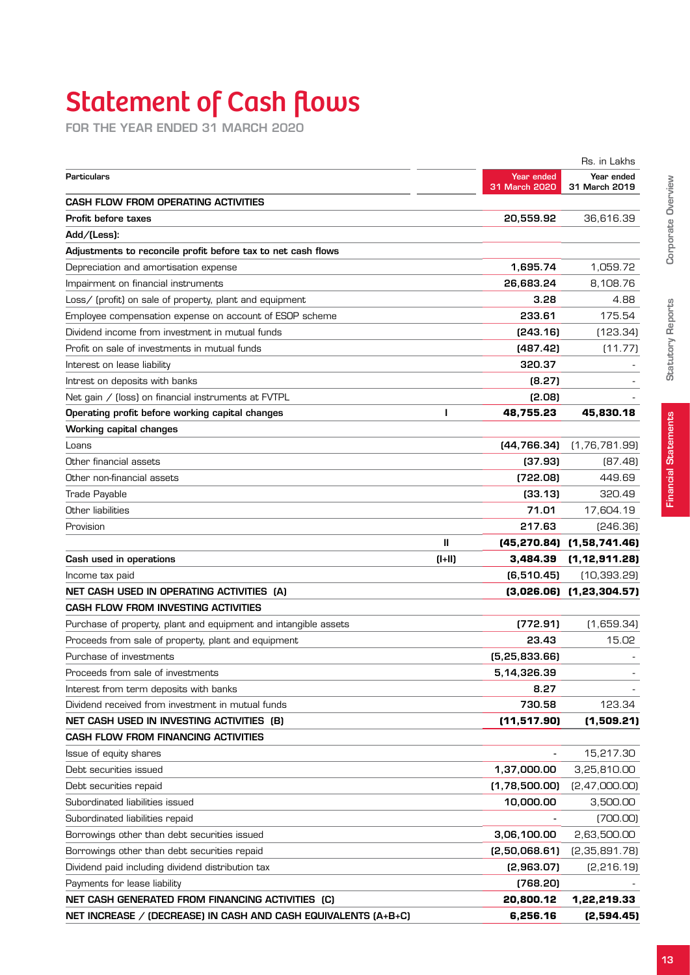# Statement of Cash flows

for the year ended 31 March 2020

|                                                                 |           |                             | Rs. in Lakhs                     |
|-----------------------------------------------------------------|-----------|-----------------------------|----------------------------------|
| <b>Particulars</b>                                              |           | Year ended<br>31 March 2020 | Year ended<br>31 March 2019      |
| CASH FLOW FROM OPERATING ACTIVITIES                             |           |                             |                                  |
| Profit before taxes                                             |           | 20,559.92                   | 36,616.39                        |
| Add/(Less):                                                     |           |                             |                                  |
| Adjustments to reconcile profit before tax to net cash flows    |           |                             |                                  |
| Depreciation and amortisation expense                           |           | 1,695.74                    | 1,059.72                         |
| Impairment on financial instruments                             |           | 26,683.24                   | 8,108.76                         |
| Loss/ (profit) on sale of property, plant and equipment         |           | 3.28                        | 4.88                             |
| Employee compensation expense on account of ESOP scheme         |           | 233.61                      | 175.54                           |
| Dividend income from investment in mutual funds                 |           | (243.16)                    | (123.34)                         |
| Profit on sale of investments in mutual funds                   |           | (487.42)                    | (11.77)                          |
| Interest on lease liability                                     |           | 320.37                      |                                  |
| Intrest on deposits with banks                                  |           | (8.27)                      |                                  |
| Net gain / (loss) on financial instruments at FVTPL             |           | (2.08)                      |                                  |
| Operating profit before working capital changes                 | п         | 48,755.23                   | 45,830.18                        |
| Working capital changes                                         |           |                             |                                  |
| Loans                                                           |           | (44, 766.34)                | (1,76,781.99)                    |
| Other financial assets                                          |           | (37.93)                     | [87.48]                          |
| Other non-financial assets                                      |           | (722.08)                    | 449.69                           |
| Trade Payable                                                   |           | (33.13)                     | 320.49                           |
| Other liabilities                                               |           | 71.01                       | 17,604.19                        |
| Provision                                                       |           | 217.63                      | [246.36]                         |
|                                                                 | Ш         |                             | $(45, 270.84)$ $(1, 58, 741.46)$ |
| Cash used in operations                                         | $($ l+ll) | 3,484.39                    | (1, 12, 911.28)                  |
| Income tax paid                                                 |           | (6, 510.45)                 | (10, 393.29)                     |
| NET CASH USED IN OPERATING ACTIVITIES (A)                       |           |                             | $(3,026.06)$ $(1,23,304.57)$     |
| <b>CASH FLOW FROM INVESTING ACTIVITIES</b>                      |           |                             |                                  |
| Purchase of property, plant and equipment and intangible assets |           | (772.91)                    | (1,659.34)                       |
| Proceeds from sale of property, plant and equipment             |           | 23.43                       | 15.02                            |
| Purchase of investments                                         |           | (5, 25, 833.66)             |                                  |
| Proceeds from sale of investments                               |           | 5, 14, 326. 39              |                                  |
| Interest from term deposits with banks                          |           | 8.27                        |                                  |
| Dividend received from investment in mutual funds               |           | 730.58                      | 123.34                           |
| NET CASH USED IN INVESTING ACTIVITIES (B)                       |           | (11, 517.90)                | (1,509.21)                       |
| <b>CASH FLOW FROM FINANCING ACTIVITIES</b>                      |           |                             |                                  |
| Issue of equity shares                                          |           |                             | 15,217.30                        |
| Debt securities issued                                          |           | 1,37,000.00                 | 3,25,810.00                      |
| Debt securities repaid                                          |           | (1,78,500.00)               | [2,47,000.00]                    |
| Subordinated liabilities issued                                 |           | 10,000.00                   | 3,500.00                         |
| Subordinated liabilities repaid                                 |           |                             | (700.00)                         |
| Borrowings other than debt securities issued                    |           | 3,06,100.00                 | 2,63,500.00                      |
| Borrowings other than debt securities repaid                    |           | (2,50,068.61)               | [2,35,891.78]                    |
| Dividend paid including dividend distribution tax               |           | (2,963.07)                  | [2, 216.19]                      |
| Payments for lease liability                                    |           | (768.20)                    |                                  |
| NET CASH GENERATED FROM FINANCING ACTIVITIES (C)                |           | 20,800.12                   | 1,22,219.33                      |
|                                                                 |           |                             |                                  |
| NET INCREASE / (DECREASE) IN CASH AND CASH EQUIVALENTS (A+B+C)  |           | 6,256.16                    | (2,594.45)                       |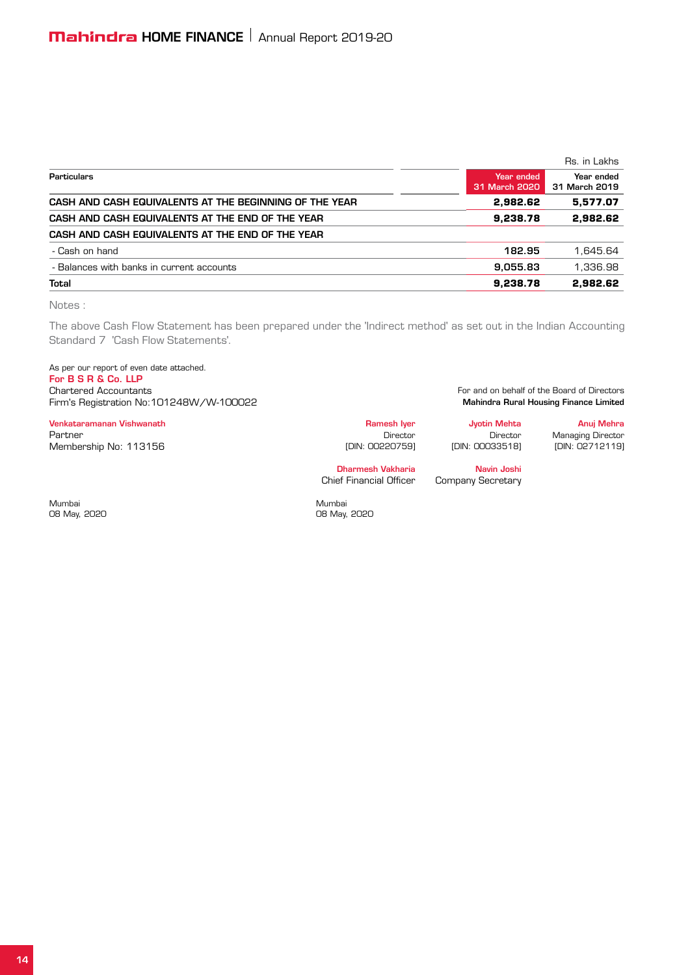|                                                        |                             | Rs. in Lakhs                |
|--------------------------------------------------------|-----------------------------|-----------------------------|
| <b>Particulars</b>                                     | Year ended<br>31 March 2020 | Year ended<br>31 March 2019 |
| CASH AND CASH EQUIVALENTS AT THE BEGINNING OF THE YEAR | 2,982.62                    | 5,577.07                    |
| CASH AND CASH EQUIVALENTS AT THE END OF THE YEAR       | 9,238.78                    | 2,982.62                    |
| CASH AND CASH EQUIVALENTS AT THE END OF THE YEAR       |                             |                             |
| - Cash on hand                                         | 182.95                      | 1.645.64                    |
| - Balances with banks in current accounts              | 9,055.83                    | 1.336.98                    |
| Total                                                  | 9,238.78                    | 2,982.62                    |

Notes :

The above Cash Flow Statement has been prepared under the 'Indirect method' as set out in the Indian Accounting Standard 7 'Cash Flow Statements'.

As per our report of even date attached. For **B S R & Co. LLP**<br>Chartered Accountants Firm's Registration No:101248W/W-100022 Mahindra Rural Housing Finance Limited

Venkataramanan Vishwanath Ramesh Iyer Jyotin Mehta Anuj Mehra Partner Director Director Managing Director Membership No: 113156

For and on behalf of the Board of Directors

Dharmesh Vakharia Navin Joshi

Chief Financial Officer Company Secretary

Mumbai Mumbai 08 May, 2020 **08 May, 2020** 

14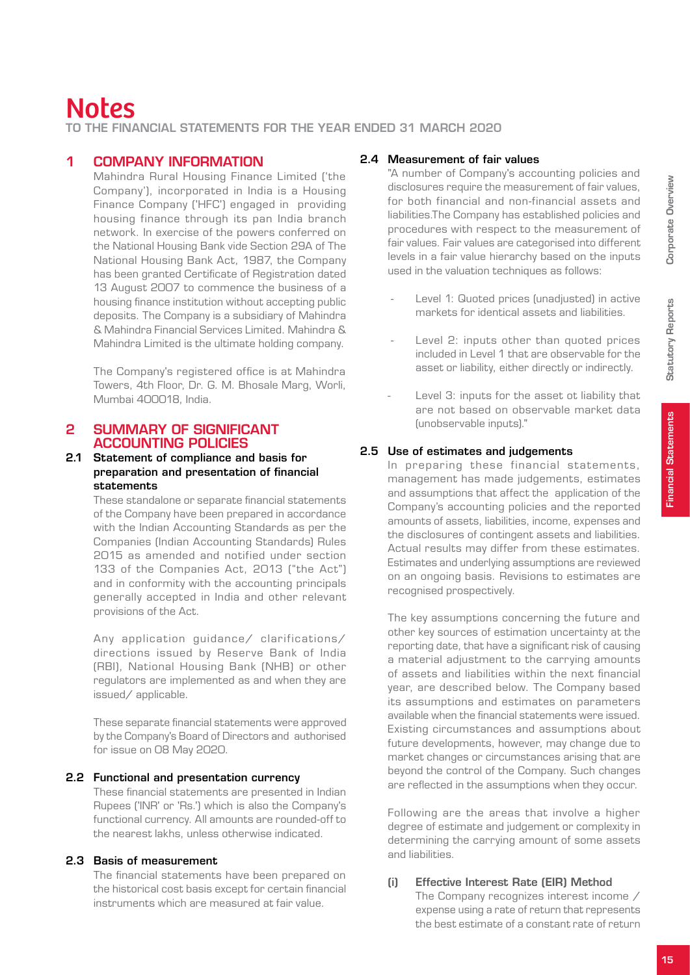to the Financial Statements for the year ended 31 March 2020

# 1 COMPANY INFORMATION

Mahindra Rural Housing Finance Limited ('the Company'), incorporated in India is a Housing Finance Company ('HFC') engaged in providing housing finance through its pan India branch network. In exercise of the powers conferred on the National Housing Bank vide Section 29A of The National Housing Bank Act, 1987, the Company has been granted Certificate of Registration dated 13 August 2007 to commence the business of a housing finance institution without accepting public deposits. The Company is a subsidiary of Mahindra & Mahindra Financial Services Limited. Mahindra & Mahindra Limited is the ultimate holding company.

The Company's registered office is at Mahindra Towers, 4th Floor, Dr. G. M. Bhosale Marg, Worli, Mumbai 400018, India.

### 2 SUMMARY OF SIGNIFICANT ACCOUNTING POLICIES

2.1 Statement of compliance and basis for preparation and presentation of financial statements

These standalone or separate financial statements of the Company have been prepared in accordance with the Indian Accounting Standards as per the Companies (Indian Accounting Standards) Rules 2015 as amended and notified under section 133 of the Companies Act, 2013 ("the Act") and in conformity with the accounting principals generally accepted in India and other relevant provisions of the Act.

Any application guidance/ clarifications/ directions issued by Reserve Bank of India (RBI), National Housing Bank (NHB) or other regulators are implemented as and when they are issued/ applicable.

These separate financial statements were approved by the Company's Board of Directors and authorised for issue on 08 May 2020.

#### 2.2 Functional and presentation currency

These financial statements are presented in Indian Rupees ('INR' or 'Rs.') which is also the Company's functional currency. All amounts are rounded-off to the nearest lakhs, unless otherwise indicated.

#### 2.3 Basis of measurement

The financial statements have been prepared on the historical cost basis except for certain financial instruments which are measured at fair value.

#### 2.4 Measurement of fair values

"A number of Company's accounting policies and disclosures require the measurement of fair values, for both financial and non-financial assets and liabilities.The Company has established policies and procedures with respect to the measurement of fair values. Fair values are categorised into different levels in a fair value hierarchy based on the inputs used in the valuation techniques as follows:

- Level 1: Quoted prices (unadjusted) in active markets for identical assets and liabilities.
- Level 2: inputs other than quoted prices included in Level 1 that are observable for the asset or liability, either directly or indirectly.
- Level 3: inputs for the asset ot liability that are not based on observable market data (unobservable inputs)."

#### 2.5 Use of estimates and judgements

In preparing these financial statements, management has made judgements, estimates and assumptions that affect the application of the Company's accounting policies and the reported amounts of assets, liabilities, income, expenses and the disclosures of contingent assets and liabilities. Actual results may differ from these estimates. Estimates and underlying assumptions are reviewed on an ongoing basis. Revisions to estimates are recognised prospectively.

The key assumptions concerning the future and other key sources of estimation uncertainty at the reporting date, that have a significant risk of causing a material adjustment to the carrying amounts of assets and liabilities within the next financial year, are described below. The Company based its assumptions and estimates on parameters available when the financial statements were issued. Existing circumstances and assumptions about future developments, however, may change due to market changes or circumstances arising that are beyond the control of the Company. Such changes are reflected in the assumptions when they occur.

Following are the areas that involve a higher degree of estimate and judgement or complexity in determining the carrying amount of some assets and liabilities.

#### (i) Effective Interest Rate (EIR) Method The Company recognizes interest income / expense using a rate of return that represents the best estimate of a constant rate of return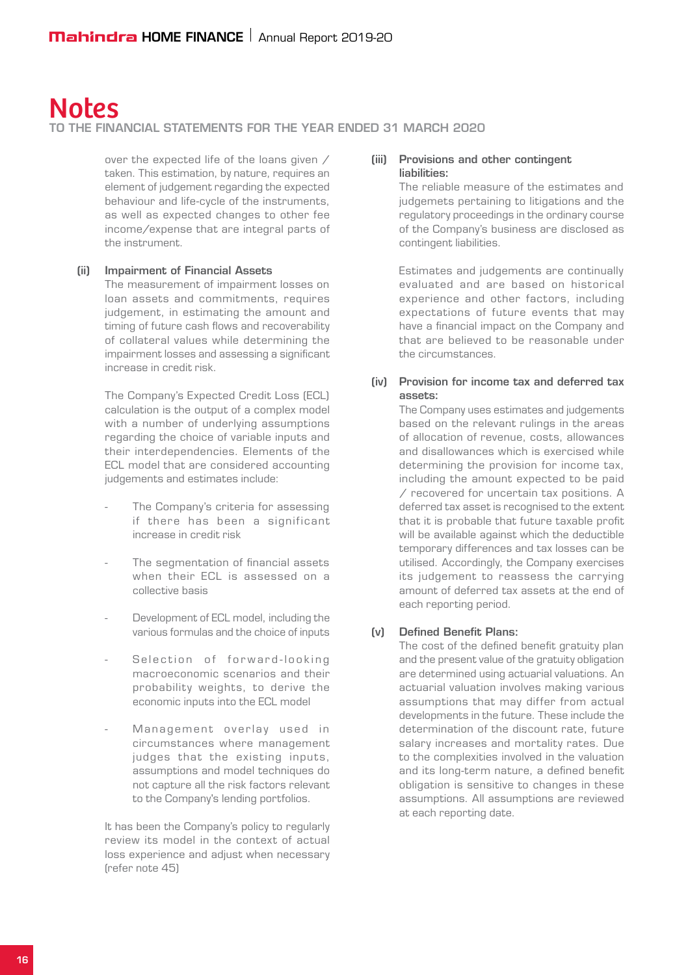#### to the Financial Statements for the year ended 31 March 2020

over the expected life of the loans given / taken. This estimation, by nature, requires an element of judgement regarding the expected behaviour and life-cycle of the instruments, as well as expected changes to other fee income/expense that are integral parts of the instrument.

#### (ii) Impairment of Financial Assets

 The measurement of impairment losses on loan assets and commitments, requires judgement, in estimating the amount and timing of future cash flows and recoverability of collateral values while determining the impairment losses and assessing a significant increase in credit risk.

 The Company's Expected Credit Loss (ECL) calculation is the output of a complex model with a number of underlying assumptions regarding the choice of variable inputs and their interdependencies. Elements of the ECL model that are considered accounting judgements and estimates include:

- The Company's criteria for assessing if there has been a significant increase in credit risk
- The segmentation of financial assets when their ECL is assessed on a collective basis
- Development of ECL model, including the various formulas and the choice of inputs
- Selection of forward-looking macroeconomic scenarios and their probability weights, to derive the economic inputs into the ECL model
- Management overlay used in circumstances where management judges that the existing inputs. assumptions and model techniques do not capture all the risk factors relevant to the Company's lending portfolios.

 It has been the Company's policy to regularly review its model in the context of actual loss experience and adjust when necessary (refer note 45)

#### (iii) Provisions and other contingent liabilities:

 The reliable measure of the estimates and judgemets pertaining to litigations and the regulatory proceedings in the ordinary course of the Company's business are disclosed as contingent liabilities.

 Estimates and judgements are continually evaluated and are based on historical experience and other factors, including expectations of future events that may have a financial impact on the Company and that are believed to be reasonable under the circumstances.

#### (iv) Provision for income tax and deferred tax assets:

 The Company uses estimates and judgements based on the relevant rulings in the areas of allocation of revenue, costs, allowances and disallowances which is exercised while determining the provision for income tax, including the amount expected to be paid / recovered for uncertain tax positions. A deferred tax asset is recognised to the extent that it is probable that future taxable profit will be available against which the deductible temporary differences and tax losses can be utilised. Accordingly, the Company exercises its judgement to reassess the carrying amount of deferred tax assets at the end of each reporting period.

# (v) Defined Benefit Plans:

 The cost of the defined benefit gratuity plan and the present value of the gratuity obligation are determined using actuarial valuations. An actuarial valuation involves making various assumptions that may differ from actual developments in the future. These include the determination of the discount rate, future salary increases and mortality rates. Due to the complexities involved in the valuation and its long-term nature, a defined benefit obligation is sensitive to changes in these assumptions. All assumptions are reviewed at each reporting date.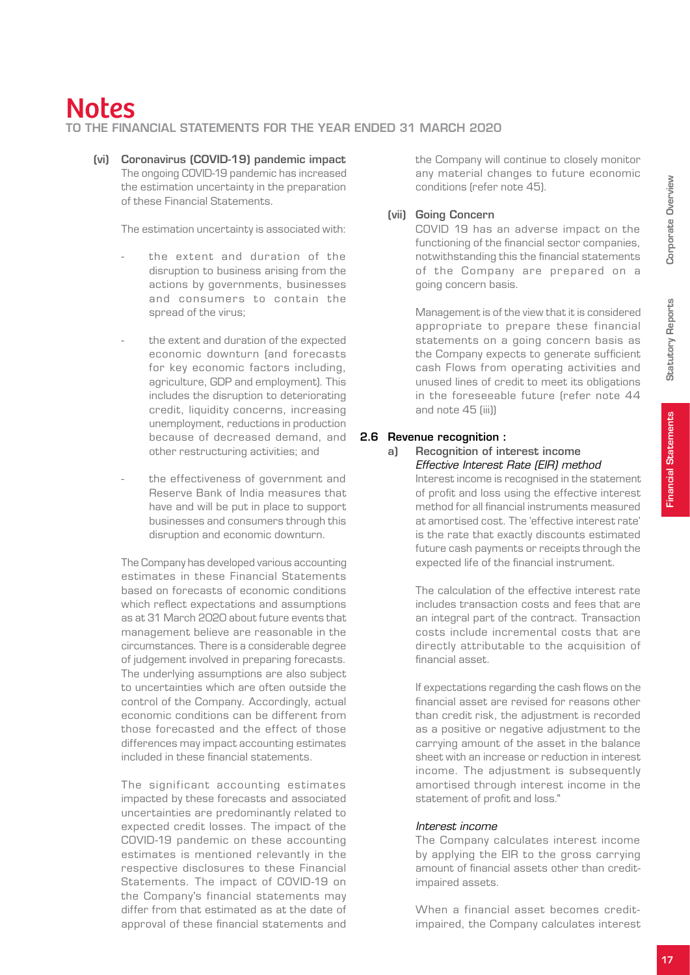to the Financial Statements for the year ended 31 March 2020

(vi) Coronavirus (COVID-19) pandemic impact The ongoing COVID-19 pandemic has increased the estimation uncertainty in the preparation of these Financial Statements.

The estimation uncertainty is associated with:

- the extent and duration of the disruption to business arising from the actions by governments, businesses and consumers to contain the spread of the virus;
- the extent and duration of the expected economic downturn (and forecasts for key economic factors including, agriculture, GDP and employment). This includes the disruption to deteriorating credit, liquidity concerns, increasing unemployment, reductions in production because of decreased demand, and other restructuring activities; and
- the effectiveness of government and Reserve Bank of India measures that have and will be put in place to support businesses and consumers through this disruption and economic downturn.

 The Company has developed various accounting estimates in these Financial Statements based on forecasts of economic conditions which reflect expectations and assumptions as at 31 March 2020 about future events that management believe are reasonable in the circumstances. There is a considerable degree of judgement involved in preparing forecasts. The underlying assumptions are also subject to uncertainties which are often outside the control of the Company. Accordingly, actual economic conditions can be different from those forecasted and the effect of those differences may impact accounting estimates included in these financial statements.

The significant accounting estimates impacted by these forecasts and associated uncertainties are predominantly related to expected credit losses. The impact of the COVID-19 pandemic on these accounting estimates is mentioned relevantly in the respective disclosures to these Financial Statements. The impact of COVID-19 on the Company's financial statements may differ from that estimated as at the date of approval of these financial statements and

the Company will continue to closely monitor any material changes to future economic conditions (refer note 45).

# (vii) Going Concern

 COVID 19 has an adverse impact on the functioning of the financial sector companies, notwithstanding this the financial statements of the Company are prepared on a going concern basis.

 Management is of the view that it is considered appropriate to prepare these financial statements on a going concern basis as the Company expects to generate sufficient cash Flows from operating activities and unused lines of credit to meet its obligations in the foreseeable future (refer note 44 and note 45 (iii))

### 2.6 Revenue recognition :

# a) Recognition of interest income Effective Interest Rate (EIR) method

 Interest income is recognised in the statement of profit and loss using the effective interest method for all financial instruments measured at amortised cost. The 'effective interest rate' is the rate that exactly discounts estimated future cash payments or receipts through the expected life of the financial instrument.

 The calculation of the effective interest rate includes transaction costs and fees that are an integral part of the contract. Transaction costs include incremental costs that are directly attributable to the acquisition of financial asset.

 If expectations regarding the cash flows on the financial asset are revised for reasons other than credit risk, the adjustment is recorded as a positive or negative adjustment to the carrying amount of the asset in the balance sheet with an increase or reduction in interest income. The adjustment is subsequently amortised through interest income in the statement of profit and loss."

### Interest income

 The Company calculates interest income by applying the EIR to the gross carrying amount of financial assets other than creditimpaired assets.

 When a financial asset becomes creditimpaired, the Company calculates interest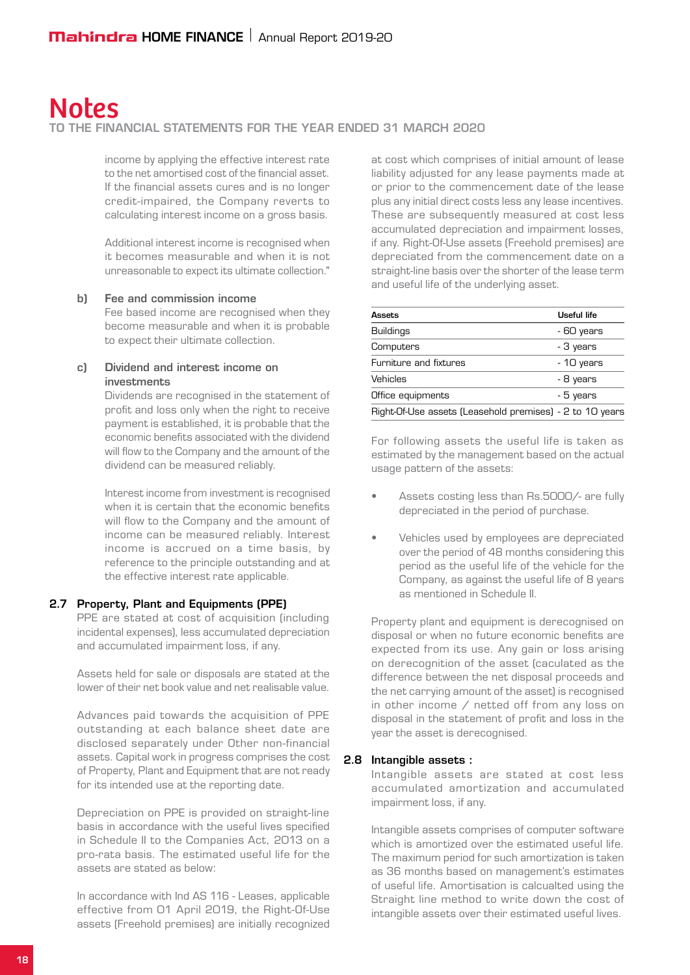to the Financial Statements for the year ended 31 March 2020

income by applying the effective interest rate to the net amortised cost of the financial asset. If the financial assets cures and is no longer credit-impaired, the Company reverts to calculating interest income on a gross basis.

 Additional interest income is recognised when it becomes measurable and when it is not unreasonable to expect its ultimate collection."

# b) Fee and commission income

 Fee based income are recognised when they become measurable and when it is probable to expect their ultimate collection.

#### c) Dividend and interest income on investments

 Dividends are recognised in the statement of profit and loss only when the right to receive payment is established, it is probable that the economic benefits associated with the dividend will flow to the Company and the amount of the dividend can be measured reliably.

 Interest income from investment is recognised when it is certain that the economic benefits will flow to the Company and the amount of income can be measured reliably. Interest income is accrued on a time basis, by reference to the principle outstanding and at the effective interest rate applicable.

#### 2.7 Property, Plant and Equipments (PPE)

PPE are stated at cost of acquisition (including incidental expenses), less accumulated depreciation and accumulated impairment loss, if any.

Assets held for sale or disposals are stated at the lower of their net book value and net realisable value.

Advances paid towards the acquisition of PPE outstanding at each balance sheet date are disclosed separately under Other non-financial assets. Capital work in progress comprises the cost of Property, Plant and Equipment that are not ready for its intended use at the reporting date.

Depreciation on PPE is provided on straight-line basis in accordance with the useful lives specified in Schedule II to the Companies Act, 2013 on a pro-rata basis. The estimated useful life for the assets are stated as below:

In accordance with Ind AS 116 - Leases, applicable effective from 01 April 2019, the Right-Of-Use assets (Freehold premises) are initially recognized

at cost which comprises of initial amount of lease liability adjusted for any lease payments made at or prior to the commencement date of the lease plus any initial direct costs less any lease incentives. These are subsequently measured at cost less accumulated depreciation and impairment losses, if any. Right-Of-Use assets (Freehold premises) are depreciated from the commencement date on a straight-line basis over the shorter of the lease term and useful life of the underlying asset.

| Assets                                                   | <b>Useful life</b> |
|----------------------------------------------------------|--------------------|
| <b>Buildings</b>                                         | - 60 years         |
| Computers                                                | - 3 vears          |
| Furniture and fixtures                                   | - 10 years         |
| Vehicles                                                 | - 8 years          |
| Office equipments                                        | - 5 years          |
| Right-Of-Use assets (Leasehold premises) - 2 to 10 years |                    |

For following assets the useful life is taken as estimated by the management based on the actual usage pattern of the assets:

- Assets costing less than Rs.5000/- are fully depreciated in the period of purchase.
- Vehicles used by employees are depreciated over the period of 48 months considering this period as the useful life of the vehicle for the Company, as against the useful life of 8 years as mentioned in Schedule II.

Property plant and equipment is derecognised on disposal or when no future economic benefits are expected from its use. Any gain or loss arising on derecognition of the asset (caculated as the difference between the net disposal proceeds and the net carrying amount of the asset) is recognised in other income  $\angle$  netted off from any loss on disposal in the statement of profit and loss in the year the asset is derecognised.

### 2.8 Intangible assets :

Intangible assets are stated at cost less accumulated amortization and accumulated impairment loss, if any.

Intangible assets comprises of computer software which is amortized over the estimated useful life. The maximum period for such amortization is taken as 36 months based on management's estimates of useful life. Amortisation is calcualted using the Straight line method to write down the cost of intangible assets over their estimated useful lives.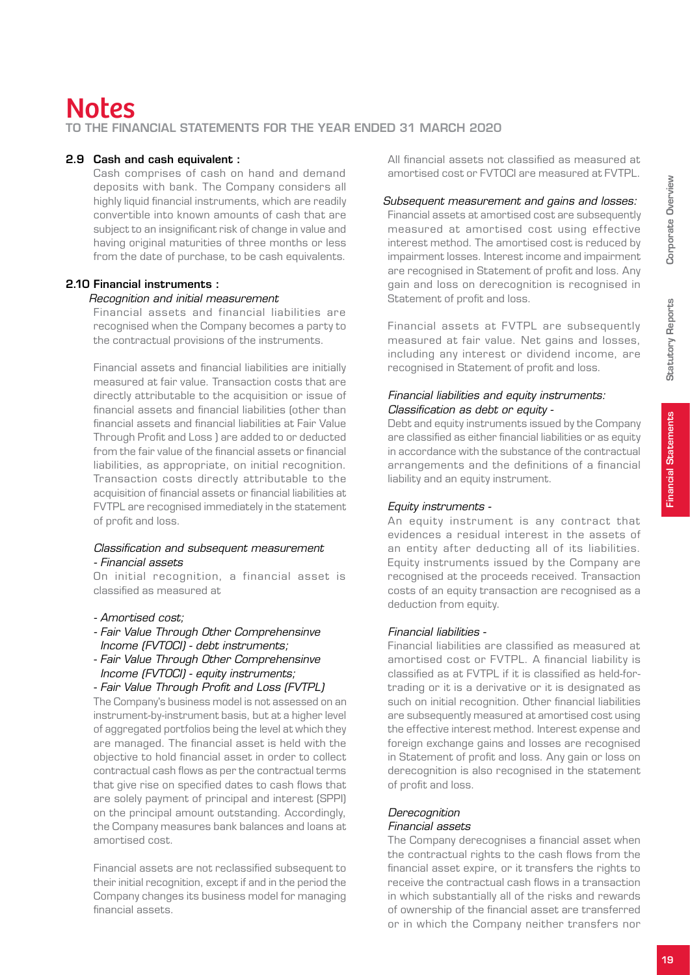to the Financial Statements for the year ended 31 March 2020

### 2.9 Cash and cash equivalent :

Cash comprises of cash on hand and demand deposits with bank. The Company considers all highly liquid financial instruments, which are readily convertible into known amounts of cash that are subject to an insignificant risk of change in value and having original maturities of three months or less from the date of purchase, to be cash equivalents.

#### 2.10 Financial instruments :

#### Recognition and initial measurement

Financial assets and financial liabilities are recognised when the Company becomes a party to the contractual provisions of the instruments.

Financial assets and financial liabilities are initially measured at fair value. Transaction costs that are directly attributable to the acquisition or issue of financial assets and financial liabilities (other than financial assets and financial liabilities at Fair Value Through Profit and Loss ) are added to or deducted from the fair value of the financial assets or financial liabilities, as appropriate, on initial recognition. Transaction costs directly attributable to the acquisition of financial assets or financial liabilities at FVTPL are recognised immediately in the statement of profit and loss.

#### Classification and subsequent measurement - Financial assets

On initial recognition, a financial asset is classified as measured at

- Amortised cost;
- Fair Value Through Other Comprehensinve Income (FVTOCI) - debt instruments;
- Fair Value Through Other Comprehensinve Income (FVTOCI) - equity instruments;

- Fair Value Through Profit and Loss (FVTPL) The Company's business model is not assessed on an instrument-by-instrument basis, but at a higher level of aggregated portfolios being the level at which they are managed. The financial asset is held with the objective to hold financial asset in order to collect contractual cash flows as per the contractual terms that give rise on specified dates to cash flows that are solely payment of principal and interest (SPPI) on the principal amount outstanding. Accordingly, the Company measures bank balances and loans at amortised cost.

Financial assets are not reclassified subsequent to their initial recognition, except if and in the period the Company changes its business model for managing financial assets.

All financial assets not classified as measured at amortised cost or FVTOCI are measured at FVTPL.

#### Subsequent measurement and gains and losses:

Financial assets at amortised cost are subsequently measured at amortised cost using effective interest method. The amortised cost is reduced by impairment losses. Interest income and impairment are recognised in Statement of profit and loss. Any gain and loss on derecognition is recognised in Statement of profit and loss.

Financial assets at FVTPL are subsequently measured at fair value. Net gains and losses, including any interest or dividend income, are recognised in Statement of profit and loss.

#### Financial liabilities and equity instruments: Classification as debt or equity -

Debt and equity instruments issued by the Company are classified as either financial liabilities or as equity in accordance with the substance of the contractual arrangements and the definitions of a financial liability and an equity instrument.

### Equity instruments -

An equity instrument is any contract that evidences a residual interest in the assets of an entity after deducting all of its liabilities. Equity instruments issued by the Company are recognised at the proceeds received. Transaction costs of an equity transaction are recognised as a deduction from equity.

### Financial liabilities -

Financial liabilities are classified as measured at amortised cost or FVTPL. A financial liability is classified as at FVTPL if it is classified as held-fortrading or it is a derivative or it is designated as such on initial recognition. Other financial liabilities are subsequently measured at amortised cost using the effective interest method. Interest expense and foreign exchange gains and losses are recognised in Statement of profit and loss. Any gain or loss on derecognition is also recognised in the statement of profit and loss.

#### **Derecognition** Financial assets

The Company derecognises a financial asset when the contractual rights to the cash flows from the financial asset expire, or it transfers the rights to receive the contractual cash flows in a transaction in which substantially all of the risks and rewards of ownership of the financial asset are transferred or in which the Company neither transfers nor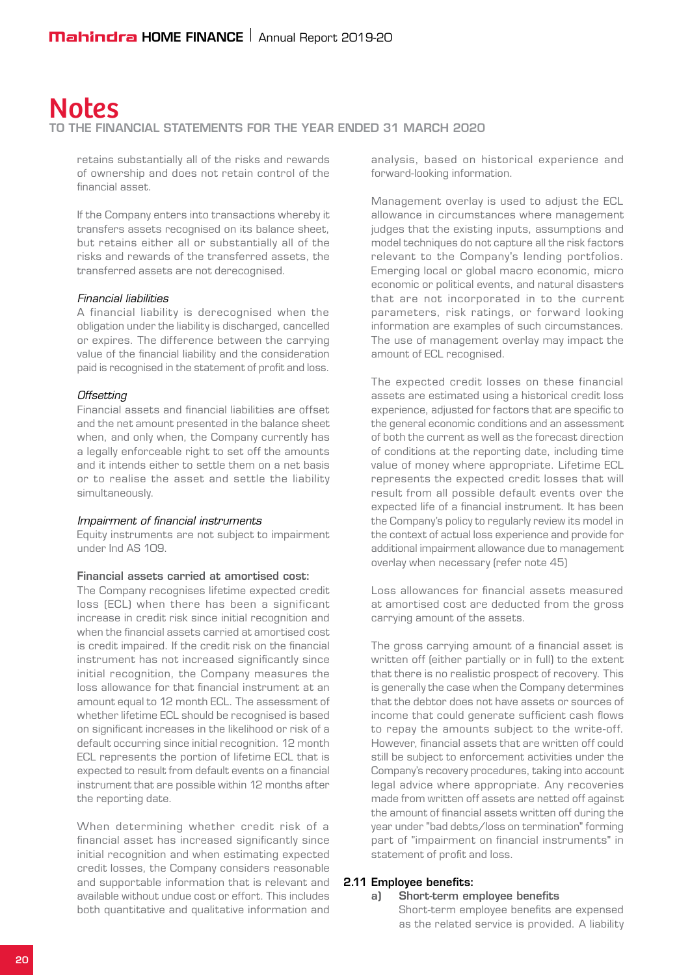to the Financial Statements for the year ended 31 March 2020

retains substantially all of the risks and rewards of ownership and does not retain control of the financial asset.

If the Company enters into transactions whereby it transfers assets recognised on its balance sheet, but retains either all or substantially all of the risks and rewards of the transferred assets, the transferred assets are not derecognised.

#### Financial liabilities

A financial liability is derecognised when the obligation under the liability is discharged, cancelled or expires. The difference between the carrying value of the financial liability and the consideration paid is recognised in the statement of profit and loss.

#### **Offsetting**

Financial assets and financial liabilities are offset and the net amount presented in the balance sheet when, and only when, the Company currently has a legally enforceable right to set off the amounts and it intends either to settle them on a net basis or to realise the asset and settle the liability simultaneously.

#### Impairment of financial instruments

Equity instruments are not subject to impairment under Ind AS 109.

#### Financial assets carried at amortised cost:

The Company recognises lifetime expected credit loss (ECL) when there has been a significant increase in credit risk since initial recognition and when the financial assets carried at amortised cost is credit impaired. If the credit risk on the financial instrument has not increased significantly since initial recognition, the Company measures the loss allowance for that financial instrument at an amount equal to 12 month ECL. The assessment of whether lifetime ECL should be recognised is based on significant increases in the likelihood or risk of a default occurring since initial recognition. 12 month ECL represents the portion of lifetime ECL that is expected to result from default events on a financial instrument that are possible within 12 months after the reporting date.

When determining whether credit risk of a financial asset has increased significantly since initial recognition and when estimating expected credit losses, the Company considers reasonable and supportable information that is relevant and available without undue cost or effort. This includes both quantitative and qualitative information and

analysis, based on historical experience and forward-looking information.

Management overlay is used to adjust the ECL allowance in circumstances where management judges that the existing inputs, assumptions and model techniques do not capture all the risk factors relevant to the Company's lending portfolios. Emerging local or global macro economic, micro economic or political events, and natural disasters that are not incorporated in to the current parameters, risk ratings, or forward looking information are examples of such circumstances. The use of management overlay may impact the amount of ECL recognised.

The expected credit losses on these financial assets are estimated using a historical credit loss experience, adjusted for factors that are specific to the general economic conditions and an assessment of both the current as well as the forecast direction of conditions at the reporting date, including time value of money where appropriate. Lifetime ECL represents the expected credit losses that will result from all possible default events over the expected life of a financial instrument. It has been the Company's policy to regularly review its model in the context of actual loss experience and provide for additional impairment allowance due to management overlay when necessary (refer note 45)

Loss allowances for financial assets measured at amortised cost are deducted from the gross carrying amount of the assets.

The gross carrying amount of a financial asset is written off (either partially or in full) to the extent that there is no realistic prospect of recovery. This is generally the case when the Company determines that the debtor does not have assets or sources of income that could generate sufficient cash flows to repay the amounts subject to the write-off. However, financial assets that are written off could still be subject to enforcement activities under the Company's recovery procedures, taking into account legal advice where appropriate. Any recoveries made from written off assets are netted off against the amount of financial assets written off during the year under "bad debts/loss on termination" forming part of "impairment on financial instruments" in statement of profit and loss.

#### 2.11 Employee benefits:

#### a) Short-term employee benefits Short-term employee benefits are expensed as the related service is provided. A liability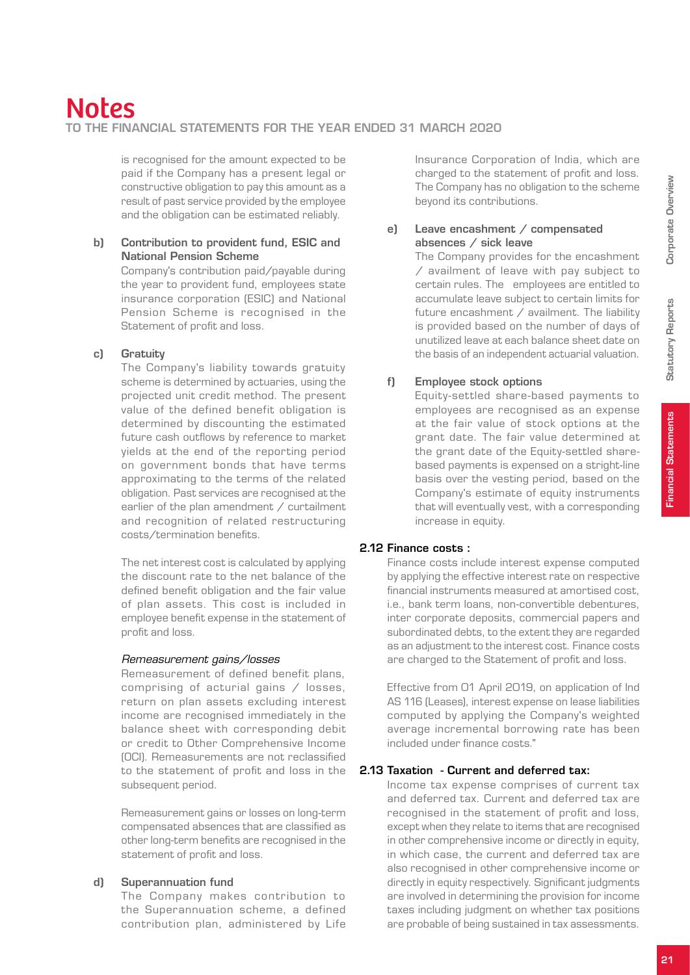is recognised for the amount expected to be paid if the Company has a present legal or constructive obligation to pay this amount as a result of past service provided by the employee and the obligation can be estimated reliably.

# b) Contribution to provident fund, ESIC and National Pension Scheme

 Company's contribution paid/payable during the year to provident fund, employees state insurance corporation (ESIC) and National Pension Scheme is recognised in the Statement of profit and loss.

# c) Gratuity

 The Company's liability towards gratuity scheme is determined by actuaries, using the projected unit credit method. The present value of the defined benefit obligation is determined by discounting the estimated future cash outflows by reference to market yields at the end of the reporting period on government bonds that have terms approximating to the terms of the related obligation. Past services are recognised at the earlier of the plan amendment / curtailment and recognition of related restructuring costs/termination benefits.

 The net interest cost is calculated by applying the discount rate to the net balance of the defined benefit obligation and the fair value of plan assets. This cost is included in employee benefit expense in the statement of profit and loss.

# Remeasurement gains/losses

 Remeasurement of defined benefit plans, comprising of acturial gains  $/$  losses, return on plan assets excluding interest income are recognised immediately in the balance sheet with corresponding debit or credit to Other Comprehensive Income (OCI). Remeasurements are not reclassified to the statement of profit and loss in the subsequent period.

 Remeasurement gains or losses on long-term compensated absences that are classified as other long-term benefits are recognised in the statement of profit and loss.

# d) Superannuation fund

The Company makes contribution to the Superannuation scheme, a defined contribution plan, administered by Life Insurance Corporation of India, which are charged to the statement of profit and loss. The Company has no obligation to the scheme beyond its contributions.

# e) Leave encashment / compensated absences / sick leave

 The Company provides for the encashment / availment of leave with pay subject to certain rules. The employees are entitled to accumulate leave subject to certain limits for future encashment / availment. The liability is provided based on the number of days of unutilized leave at each balance sheet date on the basis of an independent actuarial valuation.

# f) Employee stock options

Equity-settled share-based payments to employees are recognised as an expense at the fair value of stock options at the grant date. The fair value determined at the grant date of the Equity-settled sharebased payments is expensed on a stright-line basis over the vesting period, based on the Company's estimate of equity instruments that will eventually vest, with a corresponding increase in equity.

# 2.12 Finance costs :

Finance costs include interest expense computed by applying the effective interest rate on respective financial instruments measured at amortised cost, i.e., bank term loans, non-convertible debentures, inter corporate deposits, commercial papers and subordinated debts, to the extent they are regarded as an adjustment to the interest cost. Finance costs are charged to the Statement of profit and loss.

Effective from 01 April 2019, on application of Ind AS 116 (Leases), interest expense on lease liabilities computed by applying the Company's weighted average incremental borrowing rate has been included under finance costs."

# 2.13 Taxation - Current and deferred tax:

Income tax expense comprises of current tax and deferred tax. Current and deferred tax are recognised in the statement of profit and loss, except when they relate to items that are recognised in other comprehensive income or directly in equity, in which case, the current and deferred tax are also recognised in other comprehensive income or directly in equity respectively. Significant judgments are involved in determining the provision for income taxes including judgment on whether tax positions are probable of being sustained in tax assessments.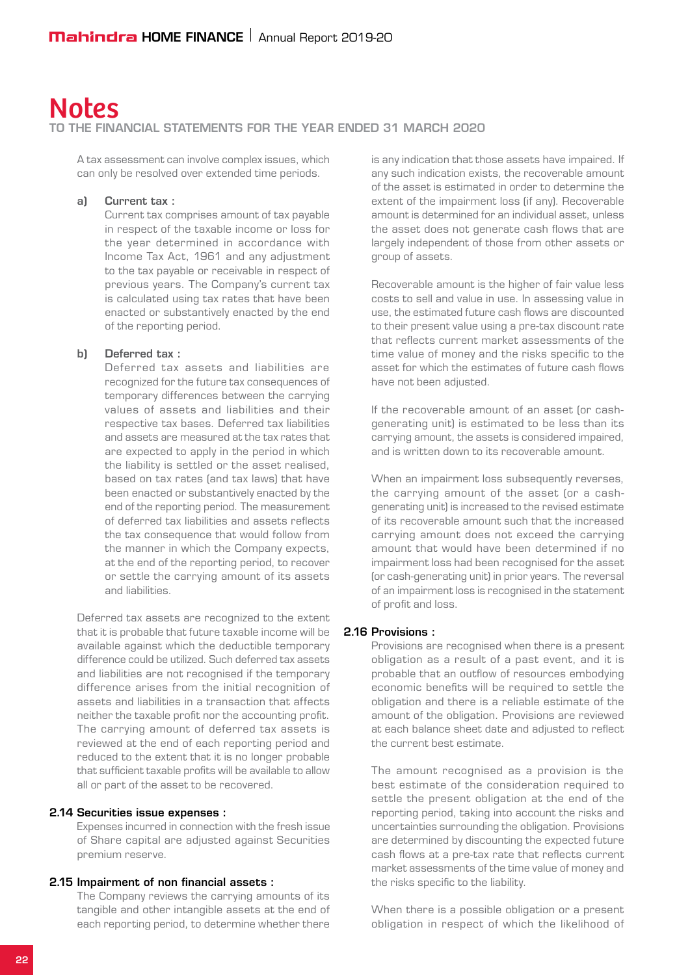A tax assessment can involve complex issues, which can only be resolved over extended time periods.

#### a) Current tax :

 Current tax comprises amount of tax payable in respect of the taxable income or loss for the year determined in accordance with Income Tax Act, 1961 and any adjustment to the tax payable or receivable in respect of previous years. The Company's current tax is calculated using tax rates that have been enacted or substantively enacted by the end of the reporting period.

#### b) Deferred tax :

 De ferred tax assets and liabilities are recognized for the future tax consequences of temporary differences between the carrying values of assets and liabilities and their respective tax bases. Deferred tax liabilities and assets are measured at the tax rates that are expected to apply in the period in which the liability is settled or the asset realised, based on tax rates (and tax laws) that have been enacted or substantively enacted by the end of the reporting period. The measurement of deferred tax liabilities and assets reflects the tax consequence that would follow from the manner in which the Company expects, at the end of the reporting period, to recover or settle the carrying amount of its assets and liabilities.

Deferred tax assets are recognized to the extent that it is probable that future taxable income will be available against which the deductible temporary difference could be utilized. Such deferred tax assets and liabilities are not recognised if the temporary difference arises from the initial recognition of assets and liabilities in a transaction that affects neither the taxable profit nor the accounting profit. The carrying amount of deferred tax assets is reviewed at the end of each reporting period and reduced to the extent that it is no longer probable that sufficient taxable profits will be available to allow all or part of the asset to be recovered.

#### 2.14 Securities issue expenses :

Expenses incurred in connection with the fresh issue of Share capital are adjusted against Securities premium reserve.

#### 2.15 Impairment of non financial assets :

The Company reviews the carrying amounts of its tangible and other intangible assets at the end of each reporting period, to determine whether there

is any indication that those assets have impaired. If any such indication exists, the recoverable amount of the asset is estimated in order to determine the extent of the impairment loss (if any). Recoverable amount is determined for an individual asset, unless the asset does not generate cash flows that are largely independent of those from other assets or group of assets.

Recoverable amount is the higher of fair value less costs to sell and value in use. In assessing value in use, the estimated future cash flows are discounted to their present value using a pre-tax discount rate that reflects current market assessments of the time value of money and the risks specific to the asset for which the estimates of future cash flows have not been adjusted.

If the recoverable amount of an asset (or cashgenerating unit) is estimated to be less than its carrying amount, the assets is considered impaired, and is written down to its recoverable amount.

When an impairment loss subsequently reverses, the carrying amount of the asset (or a cashgenerating unit) is increased to the revised estimate of its recoverable amount such that the increased carrying amount does not exceed the carrying amount that would have been determined if no impairment loss had been recognised for the asset (or cash-generating unit) in prior years. The reversal of an impairment loss is recognised in the statement of profit and loss.

# 2.16 Provisions :

Provisions are recognised when there is a present obligation as a result of a past event, and it is probable that an outflow of resources embodying economic benefits will be required to settle the obligation and there is a reliable estimate of the amount of the obligation. Provisions are reviewed at each balance sheet date and adjusted to reflect the current best estimate.

The amount recognised as a provision is the best estimate of the consideration required to settle the present obligation at the end of the reporting period, taking into account the risks and uncertainties surrounding the obligation. Provisions are determined by discounting the expected future cash flows at a pre-tax rate that reflects current market assessments of the time value of money and the risks specific to the liability.

When there is a possible obligation or a present obligation in respect of which the likelihood of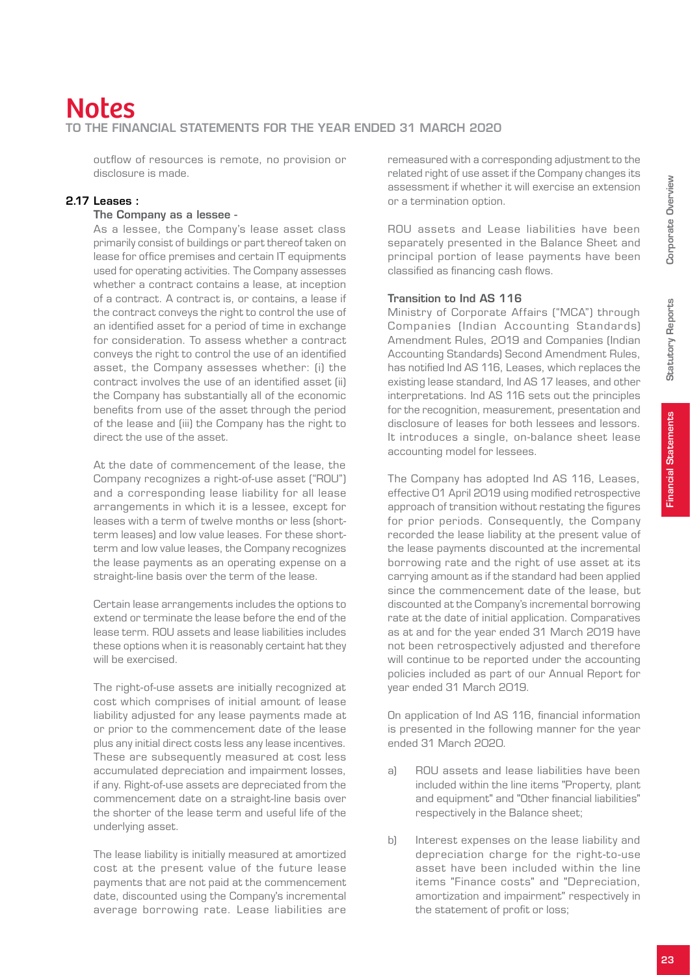outflow of resources is remote, no provision or disclosure is made.

# 2.17 Leases :

#### The Company as a lessee -

As a lessee, the Company's lease asset class primarily consist of buildings or part thereof taken on lease for office premises and certain IT equipments used for operating activities. The Company assesses whether a contract contains a lease, at inception of a contract. A contract is, or contains, a lease if the contract conveys the right to control the use of an identified asset for a period of time in exchange for consideration. To assess whether a contract conveys the right to control the use of an identified asset, the Company assesses whether: (i) the contract involves the use of an identified asset (ii) the Company has substantially all of the economic benefits from use of the asset through the period of the lease and (iii) the Company has the right to direct the use of the asset.

At the date of commencement of the lease, the Company recognizes a right-of-use asset ("ROU") and a corresponding lease liability for all lease arrangements in which it is a lessee, except for leases with a term of twelve months or less (shortterm leases) and low value leases. For these shortterm and low value leases, the Company recognizes the lease payments as an operating expense on a straight-line basis over the term of the lease.

Certain lease arrangements includes the options to extend or terminate the lease before the end of the lease term. ROU assets and lease liabilities includes these options when it is reasonably certaint hat they will be exercised.

The right-of-use assets are initially recognized at cost which comprises of initial amount of lease liability adjusted for any lease payments made at or prior to the commencement date of the lease plus any initial direct costs less any lease incentives. These are subsequently measured at cost less accumulated depreciation and impairment losses, if any. Right-of-use assets are depreciated from the commencement date on a straight-line basis over the shorter of the lease term and useful life of the underlying asset.

The lease liability is initially measured at amortized cost at the present value of the future lease payments that are not paid at the commencement date, discounted using the Company's incremental average borrowing rate. Lease liabilities are

remeasured with a corresponding adjustment to the related right of use asset if the Company changes its assessment if whether it will exercise an extension or a termination option.

 ROU assets and Lease liabilities have been separately presented in the Balance Sheet and principal portion of lease payments have been classified as financing cash flows.

#### Transition to Ind AS 116

Ministry of Corporate Affairs ("MCA") through Companies (Indian Accounting Standards) Amendment Rules, 2019 and Companies (Indian Accounting Standards) Second Amendment Rules, has notified Ind AS 116, Leases, which replaces the existing lease standard, Ind AS 17 leases, and other interpretations. Ind AS 116 sets out the principles for the recognition, measurement, presentation and disclosure of leases for both lessees and lessors. It introduces a single, on-balance sheet lease accounting model for lessees.

The Company has adopted Ind AS 116, Leases, effective 01 April 2019 using modified retrospective approach of transition without restating the figures for prior periods. Consequently, the Company recorded the lease liability at the present value of the lease payments discounted at the incremental borrowing rate and the right of use asset at its carrying amount as if the standard had been applied since the commencement date of the lease, but discounted at the Company's incremental borrowing rate at the date of initial application. Comparatives as at and for the year ended 31 March 2019 have not been retrospectively adjusted and therefore will continue to be reported under the accounting policies included as part of our Annual Report for year ended 31 March 2019.

On application of Ind AS 116, financial information is presented in the following manner for the year ended 31 March 2020.

- a) ROU assets and lease liabilities have been included within the line items "Property, plant and equipment" and "Other financial liabilities" respectively in the Balance sheet;
- b) Interest expenses on the lease liability and depreciation charge for the right-to-use asset have been included within the line items "Finance costs" and "Depreciation, amortization and impairment" respectively in the statement of profit or loss;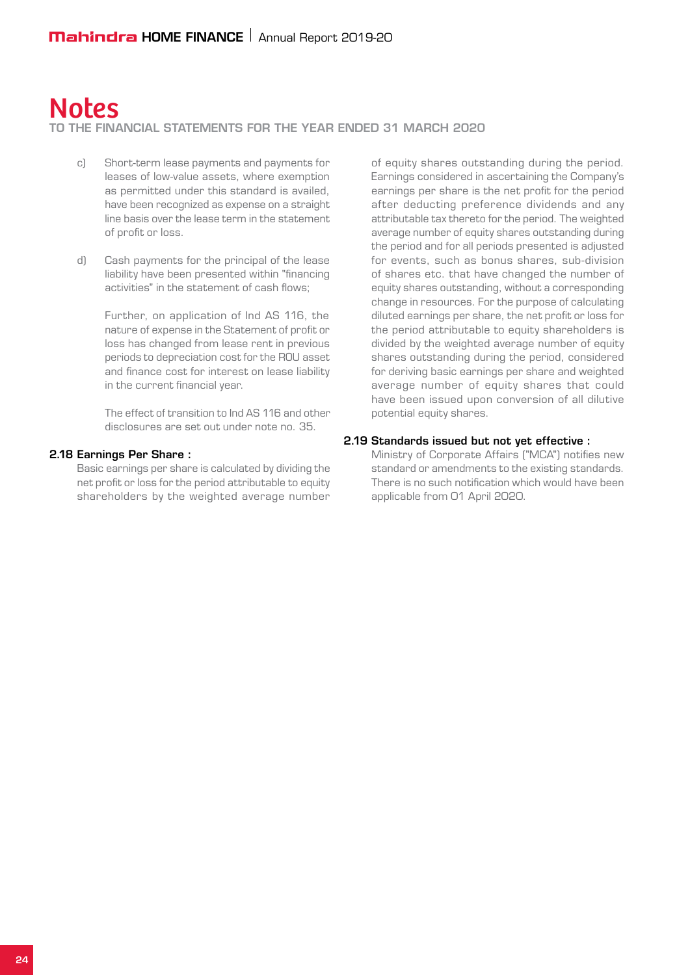to the Financial Statements for the year ended 31 March 2020

- c) Short-term lease payments and payments for leases of low-value assets, where exemption as permitted under this standard is availed, have been recognized as expense on a straight line basis over the lease term in the statement of profit or loss.
- d) Cash payments for the principal of the lease liability have been presented within "financing activities" in the statement of cash flows;

 Further, on application of Ind AS 116, the nature of expense in the Statement of profit or loss has changed from lease rent in previous periods to depreciation cost for the ROU asset and finance cost for interest on lease liability in the current financial year.

 The effect of transition to Ind AS 116 and other disclosures are set out under note no. 35.

#### 2.18 Earnings Per Share :

Basic earnings per share is calculated by dividing the net profit or loss for the period attributable to equity shareholders by the weighted average number

of equity shares outstanding during the period. Earnings considered in ascertaining the Company's earnings per share is the net profit for the period after deducting preference dividends and any attributable tax thereto for the period. The weighted average number of equity shares outstanding during the period and for all periods presented is adjusted for events, such as bonus shares, sub-division of shares etc. that have changed the number of equity shares outstanding, without a corresponding change in resources. For the purpose of calculating diluted earnings per share, the net profit or loss for the period attributable to equity shareholders is divided by the weighted average number of equity shares outstanding during the period, considered for deriving basic earnings per share and weighted average number of equity shares that could have been issued upon conversion of all dilutive potential equity shares.

#### 2.19 Standards issued but not yet effective :

Ministry of Corporate Affairs ("MCA") notifies new standard or amendments to the existing standards. There is no such notification which would have been applicable from 01 April 2020.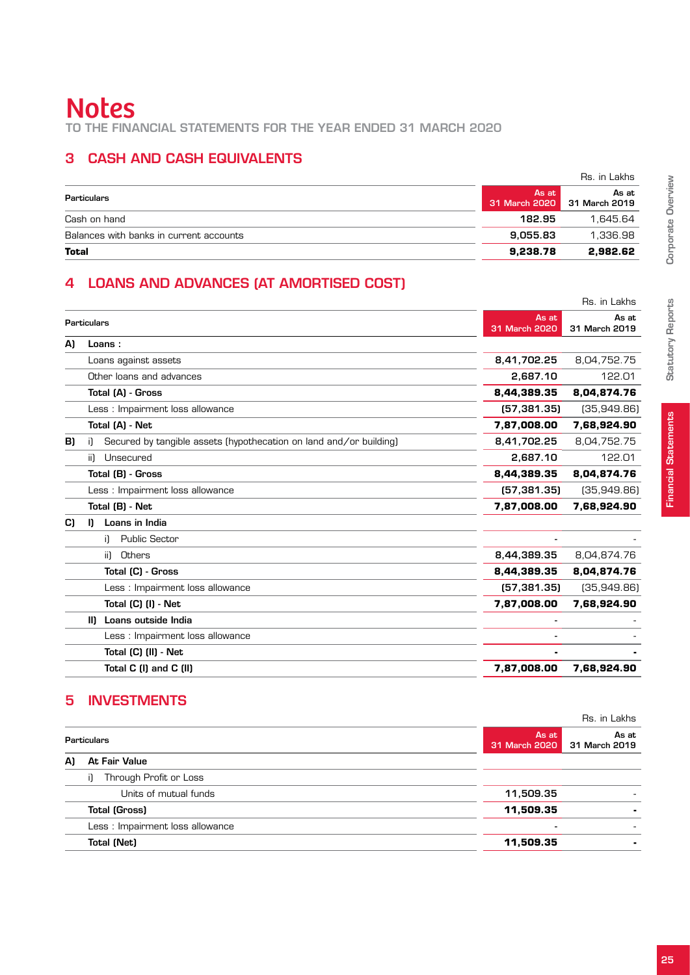to the Financial Statements for the year ended 31 March 2020

# 3 Cash and cash equivalents

|                                         |                        | Rs. in Lakhs           |
|-----------------------------------------|------------------------|------------------------|
| Particulars                             | As at<br>31 March 2020 | As at<br>31 March 2019 |
| Cash on hand                            | 182.95                 | 1.645.64               |
| Balances with banks in current accounts | 9,055.83               | 1,336.98               |
| <b>Total</b>                            | 9,238.78               | 2,982.62               |

# 4 Loans and advances (at amortised cost)

|    |                                                                           |                        | Rs. in Lakhs           |
|----|---------------------------------------------------------------------------|------------------------|------------------------|
|    | <b>Particulars</b>                                                        | As at<br>31 March 2020 | As at<br>31 March 2019 |
| A) | Loans:                                                                    |                        |                        |
|    | Loans against assets                                                      | 8,41,702.25            | 8,04,752.75            |
|    | Other loans and advances                                                  | 2.687.10               | 122.01                 |
|    | Total (A) - Gross                                                         | 8,44,389.35            | 8,04,874.76            |
|    | Less: Impairment loss allowance                                           | (57, 381.35)           | (35,949.86)            |
|    | Total (A) - Net                                                           | 7,87,008.00            | 7,68,924.90            |
| B) | Secured by tangible assets (hypothecation on land and/or building)<br>-i1 | 8,41,702.25            | 8,04,752.75            |
|    | Unsecured<br>-ii1                                                         | 2,687.10               | 122.01                 |
|    | Total (B) - Gross                                                         | 8,44,389.35            | 8,04,874.76            |
|    | Less : Impairment loss allowance                                          | (57, 381.35)           | (35,949.86)            |
|    | Total (B) - Net                                                           | 7,87,008.00            | 7,68,924.90            |
| C) | Loans in India<br>n                                                       |                        |                        |
|    | <b>Public Sector</b><br>ï1.                                               |                        |                        |
|    | Others<br>ii).                                                            | 8,44,389.35            | 8,04,874.76            |
|    | Total (C) - Gross                                                         | 8,44,389.35            | 8,04,874.76            |
|    | Less : Impairment loss allowance                                          | (57, 381.35)           | (35,949.86)            |
|    | <b>Total (C) (I) - Net</b>                                                | 7,87,008.00            | 7,68,924.90            |
|    | II) Loans outside India                                                   |                        |                        |
|    | Less : Impairment loss allowance                                          |                        |                        |
|    | Total (C) (II) - Net                                                      |                        |                        |
|    | Total $C($ (I) and $C($ II)                                               | 7,87,008.00            | 7,68,924.90            |

# 5 Investments

|    |                                  |           | Rs. in Lakhs           |
|----|----------------------------------|-----------|------------------------|
|    | Particulars                      |           | As at<br>31 March 2019 |
| Aì | At Fair Value                    |           |                        |
|    | Through Profit or Loss<br>i1     |           |                        |
|    | Units of mutual funds            | 11,509.35 |                        |
|    | <b>Total (Gross)</b>             | 11,509.35 |                        |
|    | Less : Impairment loss allowance |           |                        |
|    | Total (Net)                      | 11,509.35 |                        |
|    |                                  |           |                        |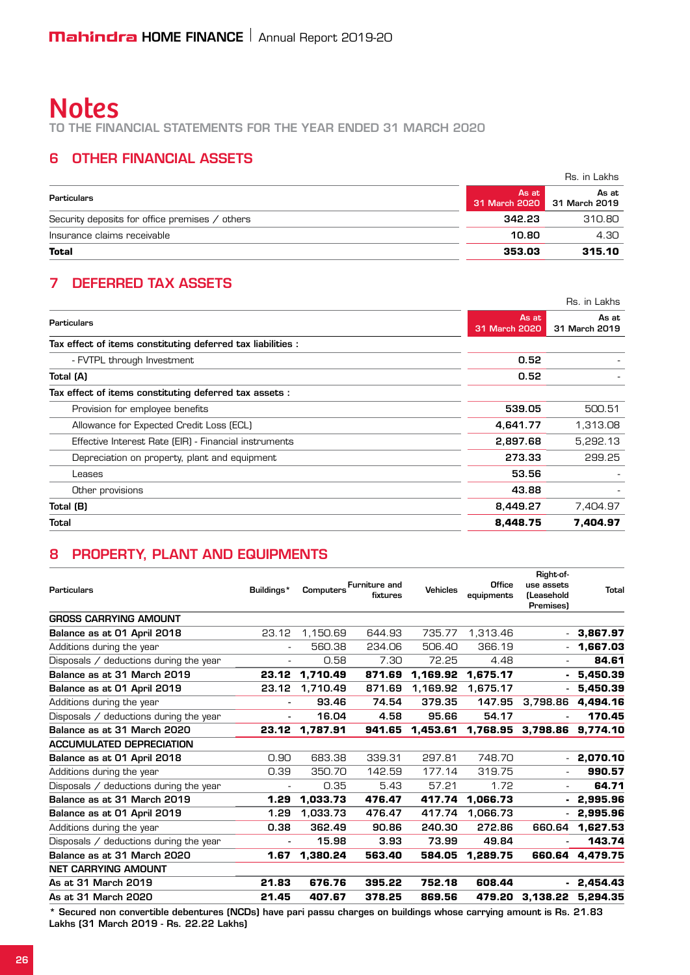to the Financial Statements for the year ended 31 March 2020

# 6 Other financial assets

|                                                |                                      | Rs. in Lakhs |
|------------------------------------------------|--------------------------------------|--------------|
| Particulars                                    | As at<br>31 March 2020 31 March 2019 | As at        |
| Security deposits for office premises / others | 342.23                               | 310.80       |
| Insurance claims receivable                    | 10.80                                | 4.30         |
| <b>Total</b>                                   | 353.03                               | 315.10       |

# 7 Deferred tax assets

|                        | Rs. in Lakhs           |
|------------------------|------------------------|
| As at<br>31 March 2020 | As at<br>31 March 2019 |
|                        |                        |
| 0.52                   |                        |
| 0.52                   |                        |
|                        |                        |
| 539.05                 | 500.51                 |
| 4,641.77               | 1,313.08               |
| 2,897.68               | 5.292.13               |
| 273.33                 | 299.25                 |
| 53.56                  |                        |
| 43.88                  |                        |
| 8,449.27               | 7.404.97               |
| 8,448.75               | 7.404.97               |
|                        |                        |

# 8 Property, plant and equipments

| <b>Particulars</b>                     | Buildings*               | Computers | <b>Furniture and</b><br>fixtures | <b>Vehicles</b> | Office<br>equipments | Right-of-<br>use assets<br>(Leasehold<br><b>Premises1</b> | Total       |
|----------------------------------------|--------------------------|-----------|----------------------------------|-----------------|----------------------|-----------------------------------------------------------|-------------|
| <b>GROSS CARRYING AMOUNT</b>           |                          |           |                                  |                 |                      |                                                           |             |
| Balance as at 01 April 2018            | 23.12                    | 1,150.69  | 644.93                           | 735.77          | 1,313.46             | $\sim$                                                    | 3,867.97    |
| Additions during the year              | $\overline{\phantom{a}}$ | 560.38    | 234.06                           | 506.40          | 366.19               | $\overline{\phantom{0}}$                                  | 1,667.03    |
| Disposals / deductions during the year |                          | 0.58      | 7.30                             | 72.25           | 4.48                 | $\blacksquare$                                            | 84.61       |
| Balance as at 31 March 2019            | 23.12                    | 1,710.49  | 871.69                           | 1,169.92        | 1,675.17             | ×.                                                        | 5,450.39    |
| Balance as at 01 April 2019            | 23.12                    | 1,710.49  | 871.69                           | 1,169.92        | 1,675.17             |                                                           | 5,450.39    |
| Additions during the year              | $\blacksquare$           | 93.46     | 74.54                            | 379.35          | 147.95               | 3.798.86                                                  | 4,494.16    |
| Disposals / deductions during the year | $\blacksquare$           | 16.04     | 4.58                             | 95.66           | 54.17                |                                                           | 170.45      |
| Balance as at 31 March 2020            | 23.12                    | 1.787.91  | 941.65                           | 1.453.61        | 1.768.95             | 3.798.86                                                  | 9.774.10    |
| <b>ACCUMULATED DEPRECIATION</b>        |                          |           |                                  |                 |                      |                                                           |             |
| Balance as at 01 April 2018            | 0.90                     | 683.38    | 339.31                           | 297.81          | 748.70               |                                                           | $-2,070.10$ |
| Additions during the year              | 0.39                     | 350.70    | 142.59                           | 177.14          | 319.75               |                                                           | 990.57      |
| Disposals / deductions during the year | ÷,                       | 0.35      | 5.43                             | 57.21           | 1.72                 | ÷.                                                        | 64.71       |
| Balance as at 31 March 2019            | 1.29                     | 1,033.73  | 476.47                           | 417.74          | 1,066.73             | $\sim$                                                    | 2,995.96    |
| Balance as at 01 April 2019            | 1.29                     | 1,033.73  | 476.47                           | 417.74          | 1.066.73             | $\overline{\phantom{0}}$                                  | 2,995.96    |
| Additions during the year              | 0.38                     | 362.49    | 90.86                            | 240.30          | 272.86               | 660.64                                                    | 1,627.53    |
| Disposals / deductions during the year |                          | 15.98     | 3.93                             | 73.99           | 49.84                |                                                           | 143.74      |
| Balance as at 31 March 2020            | 1.67                     | 1.380.24  | 563.40                           | 584.05          | 1.289.75             | 660.64                                                    | 4.479.75    |
| <b>NET CARRYING AMOUNT</b>             |                          |           |                                  |                 |                      |                                                           |             |
| As at 31 March 2019                    | 21.83                    | 676.76    | 395.22                           | 752.18          | 608.44               |                                                           | $-2.454.43$ |
| As at 31 March 2020                    | 21.45                    | 407.67    | 378.25                           | 869.56          | 479.20               | 3.138.22                                                  | 5.294.35    |

\* Secured non convertible debentures (NCDs) have pari passu charges on buildings whose carrying amount is Rs. 21.83 Lakhs (31 March 2019 - Rs. 22.22 Lakhs)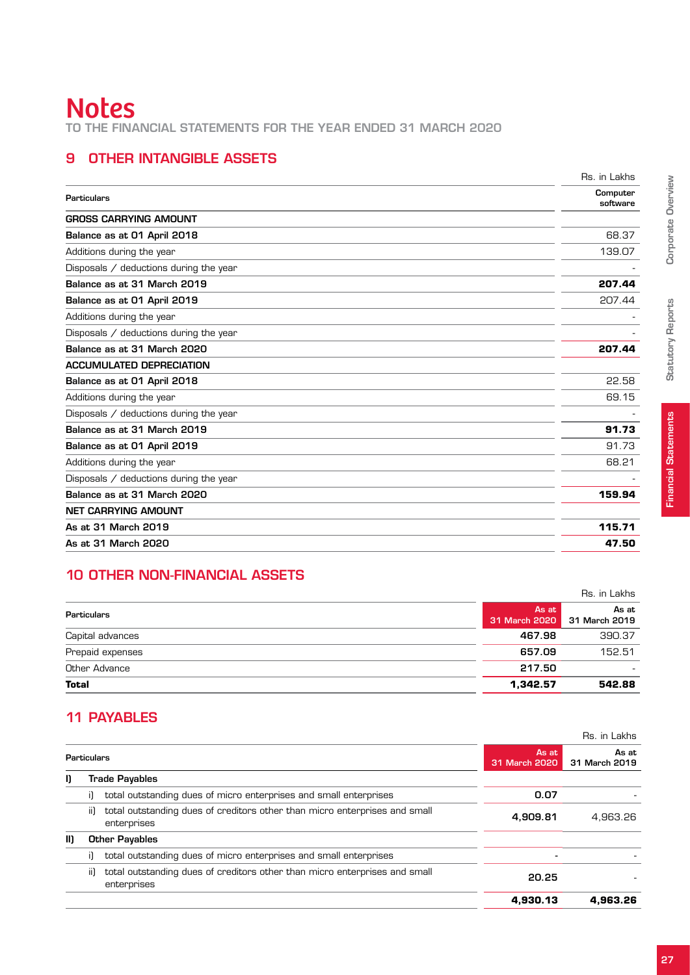# 9 Other intangible assets

|                                        | Rs. in Lakhs         |
|----------------------------------------|----------------------|
| <b>Particulars</b>                     | Computer<br>software |
| <b>GROSS CARRYING AMOUNT</b>           |                      |
| Balance as at 01 April 2018            | 68.37                |
| Additions during the year              | 139.07               |
| Disposals / deductions during the year |                      |
| Balance as at 31 March 2019            | 207.44               |
| Balance as at 01 April 2019            | 207.44               |
| Additions during the year              |                      |
| Disposals / deductions during the year |                      |
| Balance as at 31 March 2020            | 207.44               |
| <b>ACCUMULATED DEPRECIATION</b>        |                      |
| Balance as at 01 April 2018            | 22.58                |
| Additions during the year              | 69.15                |
| Disposals / deductions during the year |                      |
| Balance as at 31 March 2019            | 91.73                |
| Balance as at 01 April 2019            | 91.73                |
| Additions during the year              | 68.21                |
| Disposals / deductions during the year |                      |
| Balance as at 31 March 2020            | 159.94               |
| <b>NET CARRYING AMOUNT</b>             |                      |
| As at 31 March 2019                    | 115.71               |
| As at 31 March 2020                    | 47.50                |

# 10 Other non-financial assets

| <b>Total</b>       | 1,342.57<br>542.88                            |
|--------------------|-----------------------------------------------|
| Other Advance      | 217.50<br>-                                   |
| Prepaid expenses   | 152.51<br>657.09                              |
| Capital advances   | 390.37<br>467.98                              |
| <b>Particulars</b> | As at<br>As at<br>31 March 2020 31 March 2019 |
|                    | Rs. in Lakhs                                  |

# 11 Payables

| As at<br>Particulars<br>31 March 2020<br>Trade Pavables<br>I)<br>total outstanding dues of micro enterprises and small enterprises<br>0.07<br>total outstanding dues of creditors other than micro enterprises and small<br>-ii1<br>4.909.81<br>enterprises<br>II)<br><b>Other Payables</b><br>total outstanding dues of micro enterprises and small enterprises<br>total outstanding dues of creditors other than micro enterprises and small<br>$\mathbf{u}$<br>20.25<br>enterprises<br>4,930.13 |  | Rs. in Lakhs           |
|----------------------------------------------------------------------------------------------------------------------------------------------------------------------------------------------------------------------------------------------------------------------------------------------------------------------------------------------------------------------------------------------------------------------------------------------------------------------------------------------------|--|------------------------|
|                                                                                                                                                                                                                                                                                                                                                                                                                                                                                                    |  | As at<br>31 March 2019 |
|                                                                                                                                                                                                                                                                                                                                                                                                                                                                                                    |  |                        |
|                                                                                                                                                                                                                                                                                                                                                                                                                                                                                                    |  |                        |
|                                                                                                                                                                                                                                                                                                                                                                                                                                                                                                    |  | 4.963.26               |
|                                                                                                                                                                                                                                                                                                                                                                                                                                                                                                    |  |                        |
|                                                                                                                                                                                                                                                                                                                                                                                                                                                                                                    |  |                        |
|                                                                                                                                                                                                                                                                                                                                                                                                                                                                                                    |  |                        |
|                                                                                                                                                                                                                                                                                                                                                                                                                                                                                                    |  | 4.963.26               |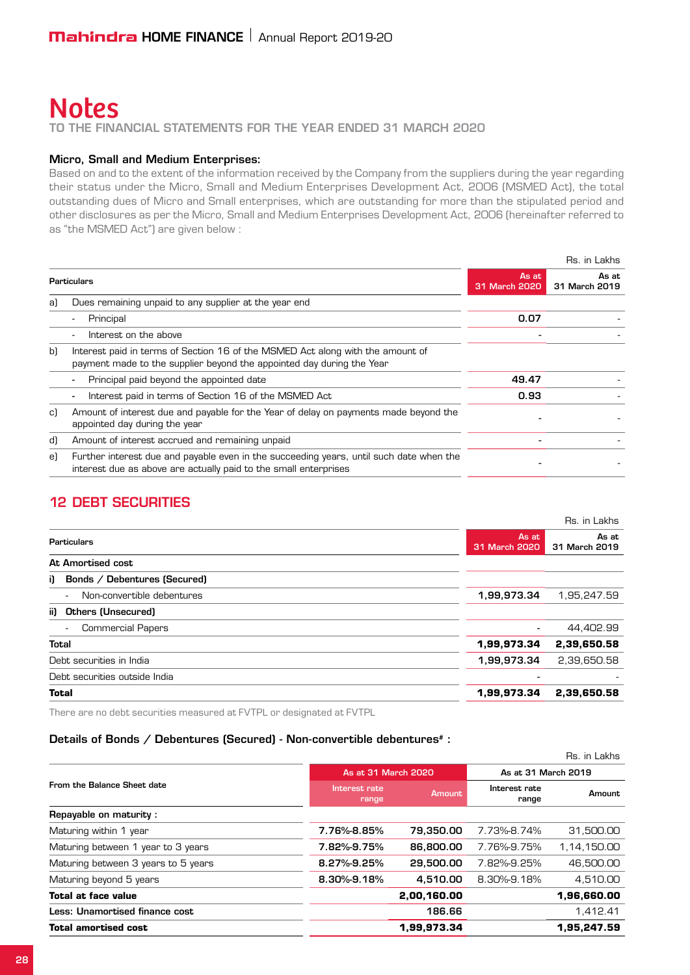to the Financial Statements for the year ended 31 March 2020

#### Micro, Small and Medium Enterprises:

Based on and to the extent of the information received by the Company from the suppliers during the year regarding their status under the Micro, Small and Medium Enterprises Development Act, 2006 (MSMED Act), the total outstanding dues of Micro and Small enterprises, which are outstanding for more than the stipulated period and other disclosures as per the Micro, Small and Medium Enterprises Development Act, 2006 (hereinafter referred to as "the MSMED Act") are given below :

|    |                                                                                                                                                             |       | Rs. in Lakhs           |
|----|-------------------------------------------------------------------------------------------------------------------------------------------------------------|-------|------------------------|
|    | Particulars                                                                                                                                                 |       | As at<br>31 March 2019 |
| al | Dues remaining unpaid to any supplier at the year end                                                                                                       |       |                        |
|    | Principal                                                                                                                                                   | 0.07  |                        |
|    | Interest on the above<br>$\overline{\phantom{m}}$                                                                                                           |       |                        |
| b) | Interest paid in terms of Section 16 of the MSMED Act along with the amount of<br>payment made to the supplier beyond the appointed day during the Year     |       |                        |
|    | Principal paid beyond the appointed date                                                                                                                    | 49.47 |                        |
|    | Interest paid in terms of Section 16 of the MSMED Act<br>$\blacksquare$                                                                                     | 0.93  |                        |
| c) | Amount of interest due and payable for the Year of delay on payments made beyond the<br>appointed day during the year                                       |       |                        |
| d) | Amount of interest accrued and remaining unpaid                                                                                                             |       |                        |
| el | Further interest due and payable even in the succeeding years, until such date when the<br>interest due as above are actually paid to the small enterprises |       |                        |

# 12 DEBT SECURITIES

|                                                        |                        | Rs. in Lakhs           |
|--------------------------------------------------------|------------------------|------------------------|
| Particulars                                            | As at<br>31 March 2020 | As at<br>31 March 2019 |
| At Amortised cost                                      |                        |                        |
| Bonds / Debentures (Secured)<br>i).                    |                        |                        |
| Non-convertible debentures<br>$\overline{\phantom{a}}$ | 1,99,973.34            | 1,95,247.59            |
| Others (Unsecured)<br>ii)                              |                        |                        |
| <b>Commercial Papers</b><br>$\overline{\phantom{a}}$   |                        | 44,402.99              |
| <b>Total</b>                                           | 1,99,973.34            | 2,39,650.58            |
| Debt securities in India                               | 1,99,973.34            | 2,39,650.58            |
| Debt securities outside India                          |                        |                        |
| <b>Total</b>                                           | 1,99,973.34            | 2,39,650.58            |
|                                                        |                        |                        |

There are no debt securities measured at FVTPL or designated at FVTPL

### Details of Bonds / Debentures (Secured) - Non-convertible debentures# :

|                                     |                        |               |                        | Rs. in Lakhs |
|-------------------------------------|------------------------|---------------|------------------------|--------------|
|                                     | As at 31 March 2020    |               | As at 31 March 2019    |              |
| From the Balance Sheet date         | Interest rate<br>range | <b>Amount</b> | Interest rate<br>range | Amount       |
| Repayable on maturity:              |                        |               |                        |              |
| Maturing within 1 year              | 7.76%-8.85%            | 79.350.00     | 7.73%-8.74%            | 31,500.00    |
| Maturing between 1 year to 3 years  | $7.82\%$ -9.75%        | 86,800.00     | 7.76%-9.75%            | 1,14,150.00  |
| Maturing between 3 years to 5 years | $8.27\% - 9.25\%$      | 29,500.00     | 7.82%-9.25%            | 46,500.00    |
| Maturing beyond 5 years             | $8.30\% - 9.18\%$      | 4.510.00      | 8.30%-9.18%            | 4,510.00     |
| <b>Total at face value</b>          |                        | 2,00,160.00   |                        | 1,96,660.00  |
| Less: Unamortised finance cost      |                        | 186.66        |                        | 1.412.41     |
| <b>Total amortised cost</b>         |                        | 1,99,973.34   |                        | 1.95.247.59  |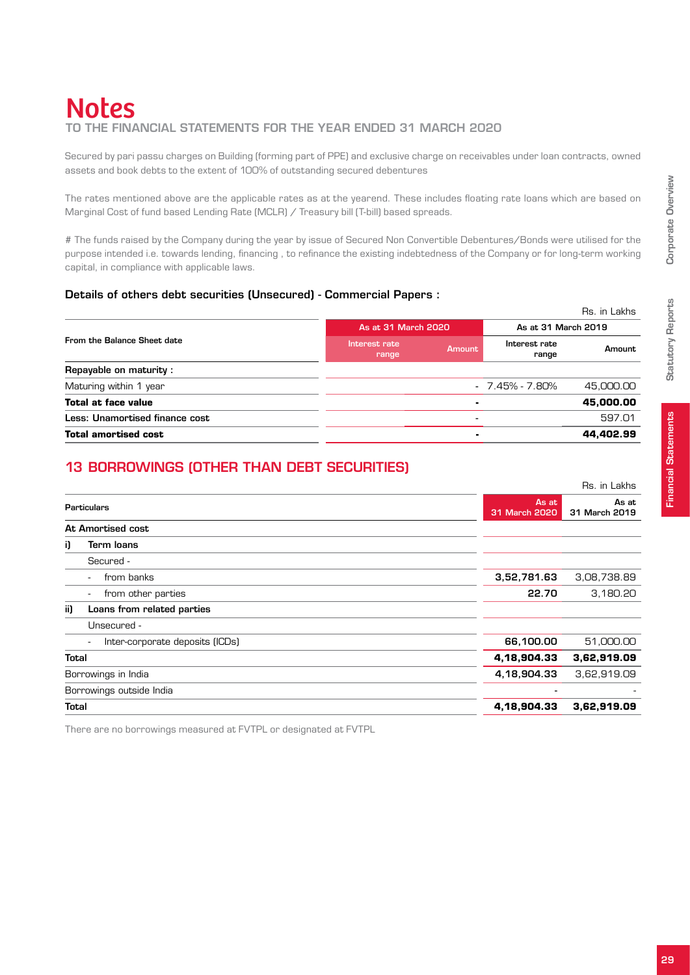Secured by pari passu charges on Building (forming part of PPE) and exclusive charge on receivables under loan contracts, owned assets and book debts to the extent of 100% of outstanding secured debentures

The rates mentioned above are the applicable rates as at the yearend. These includes floating rate loans which are based on Marginal Cost of fund based Lending Rate (MCLR) / Treasury bill (T-bill) based spreads.

# The funds raised by the Company during the year by issue of Secured Non Convertible Debentures/Bonds were utilised for the purpose intended i.e. towards lending, financing , to refinance the existing indebtedness of the Company or for long-term working capital, in compliance with applicable laws.

#### Details of others debt securities (Unsecured) - Commercial Papers :

|                                |                        |               |                        | Rs. in Lakhs |
|--------------------------------|------------------------|---------------|------------------------|--------------|
|                                | As at 31 March 2020    |               | As at 31 March 2019    |              |
| From the Balance Sheet date    | Interest rate<br>range | <b>Amount</b> | Interest rate<br>range | Amount       |
| Repayable on maturity:         |                        |               |                        |              |
| Maturing within 1 year         |                        |               | $-7.45\% - 7.80\%$     | 45,000,00    |
| <b>Total at face value</b>     |                        |               |                        | 45,000.00    |
| Less: Unamortised finance cost |                        |               |                        | 597.01       |
| <b>Total amortised cost</b>    |                        | ۰             |                        | 44,402.99    |

# 13 Borrowings (Other than Debt Securities)

|                                                             |                        | Rs. in Lakhs           |
|-------------------------------------------------------------|------------------------|------------------------|
| <b>Particulars</b>                                          | As at<br>31 March 2020 | As at<br>31 March 2019 |
| At Amortised cost                                           |                        |                        |
| i)<br>Term Ioans                                            |                        |                        |
| Secured -                                                   |                        |                        |
| from banks<br>$\blacksquare$                                | 3,52,781.63            | 3,08,738.89            |
| from other parties<br>$\overline{\phantom{a}}$              | 22.70                  | 3,180.20               |
| ii)<br>Loans from related parties                           |                        |                        |
| Unsecured -                                                 |                        |                        |
| Inter-corporate deposits (ICDs)<br>$\overline{\phantom{a}}$ | 66,100.00              | 51,000.00              |
| <b>Total</b>                                                | 4,18,904.33            | 3,62,919.09            |
| Borrowings in India                                         | 4,18,904.33            | 3,62,919.09            |
| Borrowings outside India                                    |                        |                        |
| <b>Total</b>                                                | 4,18,904.33            | 3,62,919.09            |

There are no borrowings measured at FVTPL or designated at FVTPL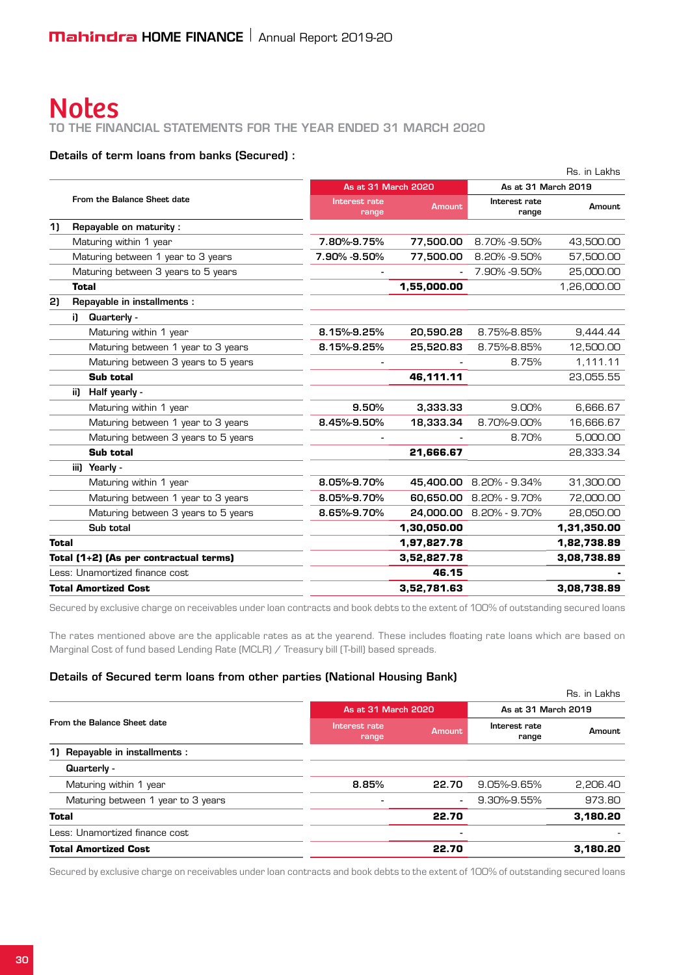to the Financial Statements for the year ended 31 March 2020

#### Details of term loans from banks (Secured) :

|              |                                        |                        |                     |                         | Rs. in Lakhs        |  |
|--------------|----------------------------------------|------------------------|---------------------|-------------------------|---------------------|--|
|              |                                        |                        | As at 31 March 2020 |                         | As at 31 March 2019 |  |
|              | From the Balance Sheet date            | Interest rate<br>range | Amount              | Interest rate<br>range  | Amount              |  |
| 1)           | Repayable on maturity:                 |                        |                     |                         |                     |  |
|              | Maturing within 1 year                 | 7.80%-9.75%            | 77,500.00           | 8.70% -9.50%            | 43,500.00           |  |
|              | Maturing between 1 year to 3 years     | 7.90% -9.50%           | 77,500,00           | 8.20% - 9.50%           | 57,500.00           |  |
|              | Maturing between 3 years to 5 years    |                        |                     | 7.90% -9.50%            | 25,000.00           |  |
|              | <b>Total</b>                           |                        | 1,55,000.00         |                         | 1,26,000.00         |  |
| 21           | Repayable in installments :            |                        |                     |                         |                     |  |
|              | Quarterly -<br>i).                     |                        |                     |                         |                     |  |
|              | Maturing within 1 year                 | 8.15%-9.25%            | 20,590.28           | 8.75%-8.85%             | 9,444.44            |  |
|              | Maturing between 1 year to 3 years     | 8.15%-9.25%            | 25,520.83           | 8.75%-8.85%             | 12,500.00           |  |
|              | Maturing between 3 years to 5 years    |                        |                     | 8.75%                   | 1,111.11            |  |
|              | <b>Sub total</b>                       |                        | 46,111.11           |                         | 23,055.55           |  |
|              | Half yearly -<br>ii)                   |                        |                     |                         |                     |  |
|              | Maturing within 1 year                 | 9.50%                  | 3,333.33            | 9.00%                   | 6,666.67            |  |
|              | Maturing between 1 year to 3 years     | 8.45%-9.50%            | 18,333.34           | 8.70%-9.00%             | 16,666.67           |  |
|              | Maturing between 3 years to 5 years    |                        |                     | 8.70%                   | 5,000.00            |  |
|              | Sub total                              |                        | 21,666.67           |                         | 28,333.34           |  |
|              | iii) Yearly -                          |                        |                     |                         |                     |  |
|              | Maturing within 1 year                 | 8.05%-9.70%            | 45,400,00           | 8.20% - 9.34%           | 31,300.00           |  |
|              | Maturing between 1 year to 3 years     | 8.05%-9.70%            |                     | 60,650.00 8.20% - 9.70% | 72,000.00           |  |
|              | Maturing between 3 years to 5 years    | 8.65%-9.70%            |                     | 24.000.00 8.20% - 9.70% | 28,050.00           |  |
|              | Sub total                              |                        | 1,30,050.00         |                         | 1,31,350.00         |  |
| <b>Total</b> |                                        |                        | 1,97,827.78         |                         | 1,82,738.89         |  |
|              | Total (1+2) (As per contractual terms) |                        | 3,52,827.78         |                         | 3,08,738.89         |  |
|              | Less: Unamortized finance cost         |                        | 46.15               |                         |                     |  |
|              | <b>Total Amortized Cost</b>            |                        | 3,52,781.63         |                         | 3,08,738.89         |  |

Secured by exclusive charge on receivables under loan contracts and book debts to the extent of 100% of outstanding secured loans

The rates mentioned above are the applicable rates as at the yearend. These includes floating rate loans which are based on Marginal Cost of fund based Lending Rate (MCLR) / Treasury bill (T-bill) based spreads.

#### Details of Secured term loans from other parties (National Housing Bank)

|                                    |                        |                          |                        | Rs. in Lakhs  |
|------------------------------------|------------------------|--------------------------|------------------------|---------------|
|                                    | As at 31 March 2020    |                          | As at 31 March 2019    |               |
| From the Balance Sheet date        | Interest rate<br>range | <b>Amount</b>            | Interest rate<br>range | <b>Amount</b> |
| 1) Repayable in installments :     |                        |                          |                        |               |
| Quarterly -                        |                        |                          |                        |               |
| Maturing within 1 year             | 8.85%                  | 22.70                    | 9.05%-9.65%            | 2,206.40      |
| Maturing between 1 year to 3 years | $\blacksquare$         | $\blacksquare$           | $9.30\% - 9.55\%$      | 973.80        |
| <b>Total</b>                       |                        | 22.70                    |                        | 3,180.20      |
| Less: Unamortized finance cost     |                        | $\overline{\phantom{0}}$ |                        |               |
| <b>Total Amortized Cost</b>        |                        | 22.70                    |                        | 3.180.20      |

Secured by exclusive charge on receivables under loan contracts and book debts to the extent of 100% of outstanding secured loans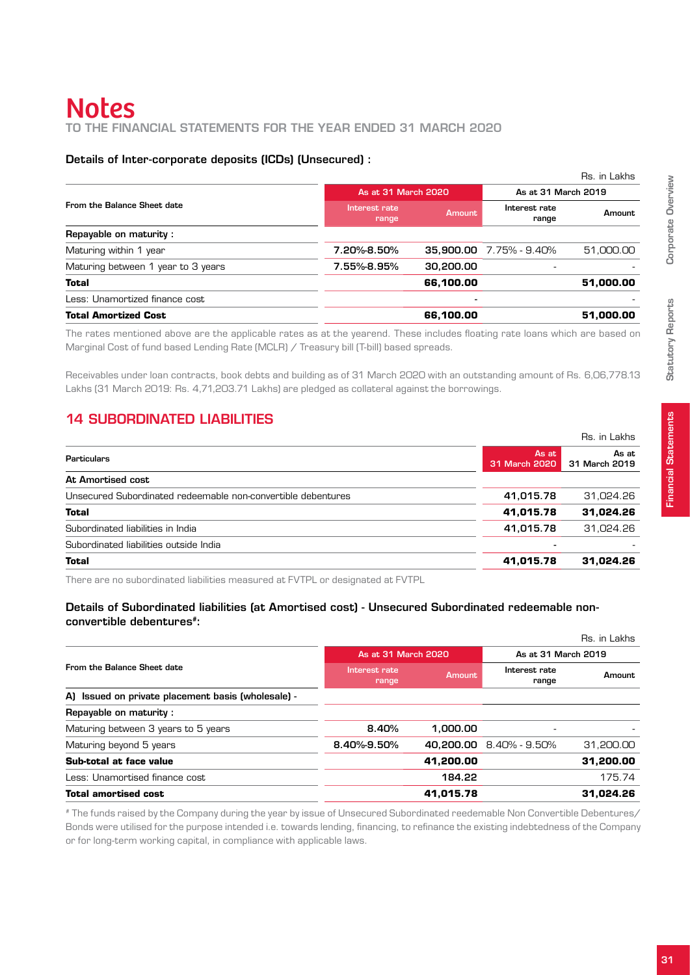#### Details of Inter-corporate deposits (ICDs) (Unsecured) :

|                                    |                        |               |                                | Rs. in Lakhs        |  |
|------------------------------------|------------------------|---------------|--------------------------------|---------------------|--|
|                                    | As at 31 March 2020    |               |                                | As at 31 March 2019 |  |
| From the Balance Sheet date        | Interest rate<br>range | <b>Amount</b> | Interest rate<br>range         | Amount              |  |
| Repayable on maturity:             |                        |               |                                |                     |  |
| Maturing within 1 year             | 7.20%-8.50%            |               | <b>35.900.00</b> 7.75% - 9.40% | 51,000.00           |  |
| Maturing between 1 year to 3 years | $7.55\%$ -8.95%        | 30,200,00     | -                              |                     |  |
| Total                              |                        | 66,100.00     |                                | 51,000.00           |  |
| Less: Unamortized finance cost     |                        |               |                                |                     |  |
| <b>Total Amortized Cost</b>        |                        | 66,100.00     |                                | 51,000.00           |  |

The rates mentioned above are the applicable rates as at the yearend. These includes floating rate loans which are based on Marginal Cost of fund based Lending Rate (MCLR) / Treasury bill (T-bill) based spreads.

Receivables under loan contracts, book debts and building as of 31 March 2020 with an outstanding amount of Rs. 6,06,778.13 Lakhs (31 March 2019: Rs. 4,71,203.71 Lakhs) are pledged as collateral against the borrowings.

# 14 Subordinated liabilities

|                                                              |                        | Rs. in Lakhs           |
|--------------------------------------------------------------|------------------------|------------------------|
| Particulars                                                  | As at<br>31 March 2020 | As at<br>31 March 2019 |
| At Amortised cost                                            |                        |                        |
| Unsecured Subordinated redeemable non-convertible debentures | 41,015.78              | 31,024.26              |
| <b>Total</b>                                                 | 41,015.78              | 31,024.26              |
| Subordinated liabilities in India                            | 41,015.78              | 31.024.26              |
| Subordinated liabilities outside India                       |                        |                        |
| <b>Total</b>                                                 | 41,015.78              | 31,024.26              |

There are no subordinated liabilities measured at FVTPL or designated at FVTPL

#### Details of Subordinated liabilities (at Amortised cost) - Unsecured Subordinated redeemable nonconvertible debentures#:

|                                                    |                        |           |                        | Rs. in Lakhs  |
|----------------------------------------------------|------------------------|-----------|------------------------|---------------|
|                                                    | As at 31 March 2020    |           | As at 31 March 2019    |               |
| From the Balance Sheet date                        | Interest rate<br>range | Amount    | Interest rate<br>range | <b>Amount</b> |
| A) Issued on private placement basis (wholesale) - |                        |           |                        |               |
| Repayable on maturity:                             |                        |           |                        |               |
| Maturing between 3 years to 5 years                | 8.40%                  | 1.000.00  |                        |               |
| Maturing beyond 5 years                            | $8.40\%$ -9.50%        | 40.200.00 | 8.40% - 9.50%          | 31,200,00     |
| Sub-total at face value                            |                        | 41.200.00 |                        | 31,200.00     |
| Less: Unamortised finance cost                     |                        | 184.22    |                        | 175.74        |
| <b>Total amortised cost</b>                        |                        | 41.015.78 |                        | 31.024.26     |

# The funds raised by the Company during the year by issue of Unsecured Subordinated reedemable Non Convertible Debentures/ Bonds were utilised for the purpose intended i.e. towards lending, financing, to refinance the existing indebtedness of the Company or for long-term working capital, in compliance with applicable laws.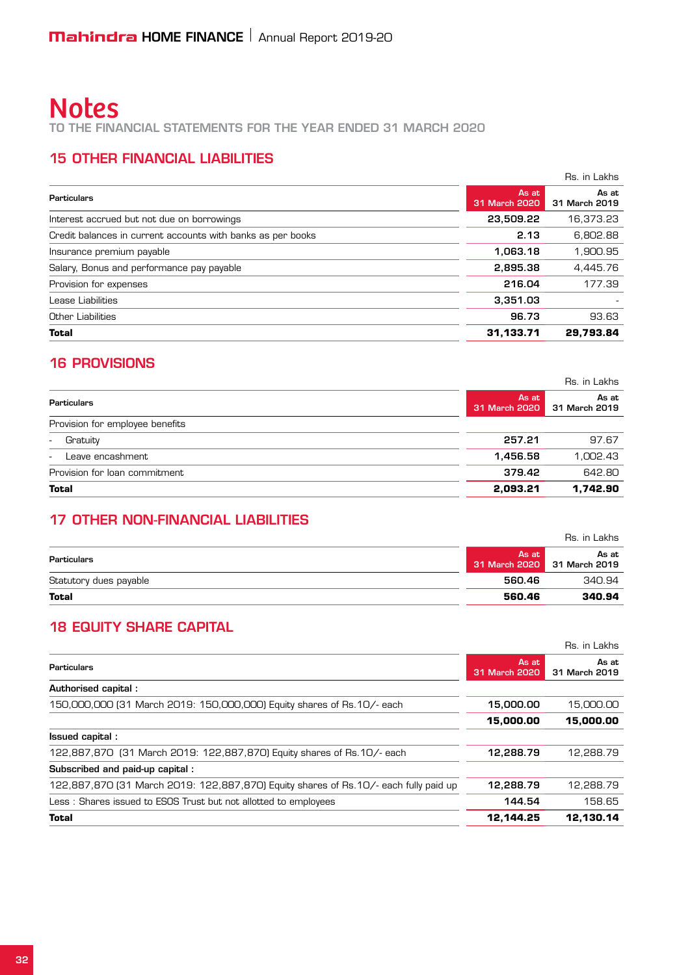to the Financial Statements for the year ended 31 March 2020

# 15 Other financial liabilities

|                                                             |                        | Rs. in Lakhs           |
|-------------------------------------------------------------|------------------------|------------------------|
| Particulars                                                 | As at<br>31 March 2020 | As at<br>31 March 2019 |
| Interest accrued but not due on borrowings                  | 23,509.22              | 16,373.23              |
| Credit balances in current accounts with banks as per books | 2.13                   | 6,802.88               |
| Insurance premium payable                                   | 1,063.18               | 1,900.95               |
| Salary, Bonus and performance pay payable                   | 2,895.38               | 4,445.76               |
| Provision for expenses                                      | 216.04                 | 177.39                 |
| Lease Liabilities                                           | 3,351.03               |                        |
| Other Liabilities                                           | 96.73                  | 93.63                  |
| Total                                                       | 31,133.71              | 29,793.84              |
|                                                             |                        |                        |

# 16 Provisions

|                                 |                        | Rs. in Lakhs           |
|---------------------------------|------------------------|------------------------|
| <b>Particulars</b>              | As at<br>31 March 2020 | As at<br>31 March 2019 |
| Provision for employee benefits |                        |                        |
| - Gratuity                      | 257.21                 | 97.67                  |
| Leave encashment<br>$\sim$      | 1.456.58               | 1.002.43               |
| Provision for loan commitment   | 379.42                 | 642.80                 |
| <b>Total</b>                    | 2,093.21               | 1,742.90               |

# 17 Other non-financial liabilities

|                        |                                      | Rs. in Lakhs |
|------------------------|--------------------------------------|--------------|
| Particulars            | As at<br>31 March 2020 31 March 2019 | As at        |
| Statutory dues payable | 560.46                               | 340.94       |
| <b>Total</b>           | 560.46                               | 340.94       |

# **18 EQUITY SHARE CAPITAL**

|                                                                                      |                        | Rs. in Lakhs           |
|--------------------------------------------------------------------------------------|------------------------|------------------------|
| <b>Particulars</b>                                                                   | As at<br>31 March 2020 | As at<br>31 March 2019 |
| Authorised capital:                                                                  |                        |                        |
| 150,000,000 [31 March 2019: 150,000,000] Equity shares of Rs. 10/- each              | 15,000.00              | 15,000.00              |
|                                                                                      | 15,000.00              | 15,000.00              |
| Issued capital:                                                                      |                        |                        |
| 122,887,870 [31 March 2019: 122,887,870] Equity shares of Rs.10/- each               | 12,288.79              | 12,288.79              |
| Subscribed and paid-up capital:                                                      |                        |                        |
| 122,887,870 [31 March 2019: 122,887,870] Equity shares of Rs.10/- each fully paid up | 12,288.79              | 12,288.79              |
| Less: Shares issued to ESOS Trust but not allotted to employees                      | 144.54                 | 158.65                 |
| <b>Total</b>                                                                         | 12,144.25              | 12,130.14              |
|                                                                                      |                        |                        |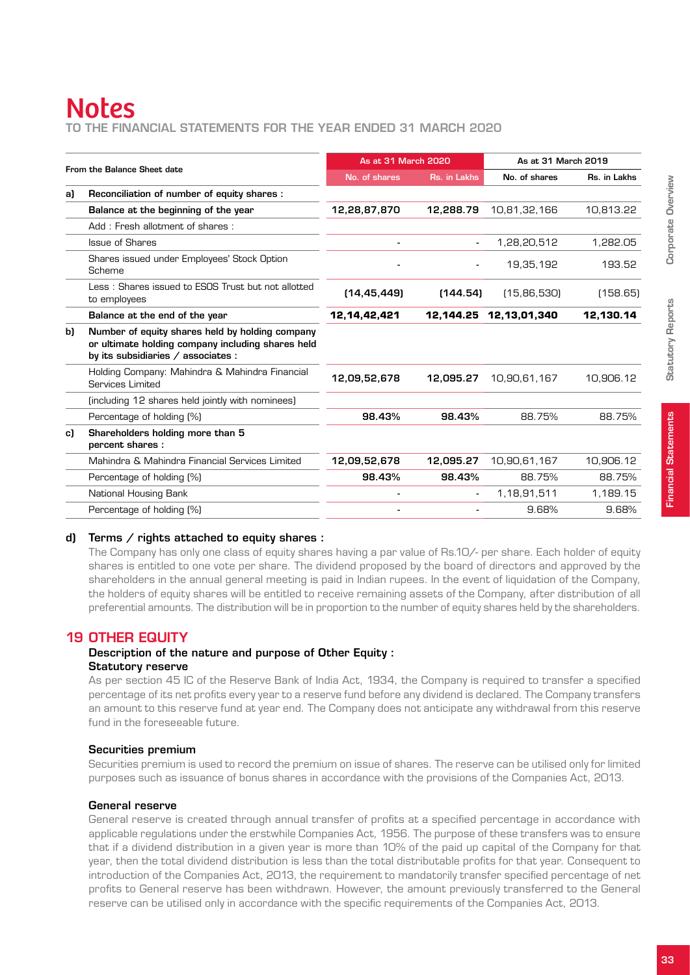to the Financial Statements for the year ended 31 March 2020

| From the Balance Sheet date |                                                                                                                                            | As at 31 March 2020          |                | As at 31 March 2019 |              |
|-----------------------------|--------------------------------------------------------------------------------------------------------------------------------------------|------------------------------|----------------|---------------------|--------------|
|                             |                                                                                                                                            | No. of shares                | Rs. in Lakhs   | No. of shares       | Rs. in Lakhs |
| a)                          | Reconciliation of number of equity shares :                                                                                                |                              |                |                     |              |
|                             | Balance at the beginning of the year                                                                                                       | 12,28,87,870                 | 12.288.79      | 10.81.32.166        | 10.813.22    |
|                             | Add: Fresh allotment of shares:                                                                                                            |                              |                |                     |              |
|                             | <b>Issue of Shares</b>                                                                                                                     | $\qquad \qquad \blacksquare$ | $\blacksquare$ | 1,28,20,512         | 1.282.05     |
|                             | Shares issued under Employees' Stock Option<br>Scheme                                                                                      |                              |                | 19,35,192           | 193.52       |
|                             | Less: Shares issued to ESOS Trust but not allotted<br>to employees                                                                         | (14, 45, 449)                | (144.54)       | (15,86,530)         | (158.65)     |
|                             | Balance at the end of the year                                                                                                             | 12, 14, 42, 421              | 12,144.25      | 12,13,01,340        | 12,130.14    |
| b)                          | Number of equity shares held by holding company<br>or ultimate holding company including shares held<br>by its subsidiaries / associates : |                              |                |                     |              |
|                             | Holding Company: Mahindra & Mahindra Financial<br>Services Limited                                                                         | 12,09,52,678                 | 12.095.27      | 10,90,61,167        | 10.906.12    |
|                             | (including 12 shares held jointly with nominees)                                                                                           |                              |                |                     |              |
|                             | Percentage of holding (%)                                                                                                                  | 98.43%                       | 98.43%         | 88.75%              | 88.75%       |
| c)                          | Shareholders holding more than 5<br>percent shares :                                                                                       |                              |                |                     |              |
|                             | Mahindra & Mahindra Financial Services Limited                                                                                             | 12,09,52,678                 | 12.095.27      | 10,90,61,167        | 10,906.12    |
|                             | Percentage of holding (%)                                                                                                                  | 98.43%                       | 98.43%         | 88.75%              | 88.75%       |
|                             | National Housing Bank                                                                                                                      | $\overline{a}$               | $\blacksquare$ | 1,18,91,511         | 1,189.15     |
|                             | Percentage of holding (%)                                                                                                                  | $\qquad \qquad \blacksquare$ |                | 9.68%               | 9.68%        |

#### d) Terms / rights attached to equity shares :

The Company has only one class of equity shares having a par value of Rs.10/- per share. Each holder of equity shares is entitled to one vote per share. The dividend proposed by the board of directors and approved by the shareholders in the annual general meeting is paid in Indian rupees. In the event of liquidation of the Company, the holders of equity shares will be entitled to receive remaining assets of the Company, after distribution of all preferential amounts. The distribution will be in proportion to the number of equity shares held by the shareholders.

# 19 Other Equity

### Description of the nature and purpose of Other Equity : Statutory reserve

As per section 45 IC of the Reserve Bank of India Act, 1934, the Company is required to transfer a specified percentage of its net profits every year to a reserve fund before any dividend is declared. The Company transfers an amount to this reserve fund at year end. The Company does not anticipate any withdrawal from this reserve fund in the foreseeable future.

### Securities premium

Securities premium is used to record the premium on issue of shares. The reserve can be utilised only for limited purposes such as issuance of bonus shares in accordance with the provisions of the Companies Act, 2013.

#### General reserve

General reserve is created through annual transfer of profits at a specified percentage in accordance with applicable regulations under the erstwhile Companies Act, 1956. The purpose of these transfers was to ensure that if a dividend distribution in a given year is more than 10% of the paid up capital of the Company for that year, then the total dividend distribution is less than the total distributable profits for that year. Consequent to introduction of the Companies Act, 2013, the requirement to mandatorily transfer specified percentage of net profits to General reserve has been withdrawn. However, the amount previously transferred to the General reserve can be utilised only in accordance with the specific requirements of the Companies Act, 2013.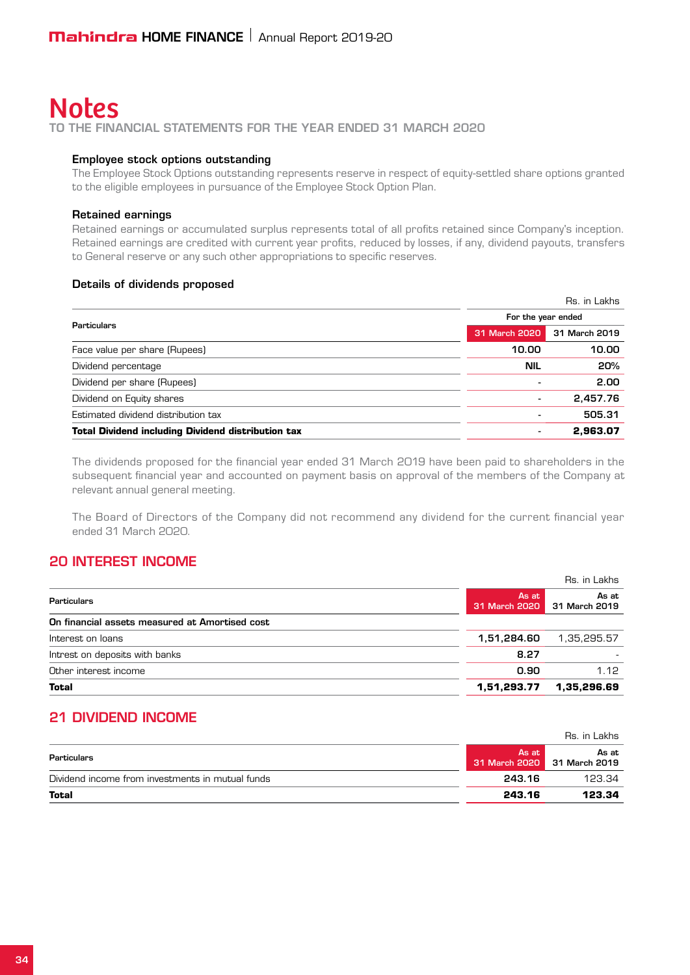to the Financial Statements for the year ended 31 March 2020

#### Employee stock options outstanding

The Employee Stock Options outstanding represents reserve in respect of equity-settled share options granted to the eligible employees in pursuance of the Employee Stock Option Plan.

#### Retained earnings

Retained earnings or accumulated surplus represents total of all profits retained since Company's inception. Retained earnings are credited with current year profits, reduced by losses, if any, dividend payouts, transfers to General reserve or any such other appropriations to specific reserves.

#### Details of dividends proposed

|                                                           |                    | Rs. in Lakhs  |
|-----------------------------------------------------------|--------------------|---------------|
| Particulars                                               | For the year ended |               |
|                                                           | 31 March 2020      | 31 March 2019 |
| Face value per share (Rupees)                             | 10.00              | 10.00         |
| Dividend percentage                                       | NIL                | 20%           |
| Dividend per share (Rupees)                               |                    | 2.00          |
| Dividend on Equity shares                                 |                    | 2,457.76      |
| Estimated dividend distribution tax                       |                    | 505.31        |
| <b>Total Dividend including Dividend distribution tax</b> |                    | 2,963.07      |

The dividends proposed for the financial year ended 31 March 2019 have been paid to shareholders in the subsequent financial year and accounted on payment basis on approval of the members of the Company at relevant annual general meeting.

The Board of Directors of the Company did not recommend any dividend for the current financial year ended 31 March 2020.

# 20 Interest income

| <b>Total</b>                                   | 1,51,293.77            | 1,35,296.69            |
|------------------------------------------------|------------------------|------------------------|
| Other interest income                          | 0.90                   | 1.12                   |
| Intrest on deposits with banks                 | 8.27                   |                        |
| Interest on loans                              | 1,51,284.60            | 1.35.295.57            |
| On financial assets measured at Amortised cost |                        |                        |
| <b>Particulars</b>                             | As at<br>31 March 2020 | As at<br>31 March 2019 |
|                                                |                        | Rs. in Lakhs           |

# 21 Dividend income

| Total                                            | 243.16<br>123.34                              |
|--------------------------------------------------|-----------------------------------------------|
| Dividend income from investments in mutual funds | 243.16<br>123.34                              |
| Particulars                                      | As at<br>As at<br>31 March 2020 31 March 2019 |
|                                                  | Rs. in Lakhs                                  |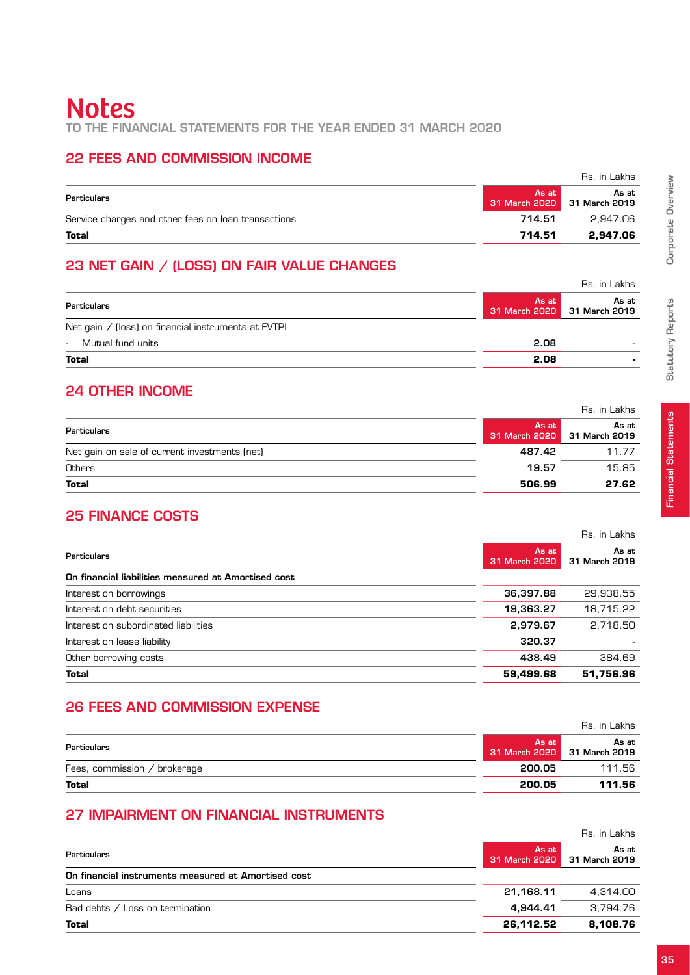to the Financial Statements for the year ended 31 March 2020

# 22 Fees and commission income

|                                                     |                        | Rs. in Lakhs           |
|-----------------------------------------------------|------------------------|------------------------|
| <b>Particulars</b>                                  | As at<br>31 March 2020 | As at<br>31 March 2019 |
| Service charges and other fees on loan transactions | 714.51                 | 2.947.06               |
| <b>Total</b>                                        | 714.51                 | 2,947.06               |

# 23 Net gain / (loss) on fair value changes

|                                                     |                                      | Rs. in Lakhs |
|-----------------------------------------------------|--------------------------------------|--------------|
| Particulars                                         | As at<br>31 March 2020 31 March 2019 | As at        |
| Net gain / (loss) on financial instruments at FVTPL |                                      |              |
| Mutual fund units<br>$\sim$                         | 2.08                                 |              |
| <b>Total</b>                                        | 2.08                                 |              |

# 24 Other income

|                                               |                                      | Rs. in Lakhs |  |
|-----------------------------------------------|--------------------------------------|--------------|--|
| Particulars                                   | As at<br>31 March 2020 31 March 2019 | As at        |  |
| Net gain on sale of current investments (net) | 487.42                               | 11.77        |  |
| Others                                        | 19.57                                | 15.85        |  |
| <b>Total</b>                                  | 506.99                               | 27.62        |  |

# 25 Finance costs

|                                                     |                        | Rs. in Lakhs           |
|-----------------------------------------------------|------------------------|------------------------|
| <b>Particulars</b>                                  | As at<br>31 March 2020 | As at<br>31 March 2019 |
| On financial liabilities measured at Amortised cost |                        |                        |
| Interest on borrowings                              | 36,397.88              | 29,938.55              |
| Interest on debt securities                         | 19,363.27              | 18,715.22              |
| Interest on subordinated liabilities                | 2,979.67               | 2,718.50               |
| Interest on lease liability                         | 320.37                 |                        |
| Other borrowing costs                               | 438.49                 | 384.69                 |
| <b>Total</b>                                        | 59,499.68              | 51,756.96              |
|                                                     |                        |                        |

# 26 Fees and commission expense

|                              |                                      | Rs. in Lakhs |
|------------------------------|--------------------------------------|--------------|
| <b>Particulars</b>           | As at<br>31 March 2020 31 March 2019 | As at        |
| Fees, commission / brokerage | 200.05                               | 111.56       |
| <b>Total</b>                 | 200.05                               | 111.56       |

# 27 IMPAIRMENT ON FINANCIAL INSTRUMENTS

| <b>Total</b>                                        | 26.112.52              | 8.108.76               |
|-----------------------------------------------------|------------------------|------------------------|
| Bad debts / Loss on termination                     | 4.944.41               | 3.794.76               |
| Loans                                               | 21.168.11              | 4.314.00               |
| On financial instruments measured at Amortised cost |                        |                        |
| Particulars                                         | As at<br>31 March 2020 | As at<br>31 March 2019 |
|                                                     |                        | Rs. in Lakhs           |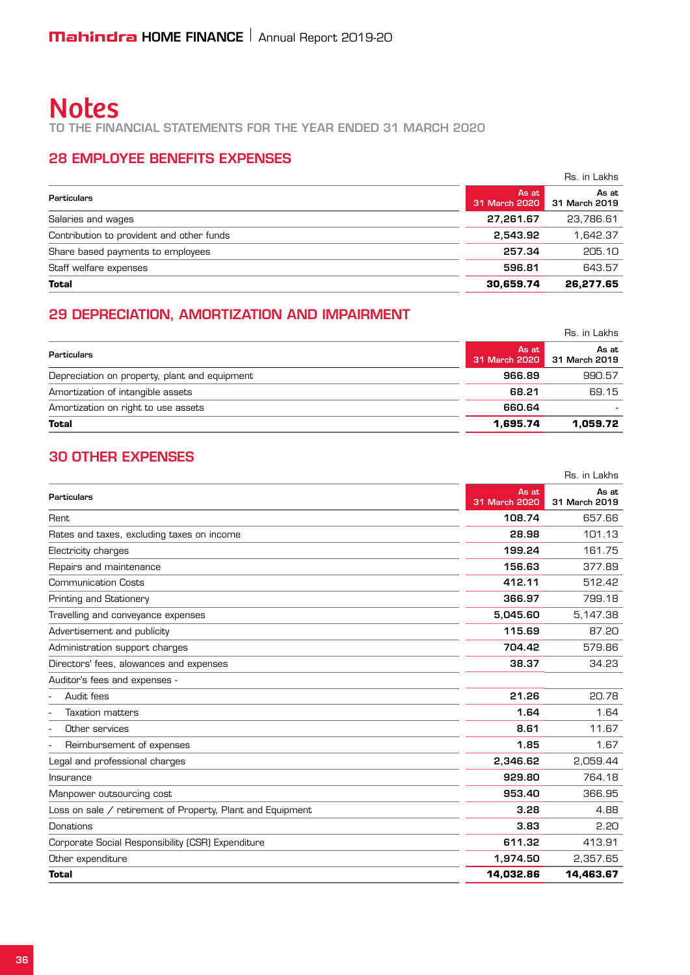to the Financial Statements for the year ended 31 March 2020

# 28 Employee benefits expenses

|                                           |                        | Rs. in Lakhs           |
|-------------------------------------------|------------------------|------------------------|
| Particulars                               | As at<br>31 March 2020 | As at<br>31 March 2019 |
| Salaries and wages                        | 27,261.67              | 23,786.61              |
| Contribution to provident and other funds | 2.543.92               | 1.642.37               |
| Share based payments to employees         | 257.34                 | 205.10                 |
| Staff welfare expenses                    | 596.81                 | 643.57                 |
| <b>Total</b>                              | 30,659.74              | 26,277.65              |

# 29 Depreciation, amortization and impairment

| Total                                         | 1.695.74               | 1.059.72               |
|-----------------------------------------------|------------------------|------------------------|
| Amortization on right to use assets           | 660.64                 |                        |
| Amortization of intangible assets             | 68.21                  | 69.15                  |
| Depreciation on property, plant and equipment | 966.89                 | 990.57                 |
| Particulars                                   | As at<br>31 March 2020 | As at<br>31 March 2019 |
|                                               |                        | Rs. in Lakhs           |

# 30 Other expenses

|                                                            |                        | Rs. in Lakhs           |
|------------------------------------------------------------|------------------------|------------------------|
| <b>Particulars</b>                                         | As at<br>31 March 2020 | As at<br>31 March 2019 |
| Rent                                                       | 108.74                 | 657.66                 |
| Rates and taxes, excluding taxes on income                 | 28.98                  | 101.13                 |
| Electricity charges                                        | 199.24                 | 161.75                 |
| Repairs and maintenance                                    | 156.63                 | 377.89                 |
| <b>Communication Costs</b>                                 | 412.11                 | 512.42                 |
| Printing and Stationery                                    | 366.97                 | 799.18                 |
| Travelling and conveyance expenses                         | 5.045.60               | 5.147.38               |
| Advertisement and publicity                                | 115.69                 | 87.20                  |
| Administration support charges                             | 704.42                 | 579.86                 |
| Directors' fees, alowances and expenses                    | 38.37                  | 34.23                  |
| Auditor's fees and expenses -                              |                        |                        |
| Audit fees                                                 | 21.26                  | 20.78                  |
| <b>Taxation matters</b>                                    | 1.64                   | 1.64                   |
| Other services                                             | 8.61                   | 11.67                  |
| Reimbursement of expenses                                  | 1.85                   | 1.67                   |
| Legal and professional charges                             | 2.346.62               | 2.059.44               |
| Insurance                                                  | 929.80                 | 764.18                 |
| Manpower outsourcing cost                                  | 953.40                 | 366.95                 |
| Loss on sale / retirement of Property, Plant and Equipment | 3.28                   | 4.88                   |
| Donations                                                  | 3.83                   | 2.20                   |
| Corporate Social Responsibility (CSR) Expenditure          | 611.32                 | 413.91                 |
| Other expenditure                                          | 1,974.50               | 2,357.65               |
| Total                                                      | 14,032.86              | 14.463.67              |
|                                                            |                        |                        |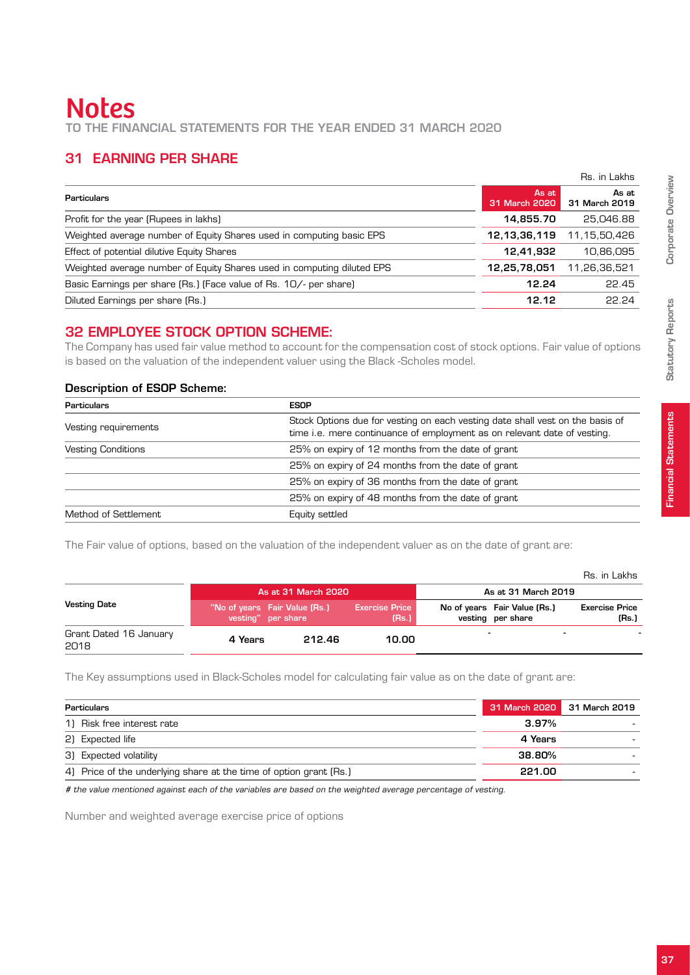# **Notes** to the Financial Statements for the year ended 31 March 2020

### 31 Earning Per Share

|                                                                        |                        | Rs. in Lakhs           |
|------------------------------------------------------------------------|------------------------|------------------------|
| Particulars                                                            | As at<br>31 March 2020 | As at<br>31 March 2019 |
| Profit for the year (Rupees in lakhs)                                  | 14,855.70              | 25.046.88              |
| Weighted average number of Equity Shares used in computing basic EPS   | 12, 13, 36, 119        | 11,15,50,426           |
| Effect of potential dilutive Equity Shares                             | 12.41.932              | 10,86,095              |
| Weighted average number of Equity Shares used in computing diluted EPS | 12,25,78,051           | 11,26,36,521           |
| Basic Earnings per share (Rs.) (Face value of Rs. 10/- per share)      | 12.24                  | 22.45                  |
| Diluted Earnings per share (Rs.)                                       | 12.12                  | 22.24                  |

### 32 Employee Stock Option Scheme:

The Company has used fair value method to account for the compensation cost of stock options. Fair value of options is based on the valuation of the independent valuer using the Black -Scholes model.

### Description of ESOP Scheme:

| Particulars                                       | ESOP                                                                                                                                                      |
|---------------------------------------------------|-----------------------------------------------------------------------------------------------------------------------------------------------------------|
| Vesting requirements                              | Stock Options due for vesting on each vesting date shall vest on the basis of<br>time i.e. mere continuance of employment as on relevant date of vesting. |
| <b>Vesting Conditions</b>                         | 25% on expiry of 12 months from the date of grant                                                                                                         |
|                                                   | 25% on expiry of 24 months from the date of grant                                                                                                         |
|                                                   | 25% on expiry of 36 months from the date of grant                                                                                                         |
| 25% on expiry of 48 months from the date of grant |                                                                                                                                                           |
| Method of Settlement                              | Equity settled                                                                                                                                            |

The Fair value of options, based on the valuation of the independent valuer as on the date of grant are:

|                                |                                                     |        |                                |                                                   | Rs. in Lakhs                   |
|--------------------------------|-----------------------------------------------------|--------|--------------------------------|---------------------------------------------------|--------------------------------|
|                                | As at 31 March 2020                                 |        |                                | As at 31 March 2019                               |                                |
| <b>Vesting Date</b>            | "No of years Fair Value (Rs.)<br>vesting" per share |        | <b>Exercise Price</b><br>(Rs.) | No of years Fair Value (Rs.)<br>vesting per share | <b>Exercise Price</b><br>(Rs.) |
| Grant Dated 16 January<br>2018 | 4 Years                                             | 212.46 | 10.00                          | $\overline{\phantom{a}}$                          | $\blacksquare$                 |

The Key assumptions used in Black-Scholes model for calculating fair value as on the date of grant are:

| Particulars                                                        |          | 31 March 2020 31 March 2019 |
|--------------------------------------------------------------------|----------|-----------------------------|
| 1) Risk free interest rate                                         | $3.97\%$ |                             |
| 2) Expected life                                                   | 4 Years  |                             |
| 3) Expected volatility                                             | 38.80%   |                             |
| 4) Price of the underlying share at the time of option grant (Rs.) | 221.00   |                             |

# the value mentioned against each of the variables are based on the weighted average percentage of vesting.

Number and weighted average exercise price of options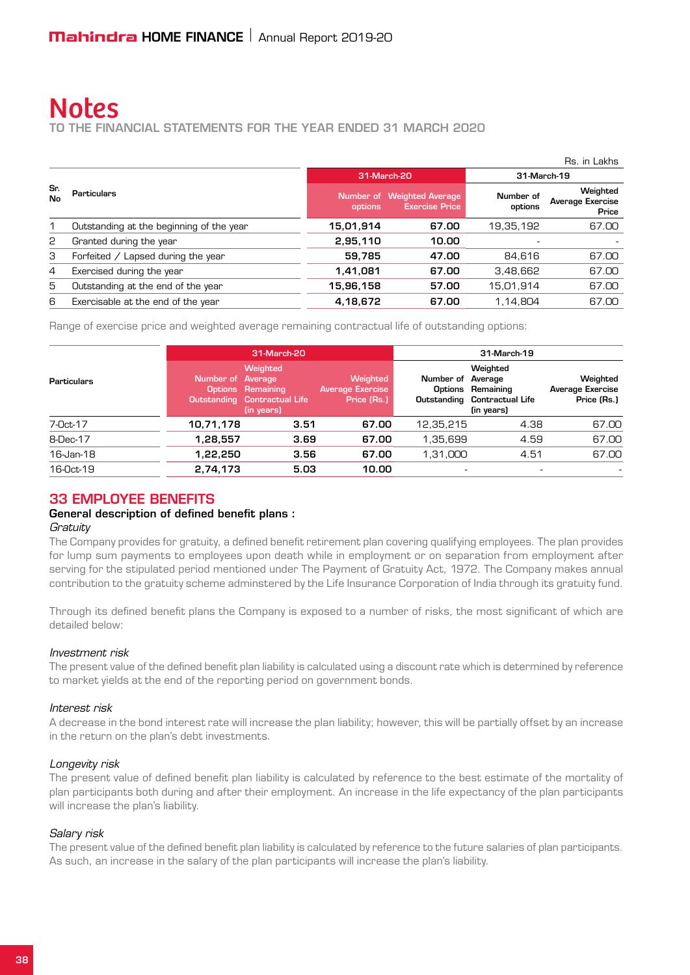THE FINANCIAL STATEMENTS FOR THE YEAR ENDED 31 MARCH 2020

|           | Rs. in Lakhs                             |           |                                                     |                      |                                              |
|-----------|------------------------------------------|-----------|-----------------------------------------------------|----------------------|----------------------------------------------|
|           |                                          |           | 31-March-20                                         | 31-March-19          |                                              |
| Sr.<br>No | <b>Particulars</b>                       | options   | Number of Weighted Average<br><b>Exercise Price</b> | Number of<br>options | Weighted<br><b>Average Exercise</b><br>Price |
|           | Outstanding at the beginning of the year | 15,01,914 | 67.00                                               | 19,35,192            | 67.00                                        |
| 2         | Granted during the year                  | 2,95,110  | 10.00                                               |                      |                                              |
| З         | Forfeited / Lapsed during the year       | 59,785    | 47.00                                               | 84.616               | 67.00                                        |
| 4         | Exercised during the year                | 1,41,081  | 67.00                                               | 3,48,662             | 67.00                                        |
| 5         | Outstanding at the end of the year       | 15,96,158 | 57.00                                               | 15,01,914            | 67.00                                        |
| 6         | Exercisable at the end of the year       | 4,18,672  | 67.00                                               | 1.14.804             | 67.00                                        |

Range of exercise price and weighted average remaining contractual life of outstanding options:

|                       |                   | 31-March-20                                                                               |                                                           |           | 31-March-19                                                                            |                                                    |
|-----------------------|-------------------|-------------------------------------------------------------------------------------------|-----------------------------------------------------------|-----------|----------------------------------------------------------------------------------------|----------------------------------------------------|
| <b>Particulars</b>    | Number of Average | <b>Weighted</b><br>Options Remaining<br><b>Outstanding Contractual Life</b><br>(in years) | <b>Weighted</b><br><b>Average Exercise</b><br>Price (Rs.) | Number of | Weighted<br>Average<br>Options Remaining<br>Outstanding Contractual Life<br>(in years) | Weighted<br><b>Average Exercise</b><br>Price (Rs.) |
| 7-0 <sub>ct</sub> -17 | 10,71,178         | 3.51                                                                                      | 67.00                                                     | 12,35,215 | 4.38                                                                                   | 67.00                                              |
| 8-Dec-17              | 1,28,557          | 3.69                                                                                      | 67.00                                                     | 1,35,699  | 4.59                                                                                   | 67.00                                              |
| 16-Jan-18             | 1,22,250          | 3.56                                                                                      | 67.00                                                     | 1.31.000  | 4.51                                                                                   | 67.00                                              |
| 16-0ct-19             | 2,74,173          | 5.03                                                                                      | 10.00                                                     |           |                                                                                        |                                                    |

### 33 Employee Benefits

### General description of defined benefit plans :

### **Gratuity**

The Company provides for gratuity, a defined benefit retirement plan covering qualifying employees. The plan provides for lump sum payments to employees upon death while in employment or on separation from employment after serving for the stipulated period mentioned under The Payment of Gratuity Act, 1972. The Company makes annual contribution to the gratuity scheme adminstered by the Life Insurance Corporation of India through its gratuity fund.

Through its defined benefit plans the Company is exposed to a number of risks, the most significant of which are detailed below:

### Investment risk

The present value of the defined benefit plan liability is calculated using a discount rate which is determined by reference to market yields at the end of the reporting period on government bonds.

### Interest risk

A decrease in the bond interest rate will increase the plan liability; however, this will be partially offset by an increase in the return on the plan's debt investments.

### Longevity risk

The present value of defined benefit plan liability is calculated by reference to the best estimate of the mortality of plan participants both during and after their employment. An increase in the life expectancy of the plan participants will increase the plan's liability.

### Salary risk

The present value of the defined benefit plan liability is calculated by reference to the future salaries of plan participants. As such, an increase in the salary of the plan participants will increase the plan's liability.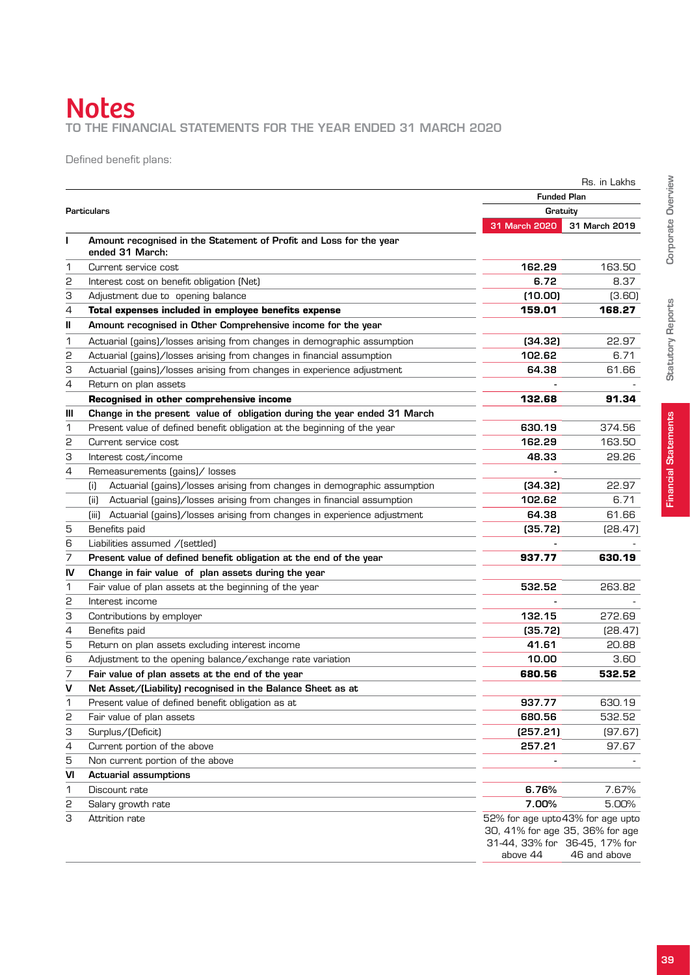# Notes to the Financial Statements for the year ended 31 March 2020

Defined benefit plans:

|    | Rs. in Lakhs                                                                          |                                 |                                   |
|----|---------------------------------------------------------------------------------------|---------------------------------|-----------------------------------|
|    |                                                                                       |                                 | <b>Funded Plan</b>                |
|    | <b>Particulars</b>                                                                    |                                 | Gratuity                          |
|    |                                                                                       | 31 March 2020                   | 31 March 2019                     |
| L  | Amount recognised in the Statement of Profit and Loss for the year<br>ended 31 March: |                                 |                                   |
| 1  | Current service cost                                                                  | 162.29                          | 163.50                            |
| 2  | Interest cost on benefit obligation (Net)                                             | 6.72                            | 8.37                              |
| З  | Adjustment due to opening balance                                                     | (10.00)                         | (3.60)                            |
| 4  | Total expenses included in employee benefits expense                                  | 159.01                          | 168.27                            |
| Ш  | Amount recognised in Other Comprehensive income for the year                          |                                 |                                   |
| 1  | Actuarial (gains)/losses arising from changes in demographic assumption               | (34.32)                         | 22.97                             |
| 5  | Actuarial (gains)/losses arising from changes in financial assumption                 | 102.62                          | 6.71                              |
| З  | Actuarial (gains)/losses arising from changes in experience adjustment                | 64.38                           | 61.66                             |
| 4  | Return on plan assets                                                                 |                                 |                                   |
|    | Recognised in other comprehensive income                                              | 132.68                          | 91.34                             |
| Ш  | Change in the present value of obligation during the year ended 31 March              |                                 |                                   |
| 1  | Present value of defined benefit obligation at the beginning of the year              | 630.19                          | 374.56                            |
| 2  | Current service cost                                                                  | 162.29                          | 163.50                            |
| З  | Interest cost/income                                                                  | 48.33                           | 29.26                             |
| 4  | Remeasurements (gains)/ losses                                                        |                                 |                                   |
|    | Actuarial (gains)/losses arising from changes in demographic assumption<br>(i)        | (34.32)                         | 22.97                             |
|    | Actuarial (gains)/losses arising from changes in financial assumption<br>(iii)        | 102.62                          | 6.71                              |
|    | Actuarial (gains)/losses arising from changes in experience adjustment<br>(iii)       | 64.38                           | 61.66                             |
| 5  | Benefits paid                                                                         | (35.72)                         | [28.47]                           |
| 6  | Liabilities assumed /(settled)                                                        |                                 |                                   |
| 7  | Present value of defined benefit obligation at the end of the year                    | 937.77                          | 630.19                            |
| IV | Change in fair value of plan assets during the year                                   |                                 |                                   |
| 1  | Fair value of plan assets at the beginning of the year                                | 532.52                          | 263.82                            |
| 2  | Interest income                                                                       |                                 |                                   |
| З  | Contributions by employer                                                             | 132.15                          | 272.69                            |
| 4  | Benefits paid                                                                         | (35.72)                         | [28.47]                           |
| 5  | Return on plan assets excluding interest income                                       | 41.61                           | 20.88                             |
| 6  | Adjustment to the opening balance/exchange rate variation                             | 10.00                           | 3.60                              |
| 7  | Fair value of plan assets at the end of the year                                      | 680.56                          | 532.52                            |
| v  | Net Asset/(Liability) recognised in the Balance Sheet as at                           |                                 |                                   |
| 1  | Present value of defined benefit obligation as at                                     | 937.77                          | 630.19                            |
| 2  | Fair value of plan assets                                                             | 680.56                          | 532.52                            |
| З  | Surplus/(Deficit)                                                                     | (257.21)                        | (97.67)                           |
| 4  | Current portion of the above                                                          | 257.21                          | 97.67                             |
| 5  | Non current portion of the above                                                      |                                 |                                   |
|    | <b>Actuarial assumptions</b>                                                          |                                 |                                   |
| VI | Discount rate                                                                         |                                 |                                   |
| 1  |                                                                                       | 6.76%                           | 7.67%                             |
| 2  | Salary growth rate                                                                    | 7.00%                           | 5.00%                             |
| З  | Attrition rate                                                                        | 30, 41% for age 35, 36% for age | 52% for age upto 43% for age upto |
|    |                                                                                       |                                 | 31-44, 33% for 36-45, 17% for     |
|    |                                                                                       | above 44                        | 46 and above                      |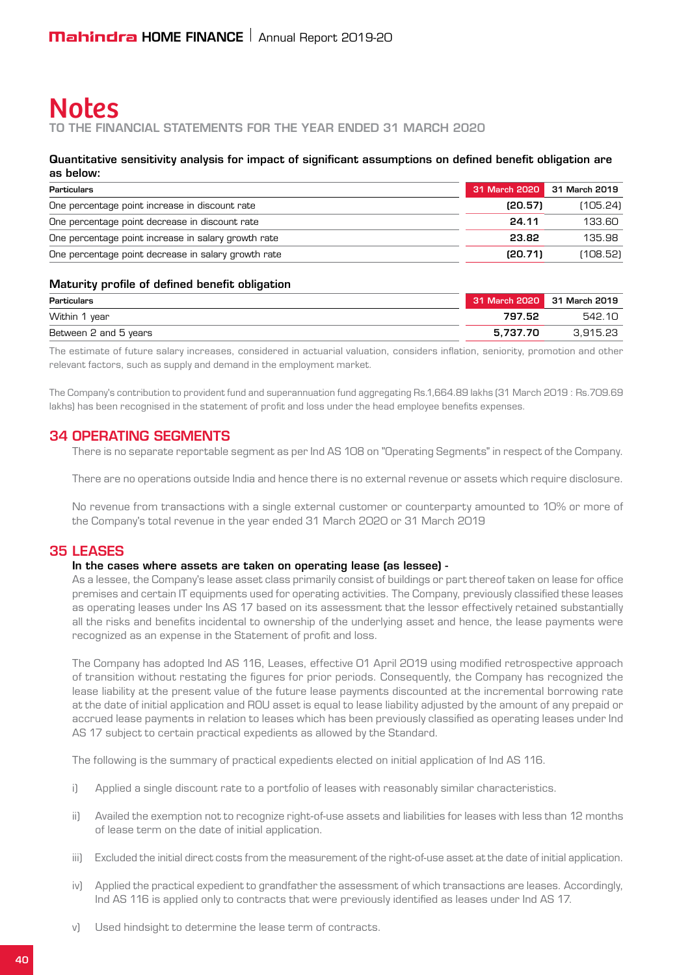to the Financial Statements for the year ended 31 March 2020

### Quantitative sensitivity analysis for impact of significant assumptions on defined benefit obligation are as below:

| Particulars                                         | 31 March 2020 | 31 March 2019 |
|-----------------------------------------------------|---------------|---------------|
| One percentage point increase in discount rate      | (20.57)       | (105.24)      |
| One percentage point decrease in discount rate      | 24.11         | 133.60        |
| One percentage point increase in salary growth rate | 23.82         | 135.98        |
| One percentage point decrease in salary growth rate | (20.71)       | (108.52)      |

### Maturity profile of defined benefit obligation

| Particulars           | 31 March 2020 31 March 2019 |          |
|-----------------------|-----------------------------|----------|
| Within 1 year         | 797.52                      | 542.10   |
| Between 2 and 5 years | 5.737.70                    | 3.915.23 |

The estimate of future salary increases, considered in actuarial valuation, considers inflation, seniority, promotion and other relevant factors, such as supply and demand in the employment market.

The Company's contribution to provident fund and superannuation fund aggregating Rs.1,664.89 lakhs (31 March 2019 : Rs.709.69 lakhs) has been recognised in the statement of profit and loss under the head employee benefits expenses.

### 34 Operating segments

There is no separate reportable segment as per Ind AS 108 on "Operating Segments" in respect of the Company.

There are no operations outside India and hence there is no external revenue or assets which require disclosure.

No revenue from transactions with a single external customer or counterparty amounted to 10% or more of the Company's total revenue in the year ended 31 March 2020 or 31 March 2019

### 35 Leases

### In the cases where assets are taken on operating lease (as lessee) -

As a lessee, the Company's lease asset class primarily consist of buildings or part thereof taken on lease for office premises and certain IT equipments used for operating activities. The Company, previously classified these leases as operating leases under Ins AS 17 based on its assessment that the lessor effectively retained substantially all the risks and benefits incidental to ownership of the underlying asset and hence, the lease payments were recognized as an expense in the Statement of profit and loss.

The Company has adopted Ind AS 116, Leases, effective 01 April 2019 using modified retrospective approach of transition without restating the figures for prior periods. Consequently, the Company has recognized the lease liability at the present value of the future lease payments discounted at the incremental borrowing rate at the date of initial application and ROU asset is equal to lease liability adjusted by the amount of any prepaid or accrued lease payments in relation to leases which has been previously classified as operating leases under Ind AS 17 subject to certain practical expedients as allowed by the Standard.

The following is the summary of practical expedients elected on initial application of Ind AS 116.

- i) Applied a single discount rate to a portfolio of leases with reasonably similar characteristics.
- ii) Availed the exemption not to recognize right-of-use assets and liabilities for leases with less than 12 months of lease term on the date of initial application.
- iii) Excluded the initial direct costs from the measurement of the right-of-use asset at the date of initial application.
- iv) Applied the practical expedient to grandfather the assessment of which transactions are leases. Accordingly, Ind AS 116 is applied only to contracts that were previously identified as leases under Ind AS 17.
- v) Used hindsight to determine the lease term of contracts.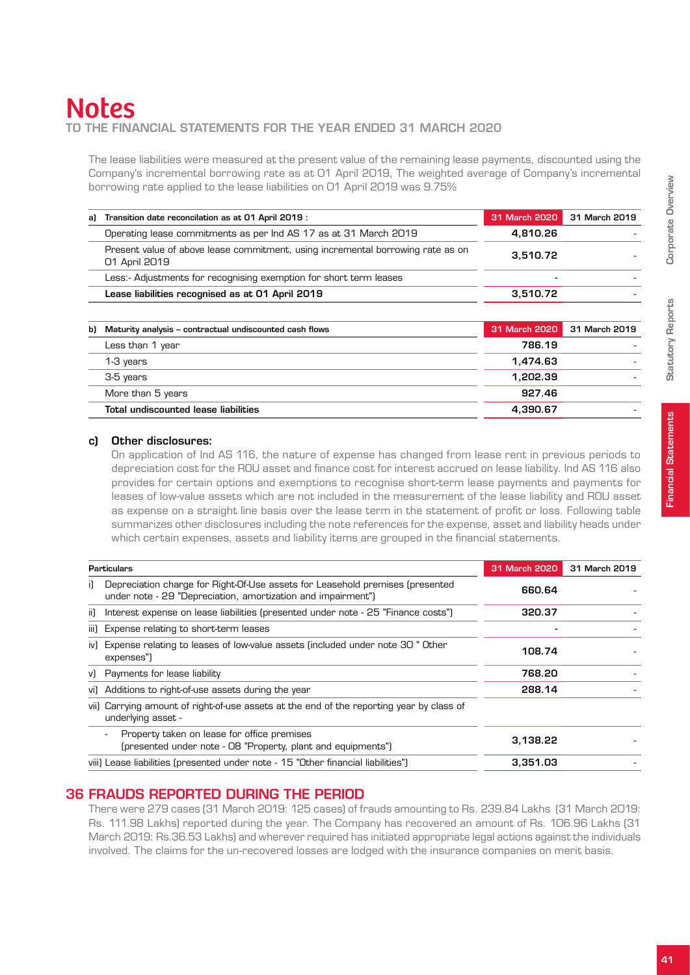### to the Financial Statements for the year ended 31 March 2020

The lease liabilities were measured at the present value of the remaining lease payments, discounted using the Company's incremental borrowing rate as at 01 April 2019, The weighted average of Company's incremental borrowing rate applied to the lease liabilities on 01 April 2019 was 9.75%

| al | Transition date reconcilation as at 01 April 2019 :                                              | 31 March 2020 | 31 March 2019 |
|----|--------------------------------------------------------------------------------------------------|---------------|---------------|
|    | Operating lease commitments as per Ind AS 17 as at 31 March 2019                                 | 4.810.26      |               |
|    | Present value of above lease commitment, using incremental borrowing rate as on<br>01 April 2019 | 3.510.72      |               |
|    | Less:- Adjustments for recognising exemption for short term leases                               |               |               |
|    | Lease liabilities recognised as at 01 April 2019                                                 | 3,510.72      |               |
|    |                                                                                                  |               |               |
| bì | Maturity analysis - contractual undiscounted cash flows                                          | 31 March 2020 | 31 March 2019 |
|    | Less than 1 year                                                                                 | 786.19        |               |
|    | 1-3 years                                                                                        | 1,474.63      |               |
|    | 3-5 years                                                                                        | 1,202.39      |               |
|    | More than 5 years                                                                                | 927.46        |               |
|    | Total undiscounted lease liabilities                                                             | 4,390.67      |               |
|    |                                                                                                  |               |               |

### c) Other disclosures:

 On application of Ind AS 116, the nature of expense has changed from lease rent in previous periods to depreciation cost for the ROU asset and finance cost for interest accrued on lease liability. Ind AS 116 also provides for certain options and exemptions to recognise short-term lease payments and payments for leases of low-value assets which are not included in the measurement of the lease liability and ROU asset as expense on a straight line basis over the lease term in the statement of profit or loss. Following table summarizes other disclosures including the note references for the expense, asset and liability heads under which certain expenses, assets and liability items are grouped in the financial statements.

|     | Particulars                                                                                                                                   | 31 March 2020 | 31 March 2019 |
|-----|-----------------------------------------------------------------------------------------------------------------------------------------------|---------------|---------------|
| п.  | Depreciation charge for Right-Of-Use assets for Leasehold premises (presented<br>under note - 29 "Depreciation, amortization and impairment") | 660.64        |               |
| ШL  | Interest expense on lease liabilities (presented under note - 25 "Finance costs")                                                             | 320.37        |               |
| ШÌ  | Expense relating to short-term leases                                                                                                         |               |               |
| iv) | Expense relating to leases of low-value assets (included under note 30 " Other<br>expenses")                                                  | 108.74        |               |
| v1  | Payments for lease liability                                                                                                                  | 768.20        |               |
| vil | Additions to right-of-use assets during the year                                                                                              | 288.14        |               |
|     | vii) Carrying amount of right-of-use assets at the end of the reporting year by class of<br>underlying asset -                                |               |               |
|     | Property taken on lease for office premises<br>(presented under note - O8 "Property, plant and equipments")                                   | 3,138.22      |               |
|     | viii) Lease liabilities (presented under note - 15 "Other financial liabilities")                                                             | 3.351.03      |               |

### 36 Frauds reported during the period

There were 279 cases (31 March 2019: 125 cases) of frauds amounting to Rs. 239.84 Lakhs (31 March 2019: Rs. 111.98 Lakhs) reported during the year. The Company has recovered an amount of Rs. 106.96 Lakhs (31 March 2019: Rs.36.53 Lakhs) and wherever required has initiated appropriate legal actions against the individuals involved. The claims for the un-recovered losses are lodged with the insurance companies on merit basis.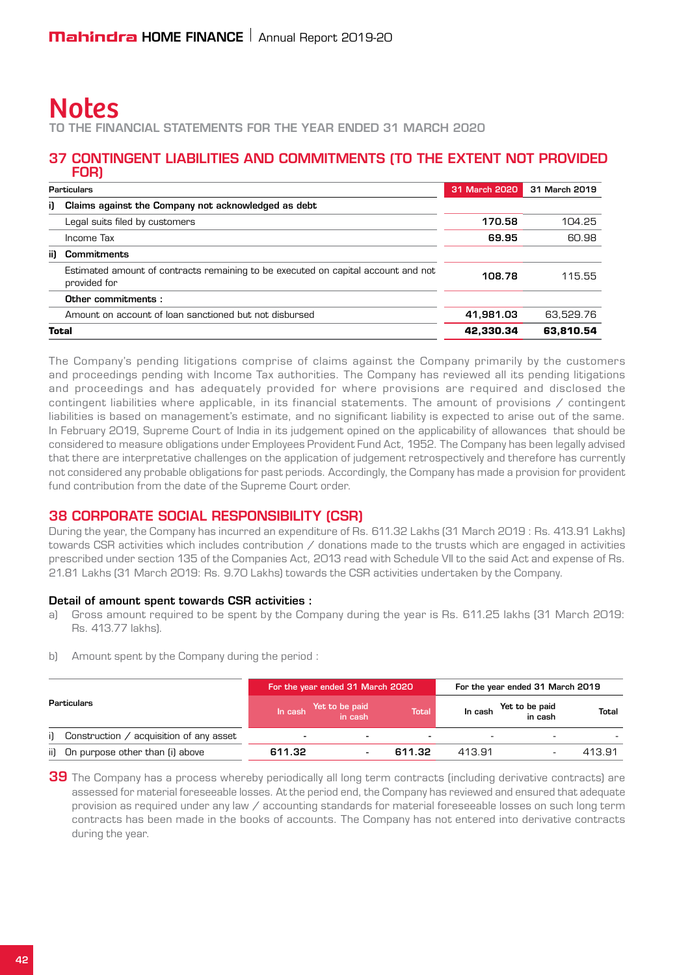to the Financial Statements for the year ended 31 March 2020

### 37 Contingent liabilities and commitments (to the extent not provided **FOR)**

|              | <b>Particulars</b>                                                                                | 31 March 2020 | 31 March 2019 |
|--------------|---------------------------------------------------------------------------------------------------|---------------|---------------|
| i)           | Claims against the Company not acknowledged as debt                                               |               |               |
|              | Legal suits filed by customers                                                                    | 170.58        | 104.25        |
|              | Income Tax                                                                                        | 69.95         | 60.98         |
| ii)          | <b>Commitments</b>                                                                                |               |               |
|              | Estimated amount of contracts remaining to be executed on capital account and not<br>provided for | 108.78        | 115.55        |
|              | Other commitments:                                                                                |               |               |
|              | Amount on account of loan sanctioned but not disbursed                                            | 41,981.03     | 63,529.76     |
| <b>Total</b> |                                                                                                   | 42.330.34     | 63.810.54     |

The Company's pending litigations comprise of claims against the Company primarily by the customers and proceedings pending with Income Tax authorities. The Company has reviewed all its pending litigations and proceedings and has adequately provided for where provisions are required and disclosed the contingent liabilities where applicable, in its financial statements. The amount of provisions / contingent liabilities is based on management's estimate, and no significant liability is expected to arise out of the same. In February 2019, Supreme Court of India in its judgement opined on the applicability of allowances that should be considered to measure obligations under Employees Provident Fund Act, 1952. The Company has been legally advised that there are interpretative challenges on the application of judgement retrospectively and therefore has currently not considered any probable obligations for past periods. Accordingly, the Company has made a provision for provident fund contribution from the date of the Supreme Court order.

### 38 Corporate Social Responsibility (CSR)

During the year, the Company has incurred an expenditure of Rs. 611.32 Lakhs (31 March 2019 : Rs. 413.91 Lakhs) towards CSR activities which includes contribution  $/$  donations made to the trusts which are engaged in activities prescribed under section 135 of the Companies Act, 2013 read with Schedule VII to the said Act and expense of Rs. 21.81 Lakhs (31 March 2019: Rs. 9.70 Lakhs) towards the CSR activities undertaken by the Company.

### Detail of amount spent towards CSR activities :

- a) Gross amount required to be spent by the Company during the year is Rs. 611.25 lakhs (31 March 2019: Rs. 413.77 lakhs).
- b) Amount spent by the Company during the period :

|                                                |                          | For the year ended 31 March 2020 |              |         | For the year ended 31 March 2019 |              |
|------------------------------------------------|--------------------------|----------------------------------|--------------|---------|----------------------------------|--------------|
| Particulars                                    | In cash                  | Yet to be paid<br>in cash        | <b>Total</b> | In cash | Yet to be paid<br>in cash        | <b>Total</b> |
| Construction / acquisition of any asset<br>il. | $\overline{\phantom{a}}$ | $\overline{\phantom{a}}$         | $\,$         |         | $\overline{\phantom{a}}$         |              |
| ii) On purpose other than (i) above            | 611.32                   | $\blacksquare$                   | 611.32       | 413.91  | $\overline{\phantom{a}}$         | 413.91       |

39 The Company has a process whereby periodically all long term contracts (including derivative contracts) are assessed for material foreseeable losses. At the period end, the Company has reviewed and ensured that adequate provision as required under any law / accounting standards for material foreseeable losses on such long term contracts has been made in the books of accounts. The Company has not entered into derivative contracts during the year.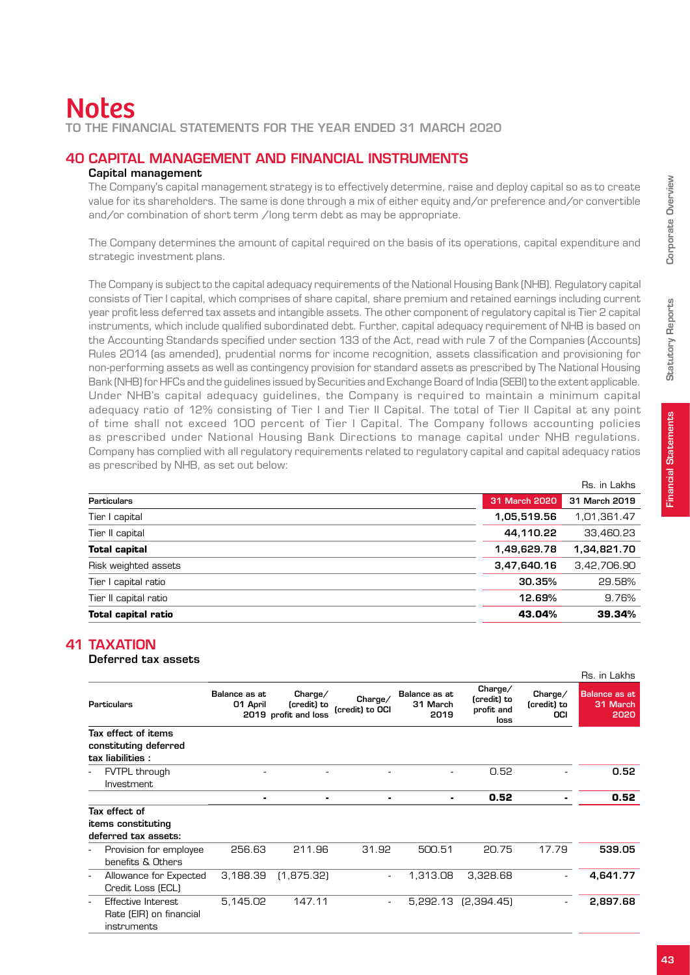### **Notes** to the Financial Statements for the year ended 31 March 2020

### 40 Capital Management and Financial Instruments

### Capital management

The Company's capital management strategy is to effectively determine, raise and deploy capital so as to create value for its shareholders. The same is done through a mix of either equity and/or preference and/or convertible and/or combination of short term /long term debt as may be appropriate.

The Company determines the amount of capital required on the basis of its operations, capital expenditure and strategic investment plans.

The Company is subject to the capital adequacy requirements of the National Housing Bank (NHB). Regulatory capital consists of Tier I capital, which comprises of share capital, share premium and retained earnings including current year profit less deferred tax assets and intangible assets. The other component of regulatory capital is Tier 2 capital instruments, which include qualified subordinated debt. Further, capital adequacy requirement of NHB is based on the Accounting Standards specified under section 133 of the Act, read with rule 7 of the Companies (Accounts) Rules 2014 (as amended), prudential norms for income recognition, assets classification and provisioning for non-performing assets as well as contingency provision for standard assets as prescribed by The National Housing Bank (NHB) for HFCs and the guidelines issued by Securities and Exchange Board of India (SEBI) to the extent applicable. Under NHB's capital adequacy guidelines, the Company is required to maintain a minimum capital adequacy ratio of 12% consisting of Tier I and Tier II Capital. The total of Tier II Capital at any point of time shall not exceed 100 percent of Tier I Capital. The Company follows accounting policies as prescribed under National Housing Bank Directions to manage capital under NHB regulations. Company has complied with all regulatory requirements related to regulatory capital and capital adequacy ratios as prescribed by NHB, as set out below:

|                            |               | Rs. in Lakhs  |
|----------------------------|---------------|---------------|
| <b>Particulars</b>         | 31 March 2020 | 31 March 2019 |
| Tier I capital             | 1,05,519.56   | 1,01,361.47   |
| Tier II capital            | 44,110.22     | 33,460.23     |
| <b>Total capital</b>       | 1,49,629.78   | 1,34,821.70   |
| Risk weighted assets       | 3,47,640.16   | 3,42,706.90   |
| Tier I capital ratio       | 30.35%        | 29.58%        |
| Tier II capital ratio      | 12.69%        | 9.76%         |
| <b>Total capital ratio</b> | 43.04%        | 39.34%        |

### **41 TAXATION**

### Deferred tax assets

|                                                                                          |                           |                                                |                            |                                   |                                              |                               | Rs. in Lakhs                      |
|------------------------------------------------------------------------------------------|---------------------------|------------------------------------------------|----------------------------|-----------------------------------|----------------------------------------------|-------------------------------|-----------------------------------|
| <b>Particulars</b>                                                                       | Balance as at<br>01 April | Change/<br>(credit) to<br>2019 profit and loss | Charge/<br>(credit) to OCI | Balance as at<br>31 March<br>2019 | Change/<br>(credit) to<br>profit and<br>loss | Charge/<br>(credit) to<br>OCI | Balance as at<br>31 March<br>2020 |
| Tax effect of items<br>constituting deferred<br>tax liabilities :                        |                           |                                                |                            |                                   |                                              |                               |                                   |
| FVTPL through<br>Investment                                                              |                           |                                                |                            |                                   | 0.52                                         |                               | 0.52                              |
|                                                                                          | ٠                         | ۰                                              | ۰                          | ۰                                 | 0.52                                         |                               | 0.52                              |
| Tax effect of<br>items constituting<br>deferred tax assets:                              |                           |                                                |                            |                                   |                                              |                               |                                   |
| Provision for employee<br>benefits & Others                                              | 256.63                    | 211.96                                         | 31.92                      | 500.51                            | 20.75                                        | 17.79                         | 539.05                            |
| Allowance for Expected<br>Credit Loss (ECL)                                              | 3,188.39                  | (1,875.32)                                     | $\blacksquare$             | 1,313.08                          | 3,328.68                                     |                               | 4,641.77                          |
| Effective Interest<br>$\overline{\phantom{a}}$<br>Rate (EIR) on financial<br>instruments | 5,145.02                  | 147.11                                         | $\overline{\phantom{a}}$   | 5,292.13                          | (2,394.45)                                   |                               | 2,897.68                          |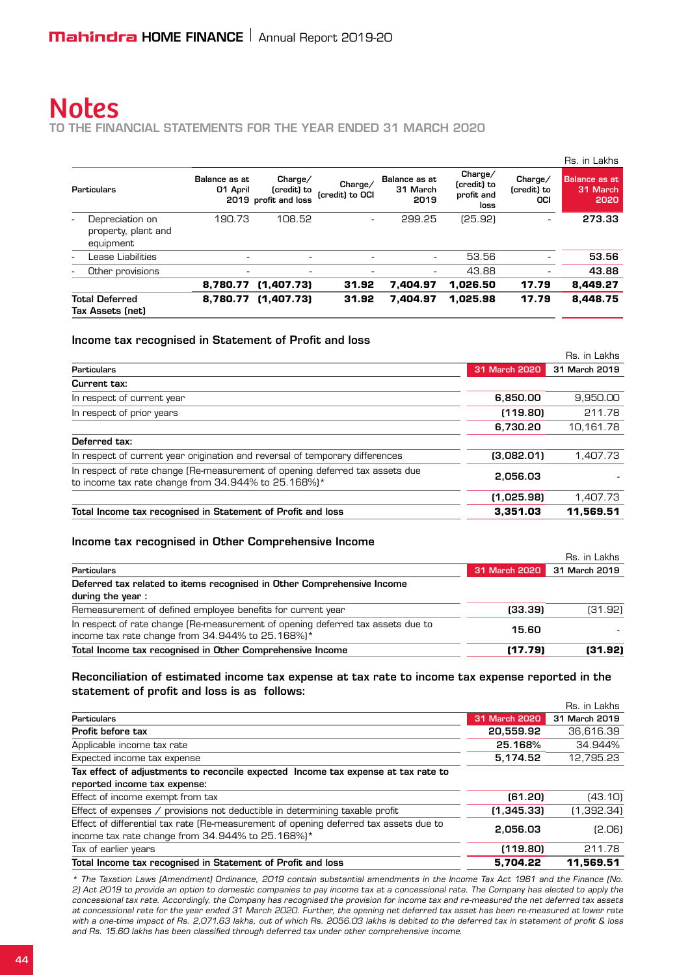to the Financial Statements for the year ended 31 March 2020

|                                                     |                           |                                                |                            |                                   |                                              |                               | Rs. in Lakhs                             |
|-----------------------------------------------------|---------------------------|------------------------------------------------|----------------------------|-----------------------------------|----------------------------------------------|-------------------------------|------------------------------------------|
| <b>Particulars</b>                                  | Balance as at<br>01 April | Change/<br>(credit) to<br>2019 profit and loss | Charge/<br>(credit) to OCI | Balance as at<br>31 March<br>2019 | Charge/<br>(credit) to<br>profit and<br>loss | Charge/<br>(credit) to<br>OCI | <b>Balance as at</b><br>31 March<br>2020 |
| Depreciation on<br>property, plant and<br>equipment | 190.73                    | 108.52                                         | $\overline{\phantom{0}}$   | 299.25                            | (25.92)                                      | -                             | 273.33                                   |
| Lease Liabilities                                   | ۰                         | $\overline{\phantom{a}}$                       |                            | $\overline{\phantom{a}}$          | 53.56                                        |                               | 53.56                                    |
| Other provisions                                    | ۰                         | $\overline{\phantom{a}}$                       |                            | $\sim$                            | 43.88                                        |                               | 43.88                                    |
|                                                     | 8,780.77                  | (1,407.73)                                     | 31.92                      | 7,404.97                          | 1.026.50                                     | 17.79                         | 8,449.27                                 |
| <b>Total Deferred</b><br>Tax Assets (net)           | 8.780.77                  | (1,407.73)                                     | 31.92                      | 7.404.97                          | 1.025.98                                     | 17.79                         | 8,448.75                                 |

### Income tax recognised in Statement of Profit and loss

|                                                                                                                                     |               | Rs. in Lakhs  |
|-------------------------------------------------------------------------------------------------------------------------------------|---------------|---------------|
| <b>Particulars</b>                                                                                                                  | 31 March 2020 | 31 March 2019 |
| Current tax:                                                                                                                        |               |               |
| In respect of current year                                                                                                          | 6,850.00      | 9,950.00      |
| In respect of prior years                                                                                                           | (119.80)      | 211.78        |
|                                                                                                                                     | 6,730.20      | 10.161.78     |
| Deferred tax:                                                                                                                       |               |               |
| In respect of current year origination and reversal of temporary differences                                                        | (3,082.01)    | 1.407.73      |
| In respect of rate change (Re-measurement of opening deferred tax assets due<br>to income tax rate change from 34.944% to 25.168%)* | 2,056.03      |               |
|                                                                                                                                     | (1,025.98)    | 1,407.73      |
| Total Income tax recognised in Statement of Profit and loss                                                                         | 3.351.03      | 11,569.51     |

### Income tax recognised in Other Comprehensive Income

|                                                                                                                                     |               | Rs. in Lakhs  |
|-------------------------------------------------------------------------------------------------------------------------------------|---------------|---------------|
| <b>Particulars</b>                                                                                                                  | 31 March 2020 | 31 March 2019 |
| Deferred tax related to items recognised in Other Comprehensive Income<br>during the year:                                          |               |               |
| Remeasurement of defined employee benefits for current year                                                                         | (33.39)       | (31.92)       |
| In respect of rate change (Re-measurement of opening deferred tax assets due to<br>income tax rate change from 34.944% to 25.168%)* | 15.60         |               |
| Total Income tax recognised in Other Comprehensive Income                                                                           | (17.79)       | (31.92)       |

### Reconciliation of estimated income tax expense at tax rate to income tax expense reported in the statement of profit and loss is as follows:

|                                                                                       |               | Rs. in Lakhs  |
|---------------------------------------------------------------------------------------|---------------|---------------|
| <b>Particulars</b>                                                                    | 31 March 2020 | 31 March 2019 |
| Profit before tax                                                                     | 20,559.92     | 36.616.39     |
| Applicable income tax rate                                                            | 25.168%       | 34.944%       |
| Expected income tax expense                                                           | 5,174.52      | 12,795.23     |
| Tax effect of adjustments to reconcile expected Income tax expense at tax rate to     |               |               |
| reported income tax expense:                                                          |               |               |
| Effect of income exempt from tax                                                      | (61.20)       | (43.10)       |
| Effect of expenses / provisions not deductible in determining taxable profit          | (1, 345.33)   | (1,392.34)    |
| Effect of differential tax rate (Re-measurement of opening deferred tax assets due to | 2,056.03      | (2.06)        |
| income tax rate change from 34.944% to 25.168%)*                                      |               |               |
| Tax of earlier years                                                                  | (119.80)      | 211.78        |
| Total Income tax recognised in Statement of Profit and loss                           | 5.704.22      | 11,569.51     |

 \* The Taxation Laws (Amendment) Ordinance, 2019 contain substantial amendments in the Income Tax Act 1961 and the Finance (No. 2) Act 2019 to provide an option to domestic companies to pay income tax at a concessional rate. The Company has elected to apply the concessional tax rate. Accordingly, the Company has recognised the provision for income tax and re-measured the net deferred tax assets at concessional rate for the year ended 31 March 2020. Further, the opening net deferred tax asset has been re-measured at lower rate with a one-time impact of Rs. 2,071.63 lakhs, out of which Rs. 2056.03 lakhs is debited to the deferred tax in statement of profit & loss and Rs. 15.60 lakhs has been classified through deferred tax under other comprehensive income.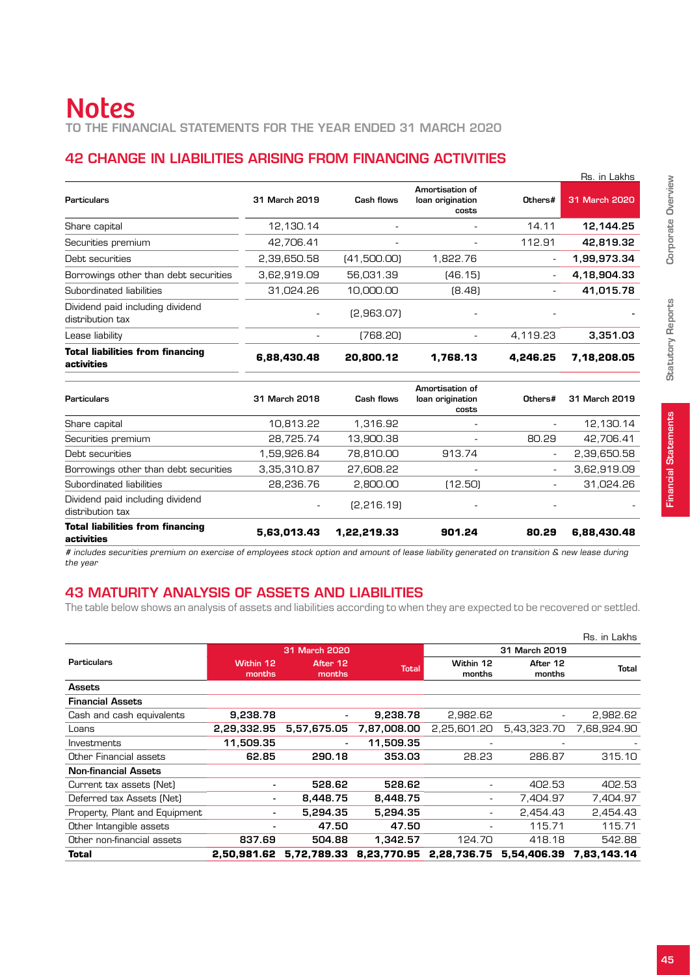# **Notes** to the Financial Statements for the year ended 31 March 2020

### 42 Change in liabilities arising from financing activities

|                                                       |               |             |                                                     |                          | Rs. in Lakhs  |
|-------------------------------------------------------|---------------|-------------|-----------------------------------------------------|--------------------------|---------------|
| Particulars                                           | 31 March 2019 | Cash flows  | Amortisation of<br>loan origination<br><b>costs</b> | Others#                  | 31 March 2020 |
| Share capital                                         | 12,130.14     | ٠           | $\overline{\phantom{0}}$                            | 14.11                    | 12,144.25     |
| Securities premium                                    | 42.706.41     | -           |                                                     | 112.91                   | 42.819.32     |
| Debt securities                                       | 2.39.650.58   | [41,500.00] | 1.822.76                                            | $\overline{\phantom{a}}$ | 1,99,973.34   |
| Borrowings other than debt securities                 | 3.62.919.09   | 56.031.39   | (46.15)                                             | $\overline{\phantom{a}}$ | 4.18.904.33   |
| Subordinated liabilities                              | 31.024.26     | 10,000,00   | (8.48)                                              | $\overline{\phantom{a}}$ | 41,015.78     |
| Dividend paid including dividend<br>distribution tax  |               | [2,963.07]  |                                                     |                          |               |
| Lease liability                                       |               | (768.20)    |                                                     | 4,119.23                 | 3,351.03      |
| <b>Total liabilities from financing</b><br>activities | 6,88,430.48   | 20,800.12   | 1.768.13                                            | 4.246.25                 | 7.18.208.05   |

| Particulars                                           | 31 March 2018            | Cash flows  | Amortisation of<br>loan origination<br>costs | Others#                  | 31 March 2019 |
|-------------------------------------------------------|--------------------------|-------------|----------------------------------------------|--------------------------|---------------|
| Share capital                                         | 10,813.22                | 1.316.92    | ۰                                            |                          | 12,130.14     |
| Securities premium                                    | 28,725.74                | 13,900.38   |                                              | 80.29                    | 42,706.41     |
| Debt securities                                       | 1,59,926.84              | 78,810.00   | 913.74                                       | $\overline{\phantom{a}}$ | 2,39,650.58   |
| Borrowings other than debt securities                 | 3,35,310.87              | 27,608.22   | -                                            | $\overline{\phantom{0}}$ | 3,62,919.09   |
| Subordinated liabilities                              | 28,236.76                | 2.800.00    | (12.50)                                      | -                        | 31,024.26     |
| Dividend paid including dividend<br>distribution tax  | $\overline{\phantom{a}}$ | [2,216.19]  |                                              |                          |               |
| <b>Total liabilities from financing</b><br>activities | 5,63,013.43              | 1,22,219.33 | 901.24                                       | 80.29                    | 6,88,430.48   |

# includes securities premium on exercise of employees stock option and amount of lease liability generated on transition & new lease during the year

### 43 Maturity analysis of assets and liabilities

The table below shows an analysis of assets and liabilities according to when they are expected to be recovered or settled.

|                               |                     |                    |              |                                     |                    | Rs. in Lakhs |
|-------------------------------|---------------------|--------------------|--------------|-------------------------------------|--------------------|--------------|
|                               |                     | 31 March 2020      |              |                                     | 31 March 2019      |              |
| Particulars                   | Within 12<br>months | After 12<br>months | <b>Total</b> | Within 12<br>months                 | After 12<br>months | <b>Total</b> |
| Assets                        |                     |                    |              |                                     |                    |              |
| <b>Financial Assets</b>       |                     |                    |              |                                     |                    |              |
| Cash and cash equivalents     | 9,238.78            | $\blacksquare$     | 9.238.78     | 2.982.62                            |                    | 2,982.62     |
| Loans                         | 2,29,332.95         | 5,57,675.05        | 7,87,008.00  | 2.25.601.20                         | 5,43,323.70        | 7,68,924.90  |
| Investments                   | 11,509.35           | $\blacksquare$     | 11,509.35    |                                     |                    |              |
| Other Financial assets        | 62.85               | 290.18             | 353.03       | 28.23                               | 286.87             | 315.10       |
| <b>Non-financial Assets</b>   |                     |                    |              |                                     |                    |              |
| Current tax assets (Net)      |                     | 528.62             | 528.62       |                                     | 402.53             | 402.53       |
| Deferred tax Assets (Net)     | $\blacksquare$      | 8,448.75           | 8,448.75     | $\overline{\phantom{a}}$            | 7,404.97           | 7,404.97     |
| Property, Plant and Equipment |                     | 5.294.35           | 5.294.35     | -                                   | 2.454.43           | 2.454.43     |
| Other Intangible assets       |                     | 47.50              | 47.50        |                                     | 115.71             | 115.71       |
| Other non-financial assets    | 837.69              | 504.88             | 1.342.57     | 124.70                              | 418.18             | 542.88       |
| Total                         | 2.50.981.62         | 5,72,789.33        |              | 8,23,770.95 2,28,736.75 5,54,406.39 |                    | 7.83.143.14  |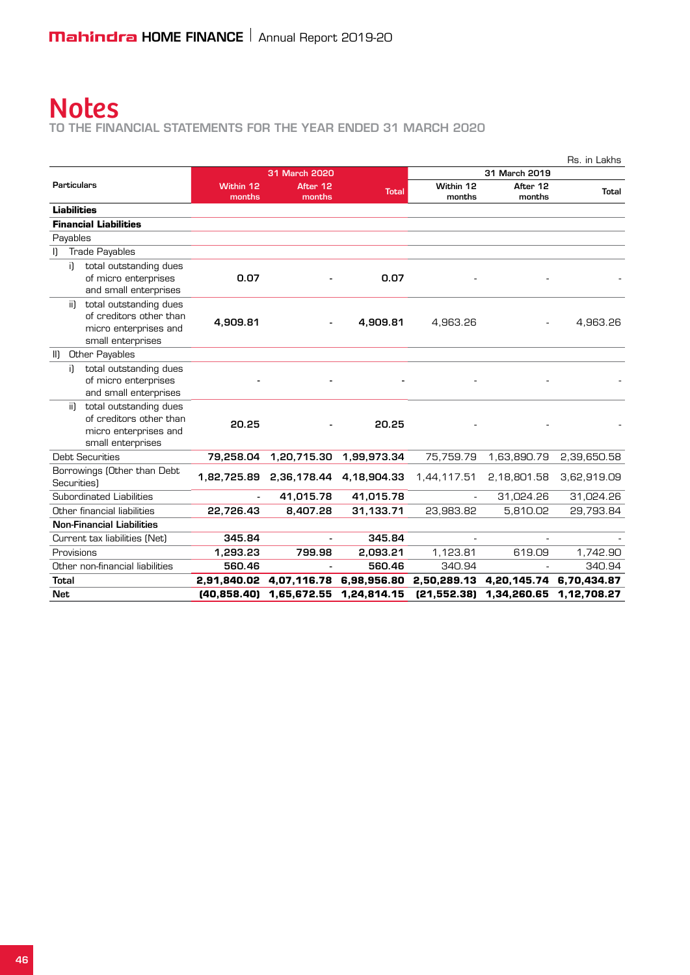to the Financial Statements for the year ended 31 March 2020

|              |                                                                                                        |                     |                    |                         |                     |                    | Rs. in Lakhs |
|--------------|--------------------------------------------------------------------------------------------------------|---------------------|--------------------|-------------------------|---------------------|--------------------|--------------|
|              |                                                                                                        |                     | 31 March 2020      |                         |                     | 31 March 2019      |              |
|              | Particulars                                                                                            | Within 12<br>months | After 12<br>months | Total                   | Within 12<br>months | After 12<br>months | <b>Total</b> |
|              | <b>Liabilities</b>                                                                                     |                     |                    |                         |                     |                    |              |
|              | <b>Financial Liabilities</b>                                                                           |                     |                    |                         |                     |                    |              |
|              | Payables                                                                                               |                     |                    |                         |                     |                    |              |
| I)           | <b>Trade Payables</b>                                                                                  |                     |                    |                         |                     |                    |              |
|              | total outstanding dues<br>i1.<br>of micro enterprises<br>and small enterprises                         | 0.07                |                    | 0.07                    |                     |                    |              |
|              | total outstanding dues<br>ii)<br>of creditors other than<br>micro enterprises and<br>small enterprises | 4,909.81            |                    | 4,909.81                | 4,963.26            |                    | 4.963.26     |
| $\mathbb{I}$ | Other Payables                                                                                         |                     |                    |                         |                     |                    |              |
|              | total outstanding dues<br>i)<br>of micro enterprises<br>and small enterprises                          |                     |                    |                         |                     |                    |              |
|              | total outstanding dues<br>ii)<br>of creditors other than<br>micro enterprises and<br>small enterprises | 20.25               |                    | 20.25                   |                     |                    |              |
|              | <b>Debt Securities</b>                                                                                 | 79,258.04           | 1,20,715.30        | 1,99,973.34             | 75,759.79           | 1,63,890.79        | 2,39,650.58  |
|              | Borrowings (Other than Debt<br>Securities)                                                             | 1,82,725.89         |                    | 2,36,178.44 4,18,904.33 | 1,44,117.51         | 2,18,801.58        | 3,62,919.09  |
|              | Subordinated Liabilities                                                                               |                     | 41,015.78          | 41,015.78               |                     | 31,024.26          | 31,024.26    |
|              | Other financial liabilities                                                                            | 22,726.43           | 8,407.28           | 31,133.71               | 23,983.82           | 5,810.02           | 29,793.84    |
|              | <b>Non-Financial Liabilities</b>                                                                       |                     |                    |                         |                     |                    |              |
|              | Current tax liabilities (Net)                                                                          | 345.84              |                    | 345.84                  |                     |                    |              |
|              | Provisions                                                                                             | 1,293.23            | 799.98             | 2,093.21                | 1,123.81            | 619.09             | 1,742.90     |
|              | Other non-financial liabilities                                                                        | 560.46              |                    | 560.46                  | 340.94              |                    | 340.94       |
| <b>Total</b> |                                                                                                        | 2,91,840.02         | 4,07,116.78        | 6,98,956.80             | 2,50,289.13         | 4,20,145.74        | 6,70,434.87  |
| <b>Net</b>   |                                                                                                        | (40, 858.40)        | 1,65,672.55        | 1,24,814.15             | (21, 552.38)        | 1,34,260.65        | 1,12,708.27  |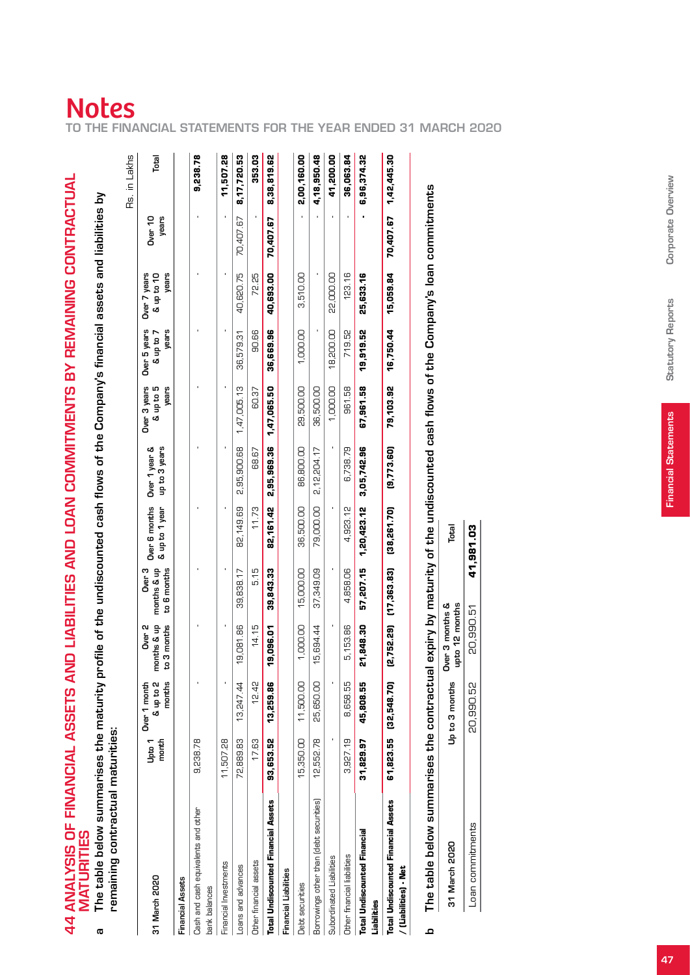# 44 ANALYSIS OF FINANCIAL ASSETS AND LIABILITIES AND LOAN COMMITMENTS BY REMAINING CONTRACTUAL<br>MATURITIES 44 Analysis of financial assets and liabilities and loan commitments by remaining contractual maturities

a The table below summarises the maturity profile of the undiscounted cash flows of the Company's financial assets and liabilities by The table below summarises the maturity profile of the undiscounted cash flows of the Company's financial assets and liabilities by<br>remaining contractual maturities: remaining contractual maturities:  $\sigma$ 

Notes

| remailling contractual materials:                                   |                 |                                    |                                      |                                      |                                 |                                |                                    |                                   |                                   |                  | Rs. in Lakhs          |
|---------------------------------------------------------------------|-----------------|------------------------------------|--------------------------------------|--------------------------------------|---------------------------------|--------------------------------|------------------------------------|-----------------------------------|-----------------------------------|------------------|-----------------------|
| 31 March 2020                                                       | month<br>Upto 1 | months<br>Տար to 2<br>Over 1 month | months & up<br>to 3 months<br>Over 2 | months & up<br>to 6 months<br>Over 3 | Over 6 months<br>& up to 1 year | up to 3 years<br>Over 1 year & | Over 3 years<br>years<br>g up to 5 | Over 5 years<br>years<br>7 ար ա 7 | years<br>Over 7 years<br>0 տար 10 | years<br>Dver 10 | Total                 |
| <b>Financial Assets</b>                                             |                 |                                    |                                      |                                      |                                 |                                |                                    |                                   |                                   |                  |                       |
| Cash and cash equivalents and other<br>bank balances                | 9,238.78        |                                    |                                      |                                      |                                 |                                |                                    |                                   |                                   |                  | 9,238.78              |
| Financial Investments                                               | 11,507.28       | ï                                  | ı                                    |                                      |                                 |                                |                                    |                                   |                                   |                  | 11,507.28             |
| Loans and advances                                                  | 72,889.83       | 13,247.44                          | 19,081.86                            | 39,838.17                            | 82,149.69                       | 2,95,900.68                    | 1,47,005.13                        | 36,579.31                         | 40,620.75                         | 70,407.67        | 8, 17, 720.53         |
| Other financial assets                                              | 17.63           | 12.42                              | 14.15                                | 5.15                                 | 11.73                           | 68.67                          | 60.37                              | 90.66                             | 72.25                             |                  | 353.03                |
| <b>Total Undiscounted Financial Assets</b>                          | 93,653.52       | 13,259.86                          | 19,096.01                            | 39,843.33                            | 82,161.42                       | 2,95,969.36                    | 1,47,065.50                        | 36,669.96                         | 40,693.00                         | 70,407.67        | 8,38,819.62           |
| <b>Financial Liabilities</b>                                        |                 |                                    |                                      |                                      |                                 |                                |                                    |                                   |                                   |                  |                       |
| Debt securities                                                     | 15,350.00       | 11,500.00                          | 1,000.00                             | 15,000.00                            | 36,500.00                       | 86,800.00                      | 29,500.00                          | 1,000.00                          | 3,510.00                          |                  | 2,00,160.00           |
| Borrowings other than (debt securities)                             | 12,552.78       | 25,650.00                          | 15,694.44                            | 37,349.09                            | 79,000.00                       | 2,12,204.17                    | 36,500.00                          |                                   |                                   |                  | 4,18,950.48           |
| Subordinated Liabilities                                            |                 |                                    |                                      |                                      |                                 |                                | 1,000.00                           | 18,200.00                         | 22,000.00                         |                  | 41,200.00             |
| Other financial liabilities                                         | 3,927.19        | 8,658.55                           | 5,153.86                             | 4,858.06                             | 4,923.12                        | 6,738.79                       | 961.58                             | 719.52                            | 123.16                            |                  | 36,063.84             |
| Total Undiscounted Financial<br>Liabilities                         | 31,829.97       | 45,808.55                          | 21,848.30                            | 57,207.15                            | 1,20,423.12                     | 3,05,742.96                    | 67,961.58                          | 19,919.52                         | 25,633.16                         |                  | 6,96,374.32           |
| <b>Total Undiscounted Financial Assets</b><br>/ (Liabilities) - Net | 61,823.55       | (32,548.70)                        |                                      | (2,752.29) (17,363.83)               | (38, 261.70)                    | (9,773.60)                     | 79,103.92                          | 16,750.44                         | 15,059.84                         |                  | 70,407.67 1,42,445.30 |
|                                                                     |                 |                                    |                                      |                                      |                                 |                                |                                    |                                   |                                   |                  |                       |

to the Financial Statement for the year ended 31 March 2020

l<br>S

The table below summarises the contractual expiry by maturity of the undiscounted cash flows of the Company's loan commitments b The table below summarises the contractual expiry by maturity of the undiscounted cash flows of the Company's loan commitments م

| Total                             | "1.981.0.       |
|-----------------------------------|-----------------|
| lver 3 months &<br>upto 12 months | DO BBO 51       |
| Up to 3 months                    | 20.990.52       |
| March 2020                        | oan commitment: |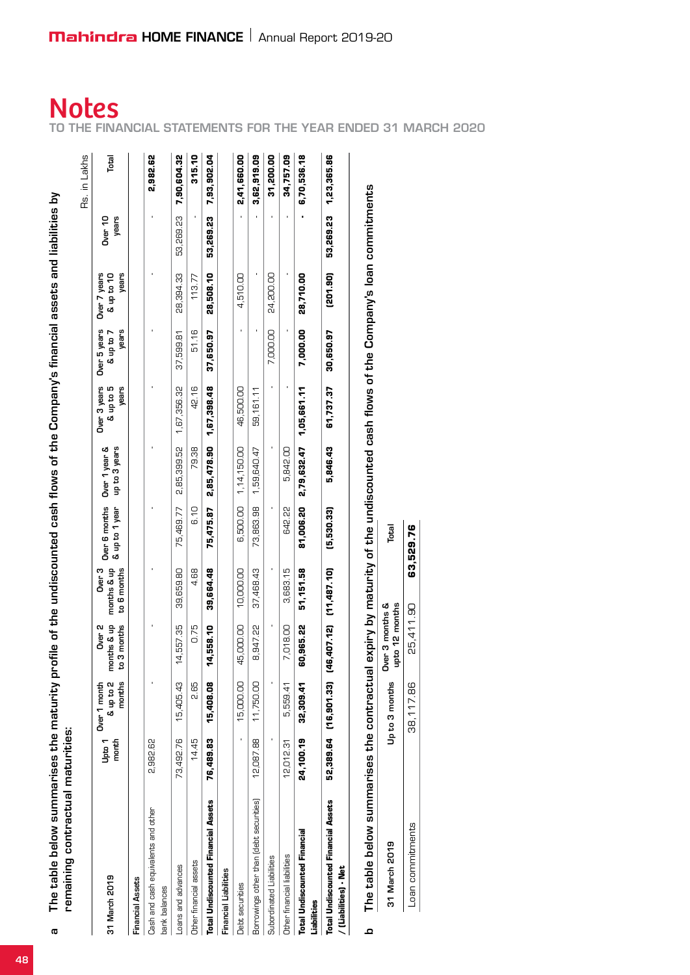a The table below summarises the maturity profile of the undiscounted cash flows of the Company's financial assets and liabilities by The table below summarises the maturity profile of the undiscounted cash flows of the Company's financial assets and liabilities by cotnootuol motunitioo: remaining contractual maturities: مان<br>مان

**Notes** 

| reamuel III dan III da Shimaan III dan III dan III dan III dan III dan III daerah seba |                 |                                 |                                       |                                      |                                                                                     |                                |                                 |                                  |                                         |                  | Rs. in Lakhs |
|----------------------------------------------------------------------------------------|-----------------|---------------------------------|---------------------------------------|--------------------------------------|-------------------------------------------------------------------------------------|--------------------------------|---------------------------------|----------------------------------|-----------------------------------------|------------------|--------------|
| 31 March 2019                                                                          | month<br>Upto 1 | Dver 1 month<br>Տարե2<br>months | م<br>گا<br>months & up<br>to 3 months | to 6 months<br>months & up<br>Over 3 | Over 6 months<br>& up to 1 year                                                     | up to 3 years<br>Dver 1 year & | Over 3 years<br>years<br>Supto5 | Over 5 years<br>years<br>Supto 7 | Over 7 years<br><b>Supto 10</b><br>gars | years<br>Dver 10 | Total        |
| <b>Financial Assets</b>                                                                |                 |                                 |                                       |                                      |                                                                                     |                                |                                 |                                  |                                         |                  |              |
| Cash and cash equivalents and other<br>bank balances                                   | 2,982.62        |                                 |                                       |                                      |                                                                                     |                                |                                 |                                  |                                         |                  | 2,982.62     |
| Loans and advances                                                                     | 73,492.76       | 15,405.43                       | 14,557.35                             | 39,659.80                            | 75,469.77                                                                           | 2,85,399.52                    | 1,67,356.32                     | 37,599.81                        | 28,394.33                               | 53,269.23        | 7,90,604.32  |
| Other financial assets                                                                 | 14.45           | 2.65                            | 0.75                                  | 4.68                                 | 6.10                                                                                | 79.38                          | 42.16                           | 51.16                            | 113.77                                  |                  | 315.10       |
| <b>Total Undiscounted Financial Assets</b>                                             | 76,489.83       | 15,408.08                       | 14,558.10                             | 39,664.48                            | 75,475.87                                                                           | 2,85,478.90                    | 1,67,398.48                     | 37,650.97                        | 28,508.10                               | 53,269.23        | 7,93,902.04  |
| Financial Liabilities                                                                  |                 |                                 |                                       |                                      |                                                                                     |                                |                                 |                                  |                                         |                  |              |
| Debt securities                                                                        |                 | 15,000.00                       | 45,000.00                             | 10,000.00                            | 6,500.00                                                                            | 1,14,150.00                    | 46,500.00                       |                                  | 4,510.00                                |                  | 2,41,660.00  |
| Borrowings other than (debt securities)                                                | 12,087.88       | 11,750.00                       | 8,947.22                              | 37,468.43                            | 73,863.98                                                                           | 1,59,640.47                    | 59,161.11                       |                                  |                                         |                  | 3,62,919.09  |
| Subordinated Liabilities                                                               |                 |                                 |                                       |                                      |                                                                                     |                                |                                 | 7,000.00                         | 24,200.00                               |                  | 31,200.00    |
| Other financial liabilities                                                            | 12,012.31       | 5,559.41                        | 7,018.00                              | 3,683.15                             | 642.22                                                                              | 5,842.00                       |                                 |                                  |                                         |                  | 34,757.09    |
| <b>Total Undiscounted Financial</b><br>Liabilities                                     | 24,100.19       | 32,309.41                       | 60,965.22                             | 51,151.58                            | 81,006.20                                                                           | 2,79,632.47                    | 1,05,661.11                     | 7,000.00                         | 28,710.00                               |                  | 6,70,536.18  |
| <b>Total Undiscounted Financial Assets</b><br>/ (Liabilities) - Net                    | 52,389.64       | (16,901.33)                     | 16,407.12)<br>$\tilde{a}$             | (11,487.10)                          | (5,530.33)                                                                          | 5,846.43                       | 61,737.37                       | 30,650.97                        | (201.90)                                | 53,269.23        | 1,23,365.86  |
| The table below summarises the contractual<br>ء                                        |                 |                                 |                                       |                                      | expiry by maturity of the undiscounted cash flows of the Company's loan commitments |                                |                                 |                                  |                                         |                  |              |
| 31 March 2019                                                                          |                 | Up to 3 months                  | Over 3 months &<br>upto 12 months     |                                      | Total                                                                               |                                |                                 |                                  |                                         |                  |              |

Loan commitments 38,117.86 25,411.90 **63,529.76** 

Loan commitments

38,117.86

63,529.76

25,411.90

to the Financial Statement for the year ended 31 March 2020

l<br>S

 $\sigma$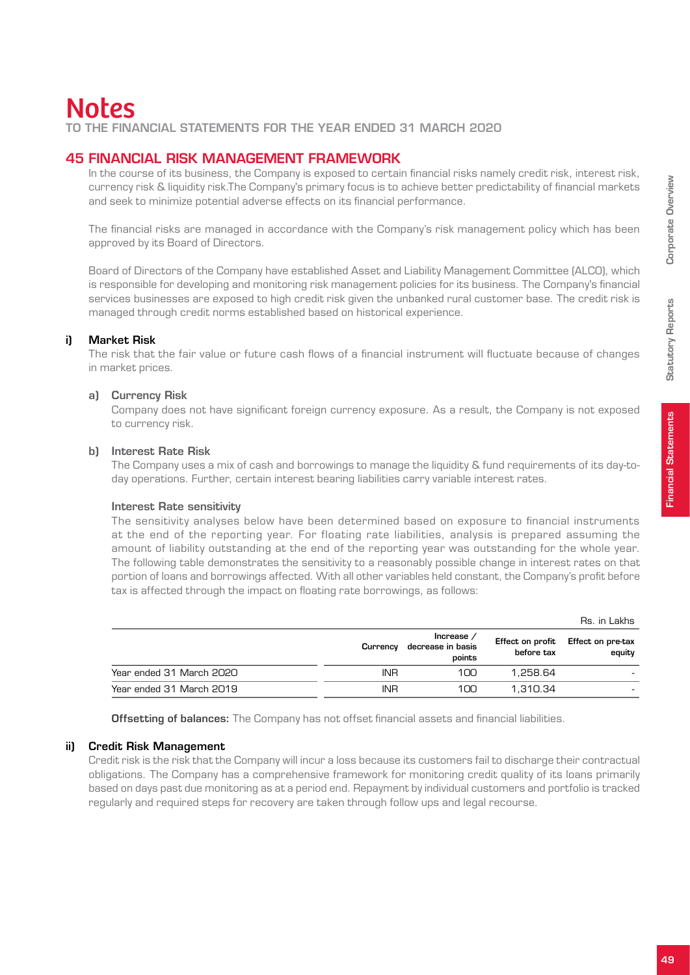to the Financial Statements for the year ended 31 March 2020

### 45 Financial Risk Management Framework

In the course of its business, the Company is exposed to certain financial risks namely credit risk, interest risk, currency risk & liquidity risk.The Company's primary focus is to achieve better predictability of financial markets and seek to minimize potential adverse effects on its financial performance.

The financial risks are managed in accordance with the Company's risk management policy which has been approved by its Board of Directors.

Board of Directors of the Company have established Asset and Liability Management Committee (ALCO), which is responsible for developing and monitoring risk management policies for its business. The Company's financial services businesses are exposed to high credit risk given the unbanked rural customer base. The credit risk is managed through credit norms established based on historical experience.

### i) Market Risk

The risk that the fair value or future cash flows of a financial instrument will fluctuate because of changes in market prices.

### a) Currency Risk

 Company does not have significant foreign currency exposure. As a result, the Company is not exposed to currency risk.

### b) Interest Rate Risk

 The Company uses a mix of cash and borrowings to manage the liquidity & fund requirements of its day-today operations. Further, certain interest bearing liabilities carry variable interest rates.

### Interest Rate sensitivity

 The sensitivity analyses below have been determined based on exposure to financial instruments at the end of the reporting year. For floating rate liabilities, analysis is prepared assuming the amount of liability outstanding at the end of the reporting year was outstanding for the whole year. The following table demonstrates the sensitivity to a reasonably possible change in interest rates on that portion of loans and borrowings affected. With all other variables held constant, the Company's profit before tax is affected through the impact on floating rate borrowings, as follows:

|                          |            |                                                  |                                | Rs. in Lakhs                |
|--------------------------|------------|--------------------------------------------------|--------------------------------|-----------------------------|
|                          | Currency   | Increase $\prime$<br>decrease in basis<br>points | Effect on profit<br>before tax | Effect on pre-tax<br>equity |
| Year ended 31 March 2020 | <b>INR</b> | 100                                              | 1.258.64                       |                             |
| Year ended 31 March 2019 | <b>INR</b> | 100                                              | 1.310.34                       |                             |

**Offsetting of balances:** The Company has not offset financial assets and financial liabilities.

### ii) Credit Risk Management

Credit risk is the risk that the Company will incur a loss because its customers fail to discharge their contractual obligations. The Company has a comprehensive framework for monitoring credit quality of its loans primarily based on days past due monitoring as at a period end. Repayment by individual customers and portfolio is tracked regularly and required steps for recovery are taken through follow ups and legal recourse.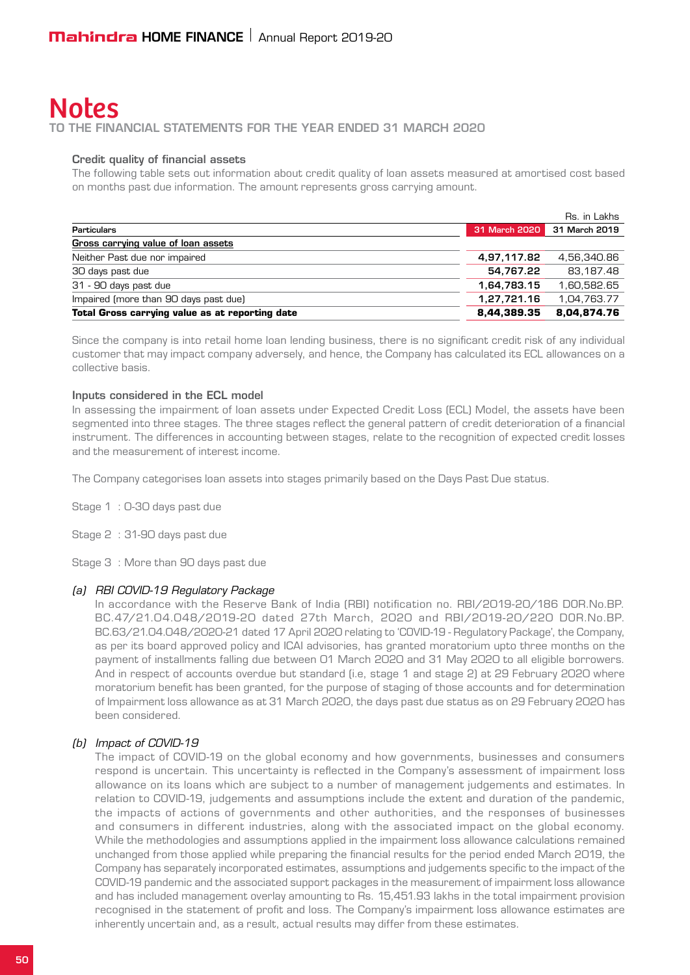to the Financial Statements for the year ended 31 March 2020

### Credit quality of financial assets

The following table sets out information about credit quality of loan assets measured at amortised cost based on months past due information. The amount represents gross carrying amount.

|                                                 |               | Rs. in Lakhs  |
|-------------------------------------------------|---------------|---------------|
| <b>Particulars</b>                              | 31 March 2020 | 31 March 2019 |
| Gross carrying value of loan assets             |               |               |
| Neither Past due nor impaired                   | 4,97,117.82   | 4.56.340.86   |
| 30 days past due                                | 54,767.22     | 83.187.48     |
| 31 - 90 days past due                           | 1,64,783.15   | 1.60.582.65   |
| Impaired (more than 90 days past due)           | 1,27,721.16   | 1,04,763.77   |
| Total Gross carrying value as at reporting date | 8,44,389.35   | 8.04.874.76   |

Since the company is into retail home loan lending business, there is no significant credit risk of any individual customer that may impact company adversely, and hence, the Company has calculated its ECL allowances on a collective basis.

### Inputs considered in the ECL model

In assessing the impairment of loan assets under Expected Credit Loss (ECL) Model, the assets have been segmented into three stages. The three stages reflect the general pattern of credit deterioration of a financial instrument. The differences in accounting between stages, relate to the recognition of expected credit losses and the measurement of interest income.

The Company categorises loan assets into stages primarily based on the Days Past Due status.

- Stage 1 : 0-30 days past due
- Stage 2 : 31-90 days past due
- Stage 3 : More than 90 days past due

### (a) RBI COVID-19 Regulatory Package

 In accordance with the Reserve Bank of India (RBI) notification no. RBI/2019-20/186 DOR.No.BP. BC.47/21.04.048/2019-20 dated 27th March, 2020 and RBI/2019-20/220 DOR.No.BP. BC.63/21.04.048/2020-21 dated 17 April 2020 relating to 'COVID-19 - Regulatory Package', the Company, as per its board approved policy and ICAI advisories, has granted moratorium upto three months on the payment of installments falling due between 01 March 2020 and 31 May 2020 to all eligible borrowers. And in respect of accounts overdue but standard (i.e, stage 1 and stage 2) at 29 February 2020 where moratorium benefit has been granted, for the purpose of staging of those accounts and for determination of Impairment loss allowance as at 31 March 2020, the days past due status as on 29 February 2020 has been considered.

### (b) Impact of COVID-19

 The impact of COVID-19 on the global economy and how governments, businesses and consumers respond is uncertain. This uncertainty is reflected in the Company's assessment of impairment loss allowance on its loans which are subject to a number of management judgements and estimates. In relation to COVID-19, judgements and assumptions include the extent and duration of the pandemic, the impacts of actions of governments and other authorities, and the responses of businesses and consumers in different industries, along with the associated impact on the global economy. While the methodologies and assumptions applied in the impairment loss allowance calculations remained unchanged from those applied while preparing the financial results for the period ended March 2019, the Company has separately incorporated estimates, assumptions and judgements specific to the impact of the COVID-19 pandemic and the associated support packages in the measurement of impairment loss allowance and has included management overlay amounting to Rs. 15,451.93 lakhs in the total impairment provision recognised in the statement of profit and loss. The Company's impairment loss allowance estimates are inherently uncertain and, as a result, actual results may differ from these estimates.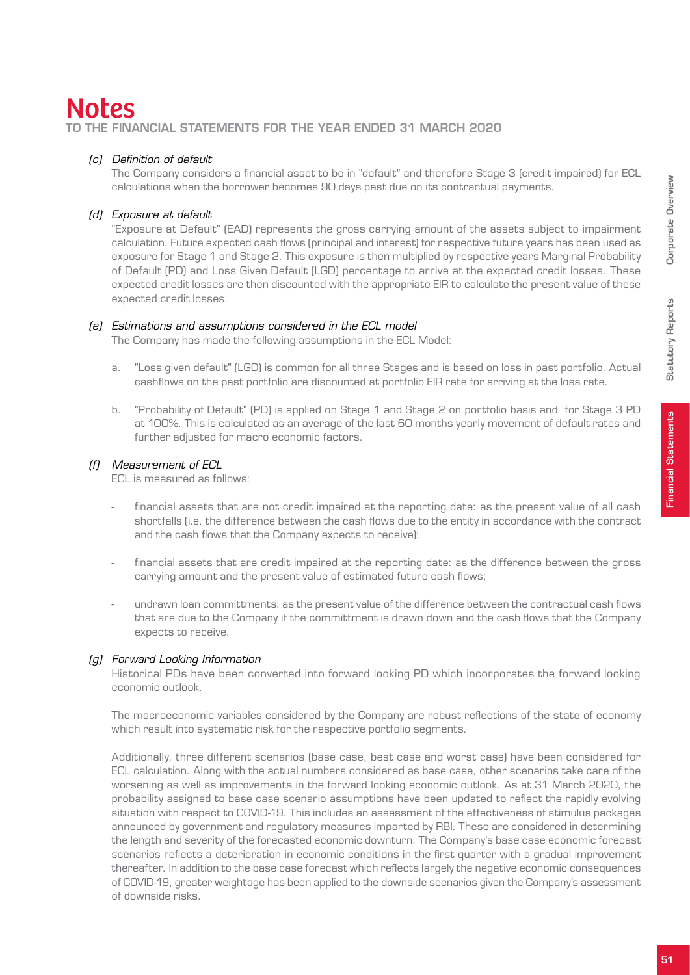to the Financial Statements for the year ended 31 March 2020

### (c) Definition of default

 The Company considers a financial asset to be in "default" and therefore Stage 3 (credit impaired) for ECL calculations when the borrower becomes 90 days past due on its contractual payments.

### (d) Exposure at default

 "Exposure at Default" (EAD) represents the gross carrying amount of the assets subject to impairment calculation. Future expected cash flows (principal and interest) for respective future years has been used as exposure for Stage 1 and Stage 2. This exposure is then multiplied by respective years Marginal Probability of Default (PD) and Loss Given Default (LGD) percentage to arrive at the expected credit losses. These expected credit losses are then discounted with the appropriate EIR to calculate the present value of these expected credit losses.

### (e) Estimations and assumptions considered in the ECL model

The Company has made the following assumptions in the ECL Model:

- a. "Loss given default" (LGD) is common for all three Stages and is based on loss in past portfolio. Actual cashflows on the past portfolio are discounted at portfolio EIR rate for arriving at the loss rate.
- b. "Probability of Default" (PD) is applied on Stage 1 and Stage 2 on portfolio basis and for Stage 3 PD at 100%. This is calculated as an average of the last 60 months yearly movement of default rates and further adjusted for macro economic factors.

### (f) Measurement of ECL

ECL is measured as follows:

- financial assets that are not credit impaired at the reporting date: as the present value of all cash shortfalls (i.e. the difference between the cash flows due to the entity in accordance with the contract and the cash flows that the Company expects to receive);
- financial assets that are credit impaired at the reporting date: as the difference between the gross carrying amount and the present value of estimated future cash flows;
- undrawn loan committments: as the present value of the difference between the contractual cash flows that are due to the Company if the committment is drawn down and the cash flows that the Company expects to receive.

### (g) Forward Looking Information

 Historical PDs have been converted into forward looking PD which incorporates the forward looking economic outlook.

 The macroeconomic variables considered by the Company are robust reflections of the state of economy which result into systematic risk for the respective portfolio segments.

 Additionally, three different scenarios (base case, best case and worst case) have been considered for ECL calculation. Along with the actual numbers considered as base case, other scenarios take care of the worsening as well as improvements in the forward looking economic outlook. As at 31 March 2020, the probability assigned to base case scenario assumptions have been updated to reflect the rapidly evolving situation with respect to COVID-19. This includes an assessment of the effectiveness of stimulus packages announced by government and regulatory measures imparted by RBI. These are considered in determining the length and severity of the forecasted economic downturn. The Company's base case economic forecast scenarios reflects a deterioration in economic conditions in the first quarter with a gradual improvement thereafter. In addition to the base case forecast which reflects largely the negative economic consequences of COVID-19, greater weightage has been applied to the downside scenarios given the Company's assessment of downside risks.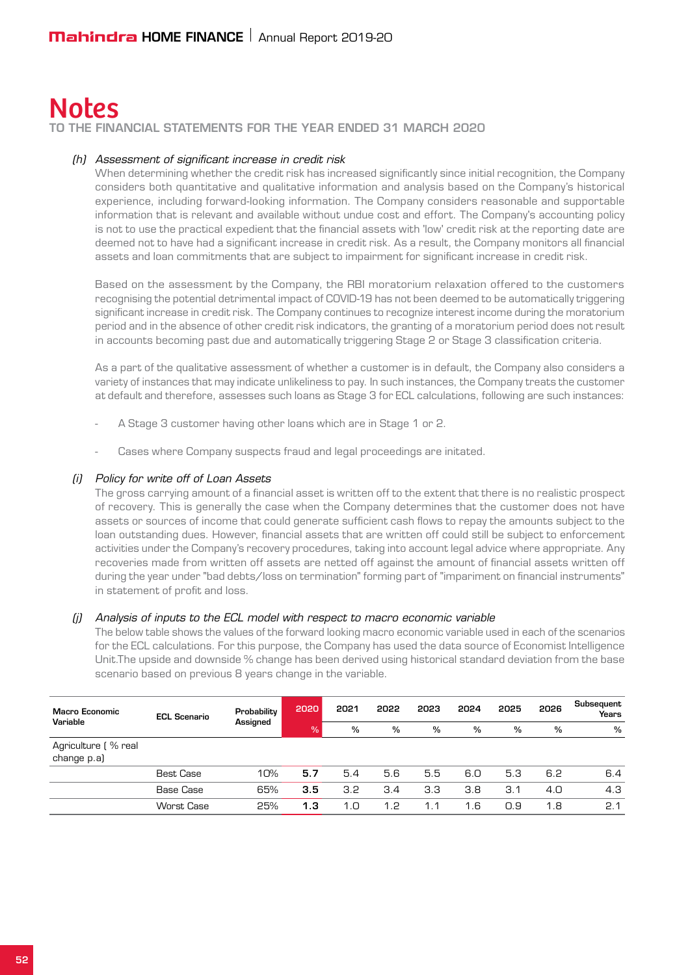### I THE FINANCIAL STATEMENTS FOR THE YEAR ENDED 31 MARCH 2020

### (h) Assessment of significant increase in credit risk

 When determining whether the credit risk has increased significantly since initial recognition, the Company considers both quantitative and qualitative information and analysis based on the Company's historical experience, including forward-looking information. The Company considers reasonable and supportable information that is relevant and available without undue cost and effort. The Company's accounting policy is not to use the practical expedient that the financial assets with 'low' credit risk at the reporting date are deemed not to have had a significant increase in credit risk. As a result, the Company monitors all financial assets and loan commitments that are subject to impairment for significant increase in credit risk.

 Based on the assessment by the Company, the RBI moratorium relaxation offered to the customers recognising the potential detrimental impact of COVID-19 has not been deemed to be automatically triggering significant increase in credit risk. The Company continues to recognize interest income during the moratorium period and in the absence of other credit risk indicators, the granting of a moratorium period does not result in accounts becoming past due and automatically triggering Stage 2 or Stage 3 classification criteria.

 As a part of the qualitative assessment of whether a customer is in default, the Company also considers a variety of instances that may indicate unlikeliness to pay. In such instances, the Company treats the customer at default and therefore, assesses such loans as Stage 3 for ECL calculations, following are such instances:

- A Stage 3 customer having other loans which are in Stage 1 or 2.
- Cases where Company suspects fraud and legal proceedings are initated.

### (i) Policy for write off of Loan Assets

 The gross carrying amount of a financial asset is written off to the extent that there is no realistic prospect of recovery. This is generally the case when the Company determines that the customer does not have assets or sources of income that could generate sufficient cash flows to repay the amounts subject to the loan outstanding dues. However, financial assets that are written off could still be subject to enforcement activities under the Company's recovery procedures, taking into account legal advice where appropriate. Any recoveries made from written off assets are netted off against the amount of financial assets written off during the year under "bad debts/loss on termination" forming part of "impariment on financial instruments" in statement of profit and loss.

### (j) Analysis of inputs to the ECL model with respect to macro economic variable

 The below table shows the values of the forward looking macro economic variable used in each of the scenarios for the ECL calculations. For this purpose, the Company has used the data source of Economist Intelligence Unit.The upside and downside % change has been derived using historical standard deviation from the base scenario based on previous 8 years change in the variable.

| Macro Economic<br>Variable         | <b>ECL Scenario</b> | Probability<br>Assigned | 2020          | 2021 | 2022 | 2023 | 2024 | 2025          | 2026 | <b>Subsequent</b><br><b>Years</b> |
|------------------------------------|---------------------|-------------------------|---------------|------|------|------|------|---------------|------|-----------------------------------|
|                                    |                     |                         | $\frac{1}{2}$ | %    | %    | %    | %    | $\frac{0}{0}$ | %    | %                                 |
| Agriculture (% real<br>change p.a) |                     |                         |               |      |      |      |      |               |      |                                   |
|                                    | <b>Best Case</b>    | 10%                     | 5.7           | 5.4  | 5.6  | 5.5  | 6.0  | 5.3           | 6.2  | 6.4                               |
|                                    | <b>Base Case</b>    | 65%                     | 3.5           | 3.2  | 3.4  | 3.3  | 3.8  | 3.1           | 4.0  | 4.3                               |
|                                    | Worst Case          | 25%                     | 1.3           | 1.0  | 1.2  | 1.1  | 1.6  | 0.9           | 1.8  | 2.1                               |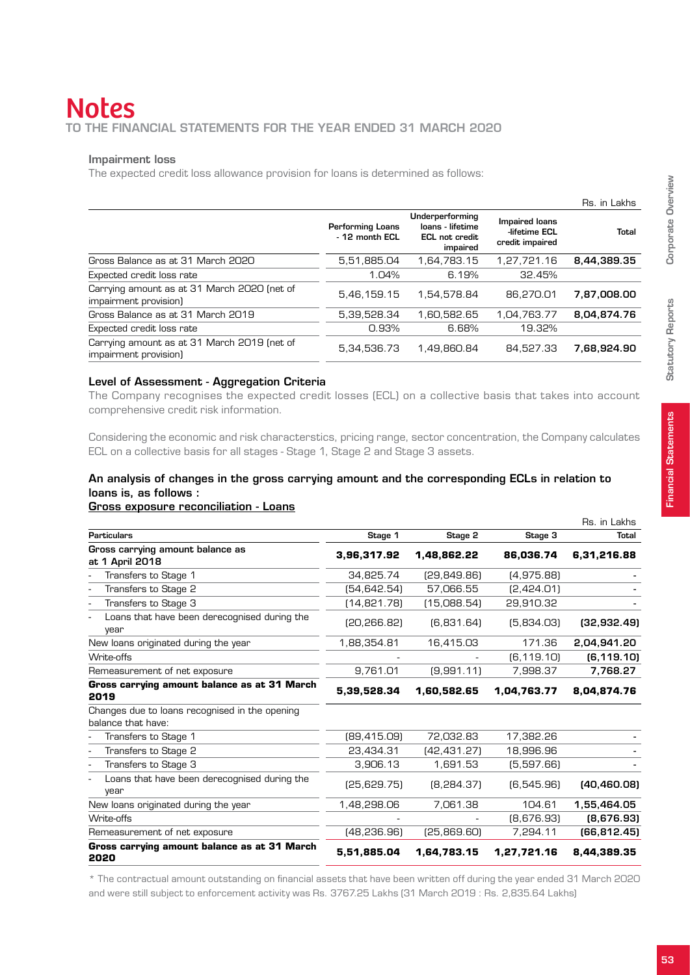### **Notes** to the Financial Statements for the year ended 31 March 2020

### Impairment loss

The expected credit loss allowance provision for loans is determined as follows:

|                                                                      |                                           |                                                                          |                                                    | Rs. in Lakhs |
|----------------------------------------------------------------------|-------------------------------------------|--------------------------------------------------------------------------|----------------------------------------------------|--------------|
|                                                                      | <b>Performing Loans</b><br>- 12 month ECL | Underperforming<br>loans - lifetime<br><b>ECL not credit</b><br>impaired | Impaired loans<br>-lifetime ECL<br>credit impaired | Total        |
| Gross Balance as at 31 March 2020                                    | 5.51.885.04                               | 1,64,783.15                                                              | 1,27,721.16                                        | 8,44,389.35  |
| Expected credit loss rate                                            | 1.04%                                     | 6.19%                                                                    | 32.45%                                             |              |
| Carrying amount as at 31 March 2020 (net of<br>impairment provision) | 5,46,159.15                               | 1.54.578.84                                                              | 86,270.01                                          | 7.87.008.00  |
| Gross Balance as at 31 March 2019                                    | 5,39,528.34                               | 1,60,582.65                                                              | 1,04,763.77                                        | 8,04,874.76  |
| Expected credit loss rate                                            | 0.93%                                     | 6.68%                                                                    | 19.32%                                             |              |
| Carrying amount as at 31 March 2019 (net of<br>impairment provision) | 5,34,536.73                               | 1,49,860.84                                                              | 84.527.33                                          | 7,68,924.90  |

### Level of Assessment - Aggregation Criteria

The Company recognises the expected credit losses (ECL) on a collective basis that takes into account comprehensive credit risk information.

Considering the economic and risk characterstics, pricing range, sector concentration, the Company calculates ECL on a collective basis for all stages - Stage 1, Stage 2 and Stage 3 assets.

### An analysis of changes in the gross carrying amount and the corresponding ECLs in relation to loans is, as follows :

### Gross exposure reconciliation - Loans

|                                                                      |              |              |             | RS. IN LAKNS |
|----------------------------------------------------------------------|--------------|--------------|-------------|--------------|
| <b>Particulars</b>                                                   | Stage 1      | Stage 2      | Stage 3     | Total        |
| Gross carrying amount balance as<br>at 1 April 2018                  | 3,96,317.92  | 1,48,862.22  | 86,036.74   | 6,31,216.88  |
| Transfers to Stage 1                                                 | 34,825.74    | [29, 849.86] | (4,975.88)  |              |
| Transfers to Stage 2                                                 | [54, 642.54] | 57,066.55    | [2,424.01]  |              |
| Transfers to Stage 3                                                 | (14, 821.78) | (15,088.54)  | 29,910.32   |              |
| Loans that have been derecognised during the<br>year                 | [20, 266.82] | (6,831.64)   | (5,834.03)  | (32, 932.49) |
| New loans originated during the year                                 | 1,88,354.81  | 16,415.03    | 171.36      | 2,04,941.20  |
| Write-offs                                                           |              |              | (6, 119.10) | (6, 119.10)  |
| Remeasurement of net exposure                                        | 9.761.01     | (9,991.11)   | 7,998.37    | 7,768.27     |
| Gross carrying amount balance as at 31 March<br>2019                 | 5,39,528.34  | 1,60,582.65  | 1,04,763.77 | 8,04,874.76  |
| Changes due to loans recognised in the opening<br>balance that have: |              |              |             |              |
| Transfers to Stage 1                                                 | [89,415.09]  | 72.032.83    | 17.382.26   |              |
| Transfers to Stage 2                                                 | 23,434.31    | (42, 431.27) | 18,996.96   |              |
| Transfers to Stage 3                                                 | 3,906.13     | 1,691.53     | (5,597.66)  |              |
| Loans that have been derecognised during the<br>vear                 | (25,629.75)  | [8, 284.37]  | (6,545.96)  | (40, 460.08) |
| New loans originated during the year                                 | 1,48,298.06  | 7.061.38     | 104.61      | 1,55,464.05  |
| Write-offs                                                           |              |              | [8,676.93]  | (8,676.93)   |
| Remeasurement of net exposure                                        | (48, 236.96) | (25,869.60)  | 7,294.11    | (66, 812.45) |
| Gross carrying amount balance as at 31 March<br>2020                 | 5,51,885.04  | 1,64,783.15  | 1,27,721.16 | 8,44,389.35  |

\* The contractual amount outstanding on financial assets that have been written off during the year ended 31 March 2020 and were still subject to enforcement activity was Rs. 3767.25 Lakhs (31 March 2019 : Rs. 2,835.64 Lakhs)

Rs. in Lakhs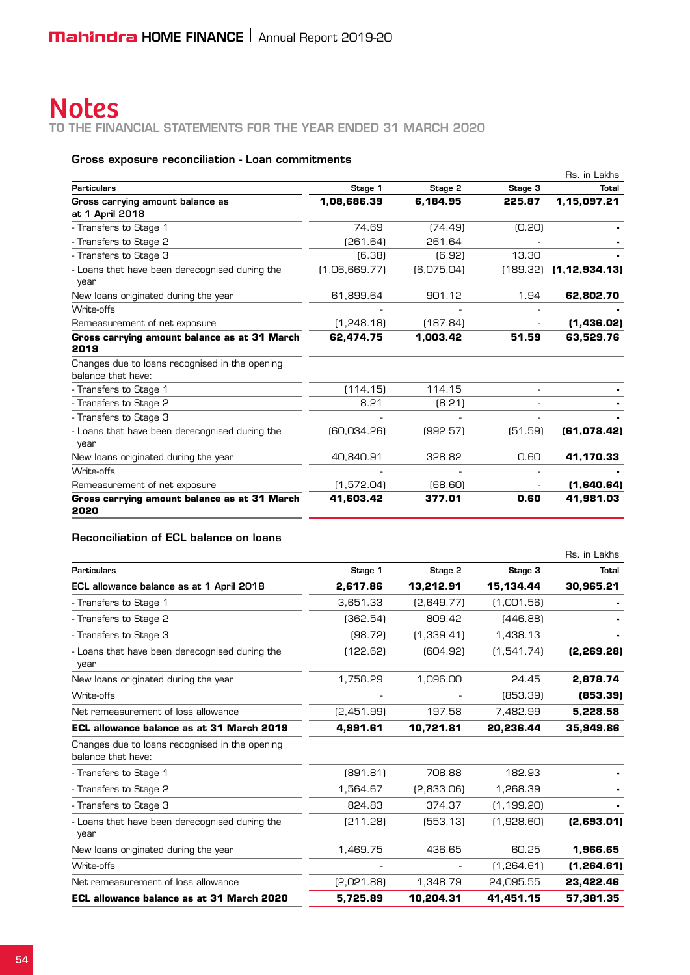to the Financial Statements for the year ended 31 March 2020

### Gross exposure reconciliation - Loan commitments

|                                                                      |               |            |          | Rs. in Lakhs    |
|----------------------------------------------------------------------|---------------|------------|----------|-----------------|
| <b>Particulars</b>                                                   | Stage 1       | Stage 2    | Stage 3  | Total           |
| Gross carrying amount balance as<br>at 1 April 2018                  | 1,08,686.39   | 6,184.95   | 225.87   | 1,15,097.21     |
| - Transfers to Stage 1                                               | 74.69         | (74.49)    | [0.20]   |                 |
| - Transfers to Stage 2                                               | [261.64]      | 261.64     |          |                 |
| - Transfers to Stage 3                                               | (6.38)        | (6.92)     | 13.30    |                 |
| - Loans that have been derecognised during the<br>year               | (1,06,669.77) | (6,075.04) | (189.32) | (1, 12, 934.13) |
| New loans originated during the year                                 | 61,899.64     | 901.12     | 1.94     | 62,802.70       |
| <b>Write-offs</b>                                                    |               |            |          |                 |
| Remeasurement of net exposure                                        | (1,248.18)    | (187.84)   |          | (1,436.02)      |
| Gross carrying amount balance as at 31 March<br>2019                 | 62,474.75     | 1.003.42   | 51.59    | 63.529.76       |
| Changes due to loans recognised in the opening<br>balance that have: |               |            |          |                 |
| - Transfers to Stage 1                                               | (114.15)      | 114.15     |          |                 |
| - Transfers to Stage 2                                               | 8.21          | (8.21)     |          |                 |
| - Transfers to Stage 3                                               |               |            |          |                 |
| - Loans that have been derecognised during the<br>year               | [60,034.26]   | (992.57)   | (51.59)  | (61,078.42)     |
| New loans originated during the year                                 | 40,840.91     | 328.82     | 0.60     | 41,170.33       |
| Write-offs                                                           |               |            |          |                 |
| Remeasurement of net exposure                                        | (1,572.04)    | (68.60)    |          | (1,640.64)      |
| Gross carrying amount balance as at 31 March<br>2020                 | 41.603.42     | 377.01     | 0.60     | 41.981.03       |

### Reconciliation of ECL balance on loans

|                                                                      |            |            |             | Rs. in Lakhs |
|----------------------------------------------------------------------|------------|------------|-------------|--------------|
| <b>Particulars</b>                                                   | Stage 1    | Stage 2    | Stage 3     | Total        |
| ECL allowance balance as at 1 April 2018                             | 2,617.86   | 13,212.91  | 15,134.44   | 30,965.21    |
| - Transfers to Stage 1                                               | 3.651.33   | [2.649.77] | (1,001.56)  |              |
| - Transfers to Stage 2                                               | (362.54)   | 809.42     | (446.88)    |              |
| - Transfers to Stage 3                                               | [98.72]    | (1,339.41) | 1,438.13    |              |
| - Loans that have been derecognised during the<br>year               | (122.62)   | [604.92]   | (1,541.74)  | (2, 269.28)  |
| New loans originated during the year                                 | 1.758.29   | 1.096.00   | 24.45       | 2,878.74     |
| Write-offs                                                           |            |            | (853.39)    | (853.39)     |
| Net remeasurement of loss allowance                                  | [2,451.99] | 197.58     | 7,482.99    | 5,228.58     |
| ECL allowance balance as at 31 March 2019                            | 4,991.61   | 10,721.81  | 20,236.44   | 35.949.86    |
| Changes due to loans recognised in the opening<br>balance that have: |            |            |             |              |
| - Transfers to Stage 1                                               | (891.81)   | 708.88     | 182.93      |              |
| - Transfers to Stage 2                                               | 1,564.67   | [2,833.06] | 1,268.39    |              |
| - Transfers to Stage 3                                               | 824.83     | 374.37     | (1, 199.20) |              |
| - Loans that have been derecognised during the<br>year               | [211.28]   | (553.13)   | (1,928.60)  | (2,693.01)   |
| New loans originated during the year                                 | 1.469.75   | 436.65     | 60.25       | 1,966.65     |
| Write-offs                                                           |            |            | (1, 264.61) | (1, 264.61)  |
| Net remeasurement of loss allowance                                  | [2,021.88] | 1,348.79   | 24,095.55   | 23,422.46    |
| <b>ECL</b> allowance balance as at 31 March 2020                     | 5,725.89   | 10.204.31  | 41.451.15   | 57.381.35    |
|                                                                      |            |            |             |              |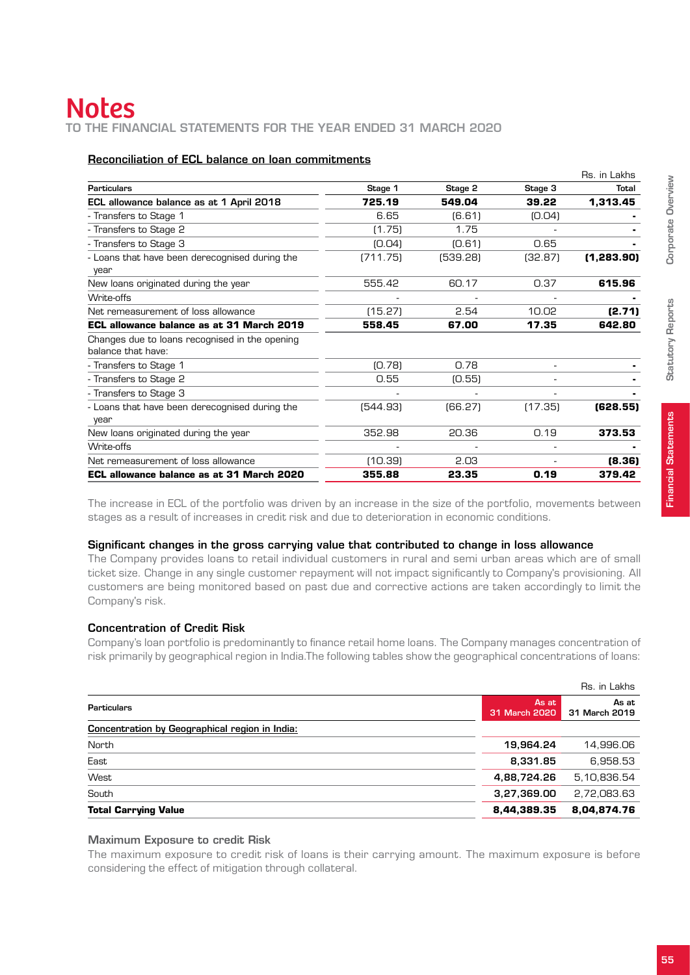to the Financial Statements for the year ended 31 March 2020

### Reconciliation of ECL balance on loan commitments

|                                                                      |          |          |         | Rs. in Lakhs |
|----------------------------------------------------------------------|----------|----------|---------|--------------|
| <b>Particulars</b>                                                   | Stage 1  | Stage 2  | Stage 3 | <b>Total</b> |
| ECL allowance balance as at 1 April 2018                             | 725.19   | 549.04   | 39.22   | 1,313.45     |
| - Transfers to Stage 1                                               | 6.65     | (6.61)   | [0.04]  |              |
| - Transfers to Stage 2                                               | (1.75)   | 1.75     |         |              |
| - Transfers to Stage 3                                               | [0.04]   | [0.61]   | 0.65    |              |
| - Loans that have been derecognised during the<br>year               | (711.75) | (539.28) | (32.87) | (1,283.90)   |
| New loans originated during the year                                 | 555.42   | 60.17    | 0.37    | 615.96       |
| Write-offs                                                           |          |          |         |              |
| Net remeasurement of loss allowance                                  | (15.27)  | 2.54     | 10.02   | (2.71)       |
| ECL allowance balance as at 31 March 2019                            | 558.45   | 67.00    | 17.35   | 642.80       |
| Changes due to loans recognised in the opening<br>balance that have: |          |          |         |              |
| - Transfers to Stage 1                                               | [0.78]   | 0.78     |         |              |
| - Transfers to Stage 2                                               | 0.55     | (0.55)   |         |              |
| - Transfers to Stage 3                                               |          |          |         |              |
| - Loans that have been derecognised during the<br>year               | (544.93) | (66.27)  | (17.35) | (628.55)     |
| New loans originated during the year                                 | 352.98   | 20.36    | 0.19    | 373.53       |
| Write-offs                                                           |          |          |         |              |
| Net remeasurement of loss allowance                                  | (10.39)  | 2.03     |         | (8.36)       |
| ECL allowance balance as at 31 March 2020                            | 355.88   | 23.35    | 0.19    | 379.42       |

The increase in ECL of the portfolio was driven by an increase in the size of the portfolio, movements between stages as a result of increases in credit risk and due to deterioration in economic conditions.

### Significant changes in the gross carrying value that contributed to change in loss allowance

The Company provides loans to retail individual customers in rural and semi urban areas which are of small ticket size. Change in any single customer repayment will not impact significantly to Company's provisioning. All customers are being monitored based on past due and corrective actions are taken accordingly to limit the Company's risk.

### Concentration of Credit Risk

Company's loan portfolio is predominantly to finance retail home loans. The Company manages concentration of risk primarily by geographical region in India.The following tables show the geographical concentrations of loans:

|                                                       |                        | Rs. in Lakhs           |
|-------------------------------------------------------|------------------------|------------------------|
| <b>Particulars</b>                                    | As at<br>31 March 2020 | As at<br>31 March 2019 |
| <b>Concentration by Geographical region in India:</b> |                        |                        |
| North                                                 | 19,964.24              | 14,996.06              |
| East                                                  | 8,331.85               | 6,958.53               |
| West                                                  | 4,88,724.26            | 5,10,836.54            |
| South                                                 | 3,27,369.00            | 2,72,083.63            |
| <b>Total Carrying Value</b>                           | 8,44,389.35            | 8,04,874.76            |

### Maximum Exposure to credit Risk

The maximum exposure to credit risk of loans is their carrying amount. The maximum exposure is before considering the effect of mitigation through collateral.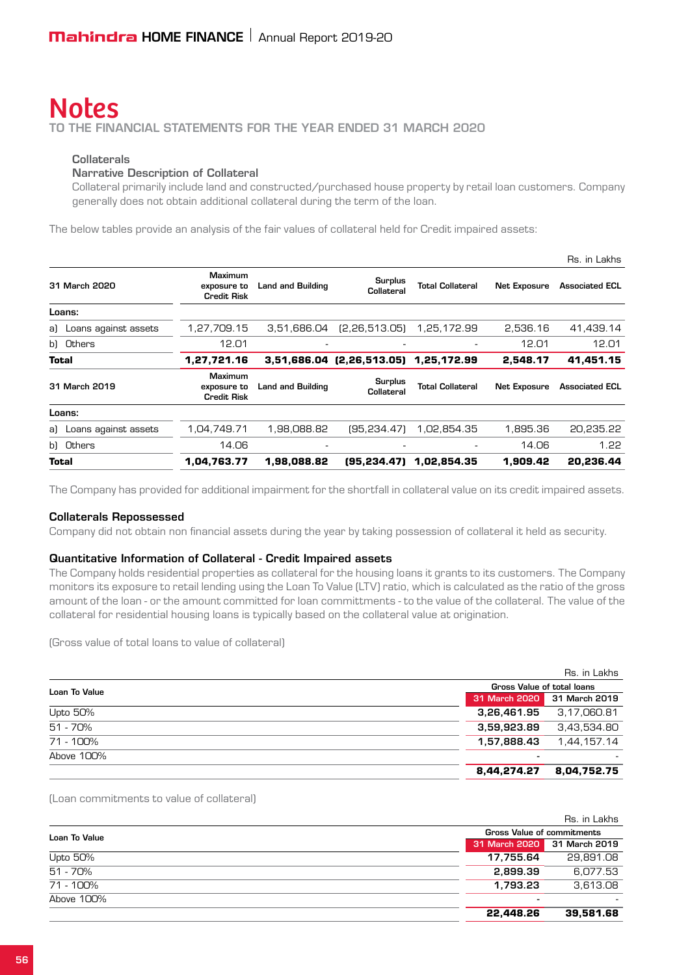to the Financial Statements for the year ended 31 March 2020

### Collaterals

### Narrative Description of Collateral

Collateral primarily include land and constructed/purchased house property by retail loan customers. Company generally does not obtain additional collateral during the term of the loan.

The below tables provide an analysis of the fair values of collateral held for Credit impaired assets:

|                         |                                                     |                   |                              |                         |                     | Rs. in Lakhs          |
|-------------------------|-----------------------------------------------------|-------------------|------------------------------|-------------------------|---------------------|-----------------------|
| 31 March 2020           | Maximum<br>exposure to<br><b>Credit Risk</b>        | Land and Building | <b>Surplus</b><br>Collateral | <b>Total Collateral</b> | <b>Net Exposure</b> | <b>Associated ECL</b> |
| Loans:                  |                                                     |                   |                              |                         |                     |                       |
| a) Loans against assets | 1,27,709.15                                         | 3.51.686.04       | [2, 26, 513.05]              | 1.25.172.99             | 2,536.16            | 41,439.14             |
| b) Others               | 12.01                                               |                   |                              |                         | 12.01               | 12.01                 |
| <b>Total</b>            | 1,27,721.16                                         |                   | 3,51,686.04 (2,26,513.05)    | 1,25,172.99             | 2,548.17            | 41,451.15             |
| 31 March 2019           | <b>Maximum</b><br>exposure to<br><b>Credit Risk</b> | Land and Building | <b>Surplus</b><br>Collateral | <b>Total Collateral</b> | <b>Net Exposure</b> | <b>Associated ECL</b> |
| Loans:                  |                                                     |                   |                              |                         |                     |                       |
| a) Loans against assets | 1,04,749.71                                         | 1,98,088.82       | (95, 234.47)                 | 1,02,854.35             | 1,895.36            | 20,235.22             |
| b) Others               | 14.06                                               |                   |                              | ۰                       | 14.06               | 1.22                  |
| Total                   | 1.04.763.77                                         | 1.98.088.82       | (95.234.47)                  | 1.02.854.35             | 1,909.42            | 20.236.44             |

The Company has provided for additional impairment for the shortfall in collateral value on its credit impaired assets.

### Collaterals Repossessed

Company did not obtain non financial assets during the year by taking possession of collateral it held as security.

### Quantitative Information of Collateral - Credit Impaired assets

The Company holds residential properties as collateral for the housing loans it grants to its customers. The Company monitors its exposure to retail lending using the Loan To Value (LTV) ratio, which is calculated as the ratio of the gross amount of the loan - or the amount committed for loan committments - to the value of the collateral. The value of the collateral for residential housing loans is typically based on the collateral value at origination.

(Gross value of total loans to value of collateral)

|               | Rs. in Lakhs                   |  |
|---------------|--------------------------------|--|
| Loan To Value | Gross Value of total loans     |  |
|               | 31 March 2020<br>31 March 2019 |  |
| Upto 50%      | 3,26,461.95<br>3,17,060.81     |  |
| 51 - 70%      | 3,59,923.89<br>3.43.534.80     |  |
| 71 - 100%     | 1.44.157.14<br>1,57,888.43     |  |
| Above 100%    |                                |  |
|               | 8.44.274.27<br>8.04.752.75     |  |

(Loan commitments to value of collateral)

|               | 22,448.26<br>39,581.68            |
|---------------|-----------------------------------|
| Above 100%    |                                   |
| 71 - 100%     | 1.793.23<br>3.613.08              |
| 51 - 70%      | 2.899.39<br>6,077.53              |
| Upto 50%      | 29,891.08<br>17,755.64            |
|               | 31 March 2020<br>31 March 2019    |
| Loan To Value | <b>Gross Value of commitments</b> |
|               | Rs. in Lakhs                      |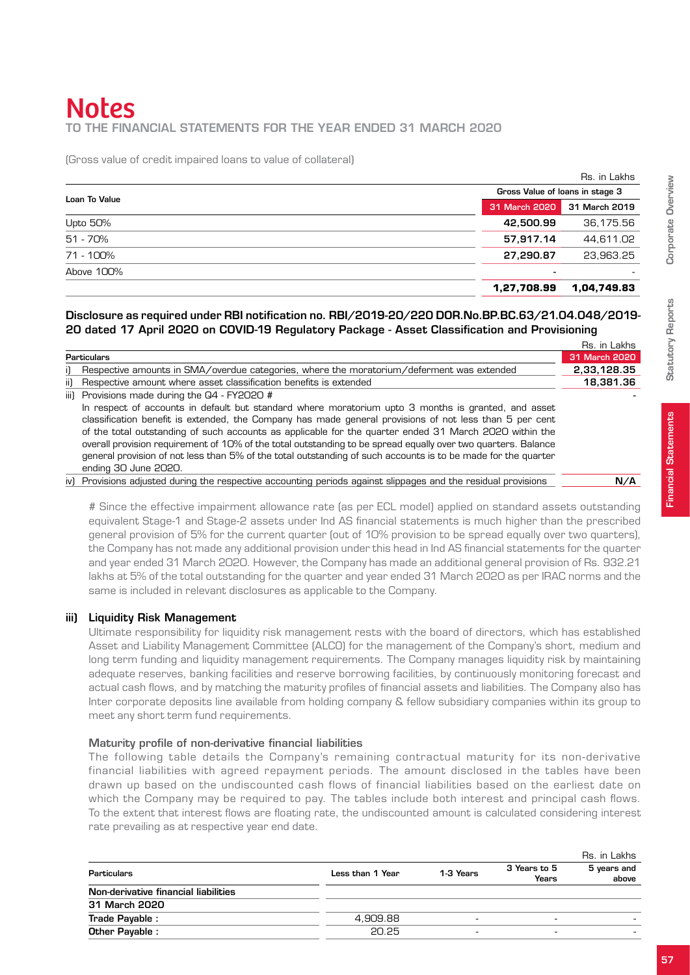# **Notes** to the Financial Statements for the year ended 31 March 2020

(Gross value of credit impaired loans to value of collateral)

|               |                                 | Rs. in Lakhs  |
|---------------|---------------------------------|---------------|
|               | Gross Value of Ioans in stage 3 |               |
| Loan To Value | 31 March 2020                   | 31 March 2019 |
| Upto 50%      | 42,500.99                       | 36,175.56     |
| 51 - 70%      | 57,917.14                       | 44,611.02     |
| 71 - 100%     | 27,290.87                       | 23,963.25     |
| Above 100%    | -                               |               |
|               | 1,27,708.99                     | 1,04,749.83   |

### Disclosure as required under RBI notification no. RBI/2019-20/220 DOR.No.BP.BC.63/21.04.048/2019- 20 dated 17 April 2020 on COVID-19 Regulatory Package - Asset Classification and Provisioning

|     |                                                                                                                                                                                                                                                                                                                                                                                                                                                                                                                                                                                    | Rs. in Lakhs  |
|-----|------------------------------------------------------------------------------------------------------------------------------------------------------------------------------------------------------------------------------------------------------------------------------------------------------------------------------------------------------------------------------------------------------------------------------------------------------------------------------------------------------------------------------------------------------------------------------------|---------------|
|     | <b>Particulars</b>                                                                                                                                                                                                                                                                                                                                                                                                                                                                                                                                                                 | 31 March 2020 |
| i1. | Respective amounts in SMA/overdue categories, where the moratorium/deferment was extended                                                                                                                                                                                                                                                                                                                                                                                                                                                                                          | 2,33,128.35   |
|     | ii) Respective amount where asset classification benefits is extended                                                                                                                                                                                                                                                                                                                                                                                                                                                                                                              | 18,381.36     |
|     | iii) Provisions made during the Q4 - FY2020 #                                                                                                                                                                                                                                                                                                                                                                                                                                                                                                                                      |               |
|     | In respect of accounts in default but standard where moratorium upto 3 months is granted, and asset<br>classification benefit is extended, the Company has made general provisions of not less than 5 per cent<br>of the total outstanding of such accounts as applicable for the quarter ended 31 March 2020 within the<br>overall provision requirement of 10% of the total outstanding to be spread equally over two quarters. Balance<br>general provision of not less than 5% of the total outstanding of such accounts is to be made for the quarter<br>ending 30 June 2020. |               |
|     | iv) Provisions adjusted during the respective accounting periods against slippages and the residual provisions                                                                                                                                                                                                                                                                                                                                                                                                                                                                     | N/A           |

per ECL model) appli equivalent Stage-1 and Stage-2 assets under Ind AS financial statements is much higher than the prescribed general provision of 5% for the current quarter (out of 10% provision to be spread equally over two quarters), the Company has not made any additional provision under this head in Ind AS financial statements for the quarter and year ended 31 March 2020. However, the Company has made an additional general provision of Rs. 932.21 lakhs at 5% of the total outstanding for the quarter and year ended 31 March 2020 as per IRAC norms and the same is included in relevant disclosures as applicable to the Company.

### iii) Liquidity Risk Management

 Ultimate responsibility for liquidity risk management rests with the board of directors, which has established Asset and Liability Management Committee (ALCO) for the management of the Company's short, medium and long term funding and liquidity management requirements. The Company manages liquidity risk by maintaining adequate reserves, banking facilities and reserve borrowing facilities, by continuously monitoring forecast and actual cash flows, and by matching the maturity profiles of financial assets and liabilities. The Company also has Inter corporate deposits line available from holding company & fellow subsidiary companies within its group to meet any short term fund requirements.

### Maturity profile of non-derivative financial liabilities

The following table details the Company's remaining contractual maturity for its non-derivative financial liabilities with agreed repayment periods. The amount disclosed in the tables have been drawn up based on the undiscounted cash flows of financial liabilities based on the earliest date on which the Company may be required to pay. The tables include both interest and principal cash flows. To the extent that interest flows are floating rate, the undiscounted amount is calculated considering interest rate prevailing as at respective year end date.

|                                      |                  |                          |                          | Rs. in Lakhs         |
|--------------------------------------|------------------|--------------------------|--------------------------|----------------------|
| Particulars                          | Less than 1 Year | 1-3 Years                | 3 Years to 5<br>Years    | 5 years and<br>above |
| Non-derivative financial liabilities |                  |                          |                          |                      |
| 31 March 2020                        |                  |                          |                          |                      |
| Trade Payable :                      | 4.909.88         | -                        | -                        |                      |
| Other Payable :                      | 20.25            | $\overline{\phantom{0}}$ | $\overline{\phantom{0}}$ |                      |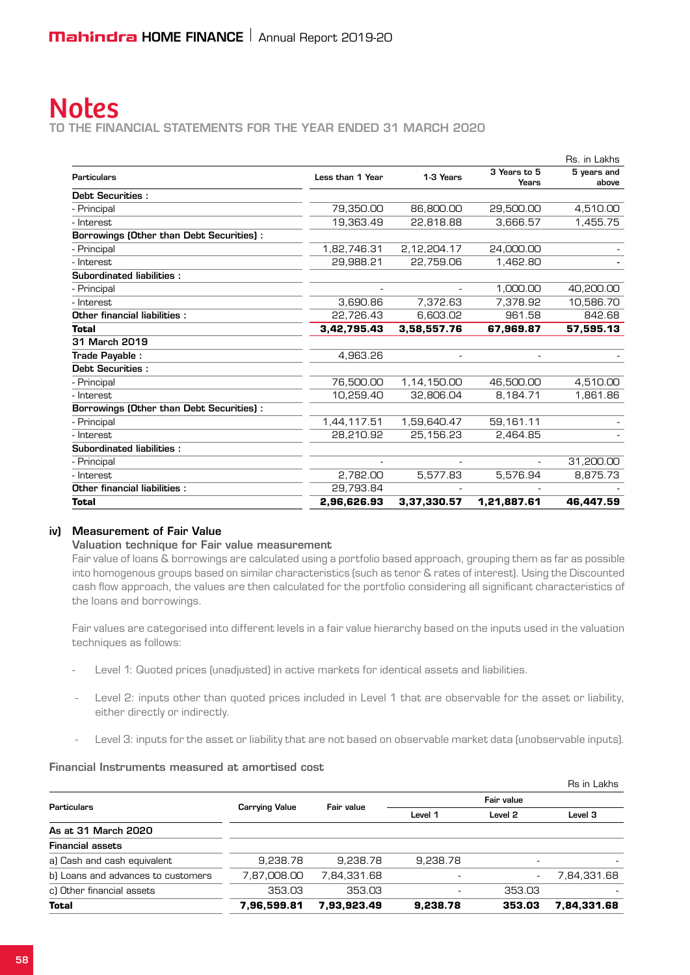I THE FINANCIAL STATEMENTS FOR THE YEAR ENDED 31 MARCH 2020

|                                                 |                  |             |                              | Rs. in Lakhs         |
|-------------------------------------------------|------------------|-------------|------------------------------|----------------------|
| <b>Particulars</b>                              | Less than 1 Year | 1-3 Years   | 3 Years to 5<br><b>Years</b> | 5 years and<br>above |
| <b>Debt Securities:</b>                         |                  |             |                              |                      |
| - Principal                                     | 79,350.00        | 86,800,00   | 29.500.00                    | 4.510.00             |
| - Interest                                      | 19.363.49        | 22.818.88   | 3.666.57                     | 1,455.75             |
| <b>Borrowings (Other than Debt Securities):</b> |                  |             |                              |                      |
| - Principal                                     | 1,82,746.31      | 2,12,204.17 | 24,000.00                    |                      |
| - Interest                                      | 29.988.21        | 22.759.06   | 1.462.80                     |                      |
| <b>Subordinated liabilities:</b>                |                  |             |                              |                      |
| - Principal                                     |                  |             | 1,000.00                     | 40,200.00            |
| - Interest                                      | 3,690.86         | 7,372.63    | 7,378.92                     | 10,586.70            |
| Other financial liabilities :                   | 22,726.43        | 6.603.02    | 961.58                       | 842.68               |
| <b>Total</b>                                    | 3,42,795.43      | 3,58,557.76 | 67,969.87                    | 57,595.13            |
| 31 March 2019                                   |                  |             |                              |                      |
| Trade Payable :                                 | 4,963.26         |             | ۰                            |                      |
| <b>Debt Securities:</b>                         |                  |             |                              |                      |
| - Principal                                     | 76,500.00        | 1,14,150.00 | 46,500.00                    | 4,510.00             |
| - Interest                                      | 10.259.40        | 32.806.04   | 8,184.71                     | 1,861.86             |
| <b>Borrowings (Other than Debt Securities):</b> |                  |             |                              |                      |
| - Principal                                     | 1,44,117.51      | 1,59,640.47 | 59,161.11                    |                      |
| - Interest                                      | 28,210.92        | 25,156.23   | 2.464.85                     |                      |
| <b>Subordinated liabilities:</b>                |                  |             |                              |                      |
| - Principal                                     |                  |             |                              | 31,200.00            |
| - Interest                                      | 2,782.00         | 5.577.83    | 5.576.94                     | 8,875.73             |
| Other financial liabilities :                   | 29,793.84        |             |                              |                      |
| Total                                           | 2,96,626.93      | 3,37,330.57 | 1,21,887.61                  | 46,447.59            |

### iv) Measurement of Fair Value

### Valuation technique for Fair value measurement

Fair value of loans & borrowings are calculated using a portfolio based approach, grouping them as far as possible into homogenous groups based on similar characteristics (such as tenor & rates of interest). Using the Discounted cash flow approach, the values are then calculated for the portfolio considering all significant characteristics of the loans and borrowings.

Fair values are categorised into different levels in a fair value hierarchy based on the inputs used in the valuation techniques as follows:

- Level 1: Quoted prices (unadjusted) in active markets for identical assets and liabilities.
- Level 2: inputs other than quoted prices included in Level 1 that are observable for the asset or liability, either directly or indirectly.
- Level 3: inputs for the asset or liability that are not based on observable market data (unobservable inputs).

### Financial Instruments measured at amortised cost

|                                    |                       |             |          |            | Rs in Lakhs |
|------------------------------------|-----------------------|-------------|----------|------------|-------------|
| <b>Particulars</b>                 |                       | Fair value  |          | Fair value |             |
|                                    | <b>Carrying Value</b> |             | Level 1  | Level 2    | Level 3     |
| As at 31 March 2020                |                       |             |          |            |             |
| <b>Financial assets</b>            |                       |             |          |            |             |
| a) Cash and cash equivalent        | 9,238.78              | 9,238.78    | 9,238.78 | -          |             |
| b) Loans and advances to customers | 7,87,008.00           | 7,84,331.68 |          | -          | 7,84,331.68 |
| c) Other financial assets          | 353.03                | 353.03      |          | 353.03     |             |
| <b>Total</b>                       | 7,96,599.81           | 7.93.923.49 | 9,238.78 | 353.03     | 7,84,331.68 |
|                                    |                       |             |          |            |             |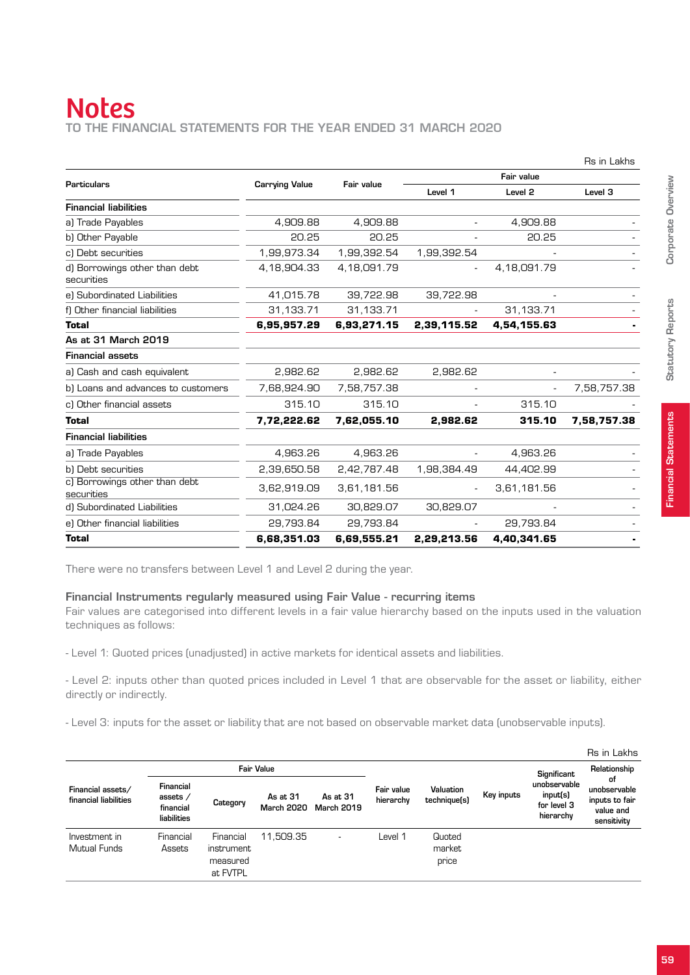to the Financial Statements for the year ended 31 March 2020

|                                             |                       |             |             |                    | Rs in Lakhs |
|---------------------------------------------|-----------------------|-------------|-------------|--------------------|-------------|
| <b>Particulars</b>                          |                       | Fair value  |             | Fair value         |             |
|                                             | <b>Carrying Value</b> |             | Level 1     | Level <sub>2</sub> | Level 3     |
| <b>Financial liabilities</b>                |                       |             |             |                    |             |
| a) Trade Payables                           | 4.909.88              | 4.909.88    |             | 4.909.88           |             |
| b) Other Payable                            | 20.25                 | 20.25       |             | 20.25              |             |
| c) Debt securities                          | 1,99,973.34           | 1,99,392.54 | 1,99,392.54 |                    |             |
| d) Borrowings other than debt<br>securities | 4,18,904.33           | 4,18,091.79 |             | 4,18,091.79        |             |
| e) Subordinated Liabilities                 | 41.015.78             | 39.722.98   | 39.722.98   |                    |             |
| f) Other financial liabilities              | 31,133.71             | 31,133.71   |             | 31,133.71          |             |
| Total                                       | 6,95,957.29           | 6,93,271.15 | 2,39,115.52 | 4,54,155.63        |             |
| As at 31 March 2019                         |                       |             |             |                    |             |
| <b>Financial assets</b>                     |                       |             |             |                    |             |
| a) Cash and cash equivalent                 | 2,982.62              | 2,982.62    | 2,982.62    |                    |             |
| b) Loans and advances to customers          | 7,68,924.90           | 7,58,757.38 |             |                    | 7,58,757.38 |
| c) Other financial assets                   | 315.10                | 315.10      |             | 315.10             |             |
| <b>Total</b>                                | 7,72,222.62           | 7,62,055.10 | 2,982.62    | 315.10             | 7,58,757.38 |
| <b>Financial liabilities</b>                |                       |             |             |                    |             |
| a) Trade Payables                           | 4,963.26              | 4,963.26    |             | 4,963.26           |             |
| b) Debt securities                          | 2,39,650.58           | 2,42,787.48 | 1,98,384.49 | 44,402.99          |             |
| c) Borrowings other than debt<br>securities | 3,62,919.09           | 3,61,181.56 |             | 3,61,181.56        |             |
| d) Subordinated Liabilities                 | 31,024.26             | 30,829.07   | 30,829.07   |                    |             |
| e) Other financial liabilities              | 29,793.84             | 29,793.84   |             | 29,793.84          |             |
| <b>Total</b>                                | 6,68,351.03           | 6,69,555.21 | 2,29,213.56 | 4,40,341.65        |             |

There were no transfers between Level 1 and Level 2 during the year.

### Financial Instruments regularly measured using Fair Value - recurring items

Fair values are categorised into different levels in a fair value hierarchy based on the inputs used in the valuation techniques as follows:

- Level 1: Quoted prices (unadjusted) in active markets for identical assets and liabilities.

- Level 2: inputs other than quoted prices included in Level 1 that are observable for the asset or liability, either directly or indirectly.

- Level 3: inputs for the asset or liability that are not based on observable market data (unobservable inputs).

|                                            |                                                   |                                                 |                        |                               |                         |                           |            |                                                      | Rs in Lakhs                                                      |
|--------------------------------------------|---------------------------------------------------|-------------------------------------------------|------------------------|-------------------------------|-------------------------|---------------------------|------------|------------------------------------------------------|------------------------------------------------------------------|
|                                            |                                                   |                                                 | <b>Fair Value</b>      |                               |                         |                           |            | Significant                                          | Relationship                                                     |
| Financial assets/<br>financial liabilities | Financial<br>assets /<br>financial<br>liabilities | Category                                        | As at 31<br>March 2020 | As at 31<br><b>March 2019</b> | Fair value<br>hierarchy | Valuation<br>technique(s) | Key inputs | unobservable<br>input(s)<br>for level 3<br>hierarchy | οf<br>unobservable<br>inputs to fair<br>value and<br>sensitivity |
| Investment in<br>Mutual Funds              | Financial<br>Assets                               | Financial<br>instrument<br>measured<br>at FVTPL | 11.509.35              | $\overline{\phantom{a}}$      | Level 1                 | Quoted<br>market<br>price |            |                                                      |                                                                  |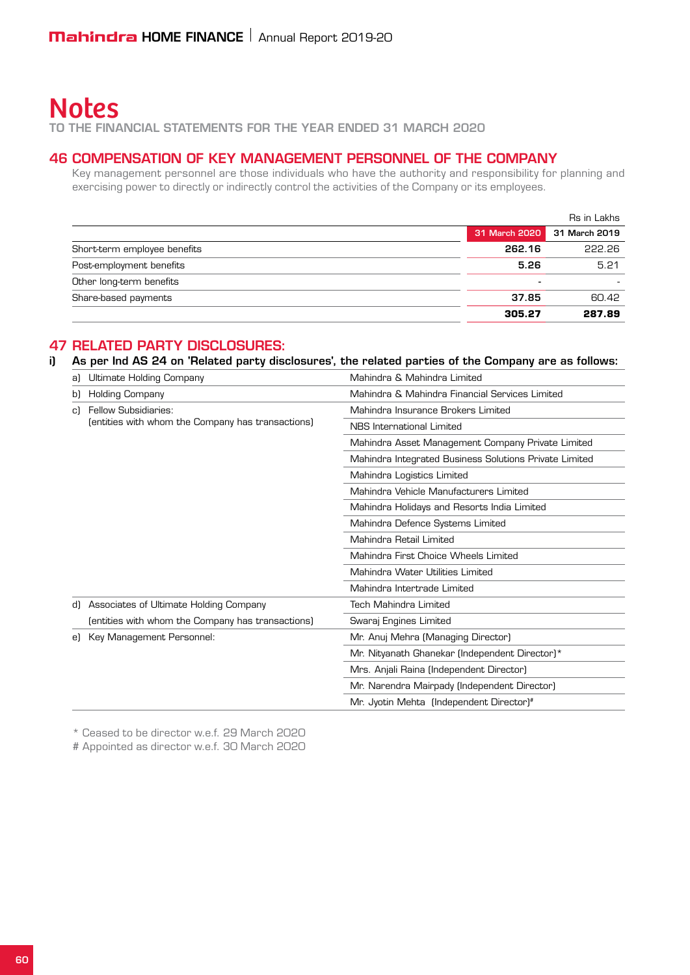to the Financial Statements for the year ended 31 March 2020

### 46 Compensation of key management personnel of the Company

Key management personnel are those individuals who have the authority and responsibility for planning and exercising power to directly or indirectly control the activities of the Company or its employees.

|                              |               | Rs in Lakhs   |
|------------------------------|---------------|---------------|
|                              | 31 March 2020 | 31 March 2019 |
| Short-term employee benefits | 262.16        | <b>PPP.PR</b> |
| Post-employment benefits     | 5.26          | 5.21          |
| Other long-term benefits     | -             |               |
| Share-based payments         | 37.85         | 60.42         |
|                              | 305.27        | 287.89        |

### 47 Related party disclosures:

i) As per Ind AS 24 on 'Related party disclosures', the related parties of the Company are as follows:

| al | Ultimate Holding Company                          | Mahindra & Mahindra Limited                            |
|----|---------------------------------------------------|--------------------------------------------------------|
| bì | <b>Holding Company</b>                            | Mahindra & Mahindra Financial Services Limited         |
| сl | Fellow Subsidiaries:                              | Mahindra Insurance Brokers Limited                     |
|    | (entities with whom the Company has transactions) | NBS International Limited                              |
|    |                                                   | Mahindra Asset Management Company Private Limited      |
|    |                                                   | Mahindra Integrated Business Solutions Private Limited |
|    |                                                   | Mahindra Logistics Limited                             |
|    |                                                   | Mahindra Vehicle Manufacturers Limited                 |
|    |                                                   | Mahindra Holidays and Resorts India Limited            |
|    |                                                   | Mahindra Defence Systems Limited                       |
|    |                                                   | Mahindra Retail Limited                                |
|    |                                                   | Mahindra First Choice Wheels Limited                   |
|    |                                                   | Mahindra Water Utilities Limited                       |
|    |                                                   | Mahindra Intertrade Limited                            |
| d) | Associates of Ultimate Holding Company            | <b>Tech Mahindra Limited</b>                           |
|    | (entities with whom the Company has transactions) | Swaraj Engines Limited                                 |
| el | Key Management Personnel:                         | Mr. Anuj Mehra (Managing Director)                     |
|    |                                                   | Mr. Nityanath Ghanekar (Independent Director)*         |
|    |                                                   | Mrs. Anjali Raina (Independent Director)               |
|    |                                                   | Mr. Narendra Mairpady (Independent Director)           |
|    |                                                   | Mr. Jyotin Mehta (Independent Director)#               |

\* Ceased to be director w.e.f. 29 March 2020

# Appointed as director w.e.f. 30 March 2020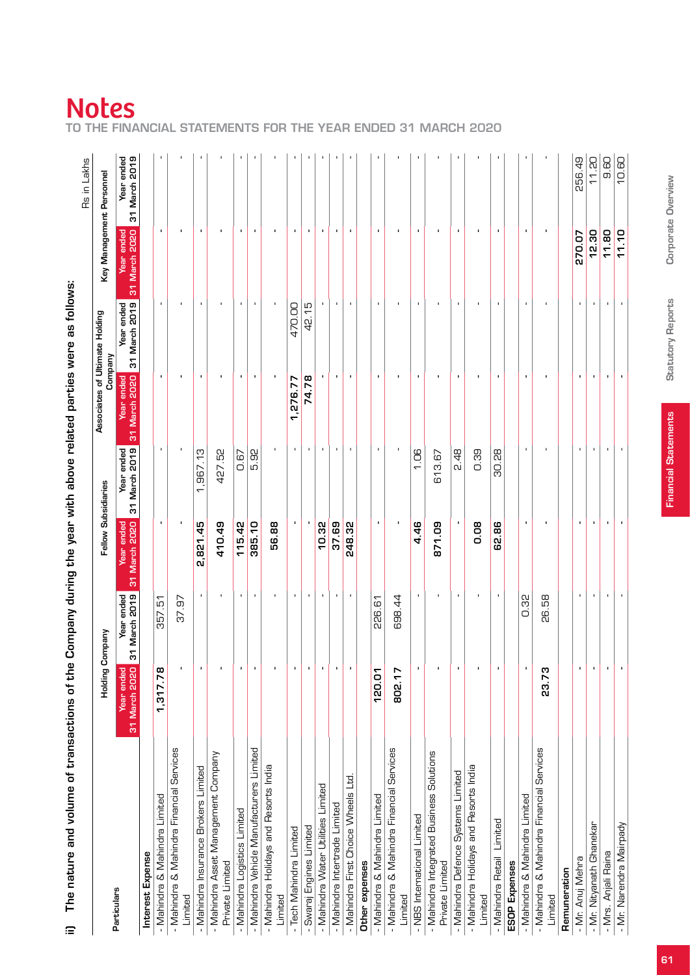

The nature and volume of transactions of the Company during the year with above related parties were as follows: ii) The nature and volume of transactions of the Company during the year with above related parties were as follows:

# Notes

to the Financial Statement for the year ended 31 March 2020 l<br>S

> $\frac{10}{9.60}$ - Mahindra Retail Limited - - 62.86 30.28 - - - - - Mahindra & Mahindra & Mahindra & Mahindra & Mahindra & Mahindra & Mahindra & Mahindra & Mahindra & Mahindra & Mahindra & Mahindra & Mahindra & Mahindra & Mahindra & Mahindra & Mahindra & Mahindra & Mahindra & Mahindra & Limited 23.73 26.58 - - - - - - - Mr. Anuj Mehra - - - - - - 270.07 256.49 11.20 - Mr. Nityanath Ghanekar - - - - - - 12.30 11.20 - Mrs. Anjali Raina - - - - - - 11.80 9.60 - Manchester Mar. Narendra Margarendra Margarendra Margarendra Margarendra Margarendra 1911. In the contract of the contract of the contract of the contract of the contract of the contract of the contract of the contract o 256.49 j. 12.30 11.80  $11.10$ 270.07  $\overline{\phantom{a}}$  $\overline{1}$  $\overline{1}$ l, ï ï ï  $\overline{1}$ 30.28 ï  $\cdot$  $\cdot$ ï  $\overline{1}$ 62.86 ï ï  $\bar{\textbf{r}}$ j  $\overline{\phantom{a}}$  $\overline{1}$ 0.32  $\mathbf{I}$  $\overline{1}$ 58 ရွှ ï  $\overline{1}$  $\overline{1}$  $\bar{\phantom{a}}$  $\overline{\phantom{a}}$ 23.73 Mahindra & Mahindra Financial Services - Mahindra & Mahindra Financial Services - Mahindra & Mahindra Limited Mahindra Retail Limited - Mr. Narendra Mairpady - Mr. Nityanath Ghanekar - Mrs. Anjali Raina - Mr. Anuj Mehra **ESOP** Expenses ESOP Expenses Remuneration Remuneration Limited

- Mahindra Defence Defence Systems Limited Systems Limited Systems Limited - - - - - - - - - - - - - - - - - -

 $\overline{1}$ 

 $\overline{\phantom{a}}$ 

 $\overline{1}$ 

j,

2.48 0.39

Limited - - 0.08 0.39 - - - -

0.08

- Mahindra Holidays and Resorts India

Limited

Mahindra Holidays and Resorts India - Mahindra Defence Systems Limited

Statutory Reports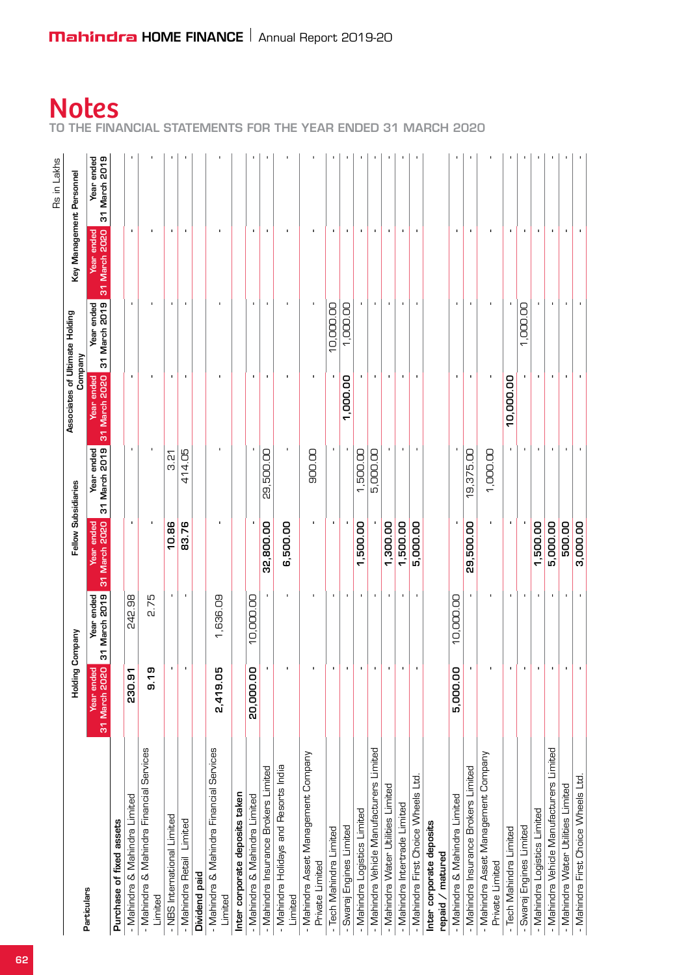to the Financial Statement for the year ended 31 March 2020 l<br>S

|                                                        |                             |                             |                             |                                         |                                           |                                         |                             | Rs in Lakhs                                |
|--------------------------------------------------------|-----------------------------|-----------------------------|-----------------------------|-----------------------------------------|-------------------------------------------|-----------------------------------------|-----------------------------|--------------------------------------------|
|                                                        | Holding                     | Company                     | Fellow Subsidiaries         |                                         | Associates of Ultimate Holding<br>Company |                                         | Key Management Personnel    |                                            |
| Particulars                                            | Year ended<br>31 March 2020 | 31 March 2019<br>Year ended | 31 March 2020<br>Year ended | March 2019<br>Year ended<br>$\tilde{5}$ | 31 March 2020<br>Year ended               | March 2019<br>Year ended<br>$\tilde{5}$ | 31 March 2020<br>Year ended | Year ended<br>March 2019<br>$\overline{5}$ |
| Purchase of fixed assets                               |                             |                             |                             |                                         |                                           |                                         |                             |                                            |
| - Mahindra & Mahindra Limited                          | 230.91                      | 242.98                      | $\mathbf{I}$                | $\blacksquare$                          | $\blacksquare$                            | $\blacksquare$                          | $\blacksquare$              |                                            |
| - Mahindra & Mahindra Financial Services<br>Limited    | 9.19                        | 2.75                        |                             | I.                                      | ٠                                         | I.                                      | f,                          |                                            |
| - NBS International Limited                            |                             | $\mathbf{I}$                | 10.86                       | 3.21                                    | $\blacksquare$                            | $\blacksquare$                          | $\blacksquare$              |                                            |
| Limited<br>- Mahindra Retail                           |                             | л.                          | 83.76                       | 414.05                                  | $\mathbf{I}$                              | $\mathbf{I}$                            | $\blacksquare$              |                                            |
| Dividend paid                                          |                             |                             |                             |                                         |                                           |                                         |                             |                                            |
| - Mahindra & Mahindra Financial Services<br>Limited    | 2,419.05                    | 1,636.09                    | J.                          | J.                                      | $\blacksquare$                            | J.                                      | $\blacksquare$              |                                            |
| Inter corporate deposits taken                         |                             |                             |                             |                                         |                                           |                                         |                             |                                            |
| - Mahindra & Mahindra Limited                          | 20,000.00                   | 10,000.00                   | J.                          | $\mathbf{I}$                            | $\blacksquare$                            | $\mathbf{I}$                            | J.                          |                                            |
| - Mahindra Insurance Brokers Limited                   |                             | $\mathbf{I}$                | 32,800.00                   | 29,500.00                               | $\blacksquare$                            | $\mathbf{I}$                            | $\blacksquare$              |                                            |
| - Mahindra Holidays and Resorts India<br>Limited       |                             | $\mathbf{I}$                | 6,500.00                    | $\mathbf{I}$                            | $\blacksquare$                            | $\blacksquare$                          |                             |                                            |
| - Mahindra Asset Management Company<br>Private Limited |                             | J.                          | ٠                           | 900.00                                  | $\blacksquare$                            | $\mathbf I$                             | $\blacksquare$              |                                            |
| - Tech Mahindra Limited                                |                             | $\mathbf{I}$                | $\mathbf{I}$                | $\mathbf{I}$                            | $\blacksquare$                            | 10,000.00                               | $\blacksquare$              |                                            |
| - Swaraj Engines Limited                               |                             | $\blacksquare$              | J.                          | $\mathbf I$                             | 1,000.00                                  | 1,000.00                                | $\blacksquare$              |                                            |
| - Mahindra Logistics Limited                           |                             | $\mathbf{I}$                | 1,500.00                    | 1,500.00                                | ٠                                         |                                         | $\blacksquare$              |                                            |
| - Mahindra Vehicle Manufacturers Limited               |                             | $\mathbf{I}$                |                             | 5,000.00                                | $\mathbf{I}$                              | $\mathbf{I}$                            | $\blacksquare$              |                                            |
| - Mahindra Water Utilities Limited                     |                             | $\mathbf{I}$                | 1,300.00                    |                                         | $\blacksquare$                            | J.                                      | $\blacksquare$              |                                            |
| - Mahindra Intertrade Limited                          |                             | $\mathbf I$                 | 1,500.00                    | $\mathbf{I}$                            | $\blacksquare$                            | $\mathbf{I}$                            | $\blacksquare$              |                                            |
| - Mahindra First Choice Wheels Ltd.                    |                             | $\mathbf I$                 | 5,000.00                    | $\mathbf{I}$                            | $\blacksquare$                            | $\mathbf{I}$                            | $\blacksquare$              |                                            |
| Inter corporate deposits<br>repaid / matured           |                             |                             |                             |                                         |                                           |                                         |                             |                                            |
| - Mahindra & Mahindra Limited                          | 5,000.00                    | 10,000.00                   | J,                          | $\mathbf{I}$                            | ٠                                         | ×.                                      | ٠                           |                                            |
| - Mahindra Insurance Brokers Limited                   |                             | $\mathbf{I}$                | 29,500.00                   | 19.375.00                               | $\blacksquare$                            | $\mathbf{I}$                            | $\blacksquare$              |                                            |
| - Mahindra Asset Management Company<br>Private Limited |                             |                             |                             | 1,000.00                                | $\blacksquare$                            |                                         | $\blacksquare$              |                                            |
| - Tech Mahindra Limited                                |                             | $\mathbf{I}$                | ٠                           | $\mathbf{I}$                            | 10,000.00                                 |                                         | $\blacksquare$              |                                            |
| - Swaraj Engines Limited                               |                             | ٠                           |                             | ×.                                      |                                           | 1,000.00                                | J.                          |                                            |
| - Mahindra Logistics Limited                           |                             | $\mathbf{I}$                | 1,500.00                    | J.                                      | $\blacksquare$                            |                                         | J.                          |                                            |
| - Mahindra Vehicle Manufacturers Limited               |                             | $\mathbf{I}$                | 5,000.00                    | $\mathbf{I}$                            | $\mathbf{I}$                              | $\mathbf{I}$                            | $\mathbf{I}$                |                                            |
| - Mahindra Water Utilities Limited                     |                             | $\mathbf{I}$                | 500.00                      | $\mathbf{I}$                            | 1                                         | $\blacksquare$                          | 1                           |                                            |
| - Mahindra First Choice Wheels Ltd                     |                             | $\mathbf I$                 | 3,000.00                    |                                         | $\blacksquare$                            | $\mathbf{I}$                            | $\blacksquare$              |                                            |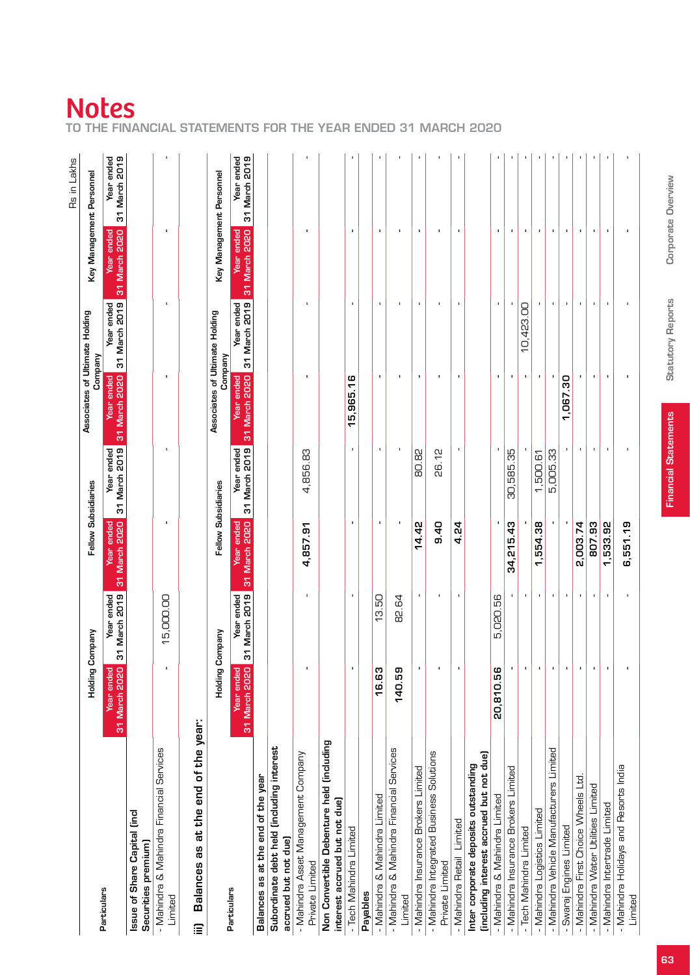to the Financial Statement for the year ended 31 March 2020 l<br>S

|                                                                                  |                             |                             |                             |                                         |                                           |                             |                             | Rs in Lakhs                             |
|----------------------------------------------------------------------------------|-----------------------------|-----------------------------|-----------------------------|-----------------------------------------|-------------------------------------------|-----------------------------|-----------------------------|-----------------------------------------|
|                                                                                  | <b>Holding</b>              | Company                     | Fellow Subsidiaries         |                                         | Associates of Ultimate Holding<br>Company |                             | Key Management              | Personnel                               |
| Particulars                                                                      | Year ended<br>31 March 2020 | 31 March 2019<br>Year ended | 31 March 2020<br>Year ended | 31 March 2019<br>Year ended             | 31 March 2020<br>Year ended               | 31 March 2019<br>Year ended | 31 March 2020<br>Year ended | Year ended<br>31 March 2019             |
| Issue of Share Capital (incl<br>Securities premium)                              |                             |                             |                             |                                         |                                           |                             |                             |                                         |
| - Mahindra & Mahindra Financial Services<br>Limited                              |                             | 15,000.00                   | ٠                           | $\mathbf{I}$                            | ٠                                         | I.                          | ٠                           |                                         |
| Balances as at the end of the year:<br>≘                                         |                             |                             |                             |                                         |                                           |                             |                             |                                         |
|                                                                                  | Holding                     | Company                     | Fellow Subsidiaries         |                                         | Associates of Ultimate Holding<br>Company |                             |                             | Key Management Personnel                |
| Particulars                                                                      | Year ended<br>31 March 2020 | 31 March 2019<br>Year ended | 31 March 2020<br>Year ended | March 2019<br>Year ended<br>$\tilde{5}$ | 31 March 2020<br>Year ended               | 31 March 2019<br>Year ended | 31 March 2020<br>Year ended | March 2019<br>Year ended<br>$\tilde{5}$ |
| Balances as at the end of the year                                               |                             |                             |                             |                                         |                                           |                             |                             |                                         |
| Subordinate debt held (including interest                                        |                             |                             |                             |                                         |                                           |                             |                             |                                         |
| accrued but not due)                                                             |                             |                             |                             |                                         |                                           |                             |                             |                                         |
| - Mahindra Asset Management Company<br>Private Limited                           |                             | $\mathbf{I}$                | 4,857.91                    | 4,856.83                                | $\blacksquare$                            | $\mathbf{I}$                | $\blacksquare$              |                                         |
| Non Convertible Debenture held (including                                        |                             |                             |                             |                                         |                                           |                             |                             |                                         |
| interest accrued but not due)                                                    |                             |                             |                             |                                         |                                           |                             |                             |                                         |
| - Tech Mahindra Limited                                                          |                             | $\overline{\phantom{a}}$    | $\blacksquare$              | $\overline{\phantom{a}}$                | 15,965.16                                 | $\overline{\phantom{a}}$    | $\blacksquare$              |                                         |
| Payables                                                                         |                             |                             |                             |                                         |                                           |                             |                             |                                         |
| - Mahindra & Mahindra Limited                                                    | 16.63                       | 13.50                       | $\blacksquare$              | $\blacksquare$                          | $\blacksquare$                            | $\blacksquare$              | $\blacksquare$              |                                         |
| - Mahindra & Mahindra Financial Services<br>Limited                              | 140.59                      | 64<br>က္ထဲ                  |                             | $\mathbf{I}$                            | J.                                        | $\mathbf{I}$                | J.                          |                                         |
| - Mahindra Insurance Brokers Limited                                             |                             | $\blacksquare$              | 14.42                       | 80.82                                   | ×                                         | $\overline{\phantom{a}}$    | ×                           |                                         |
| - Mahindra Integrated Business Solutions                                         |                             |                             | 9.40                        | 26.12                                   |                                           | $\blacksquare$              |                             |                                         |
| Private Limited                                                                  |                             | $\blacksquare$              |                             |                                         | J.                                        |                             | ı                           |                                         |
| - Mahindra Retail Limited                                                        |                             | $\blacksquare$              | 4.24                        | $\blacksquare$                          | $\mathbf{I}$                              | $\mathbf{I}$                | $\mathbf{I}$                |                                         |
| (including interest accrued but not due)<br>Inter corporate deposits outstanding |                             |                             |                             |                                         |                                           |                             |                             |                                         |
| - Mahindra & Mahindra Limited                                                    | 20,810.56                   | 58<br>.020.<br>່ເດ່         |                             |                                         | $\blacksquare$                            | $\blacksquare$              | $\blacksquare$              |                                         |
| - Mahindra Insurance Brokers Limited                                             |                             |                             | Gb<br>34,215                | 30,585.35                               | $\blacksquare$                            |                             | $\blacksquare$              | ٠                                       |
| - Tech Mahindra Limited                                                          |                             |                             |                             |                                         | $\mathbf{I}$                              | 10,423.00                   | $\mathbf{I}$                | $\mathbf{I}$                            |
| - Mahindra Logistics Limited                                                     |                             |                             | 1,554.38                    | 1,500.61                                | $\blacksquare$                            |                             | $\mathbf{I}$                |                                         |
| - Mahindra Vehicle Manufacturers Limited                                         |                             | $\mathbf{I}$                |                             | 5,005.33                                | J.                                        | $\blacksquare$              | $\mathbf{I}$                |                                         |
| - Swaraj Engines Limited                                                         |                             | $\mathbf{I}$                |                             |                                         | Go<br>1,067                               | J.                          | $\blacksquare$              |                                         |
| - Mahindra First Choice Wheels Ltd                                               |                             |                             | 2,003.74                    |                                         |                                           |                             | $\mathbf{I}$                |                                         |
| - Mahindra Water Utilities Limited                                               |                             | $\mathbf I$                 | 807.93                      | $\mathbf{I}$                            | $\blacksquare$                            | J.                          | $\mathbf{I}$                |                                         |
| - Mahindra Intertrade Limited                                                    |                             | $\blacksquare$              | 1,533.92                    | $\blacksquare$                          | $\blacksquare$                            | $\blacksquare$              | $\blacksquare$              |                                         |
| - Mahindra Holidays and Resorts India<br>Limited                                 |                             |                             | 6,551.19                    |                                         | $\blacksquare$                            |                             | J.                          |                                         |
|                                                                                  |                             |                             |                             |                                         |                                           |                             |                             |                                         |

Statutory Reports

Statutory Reports

Financial Statements

**Financial Statements**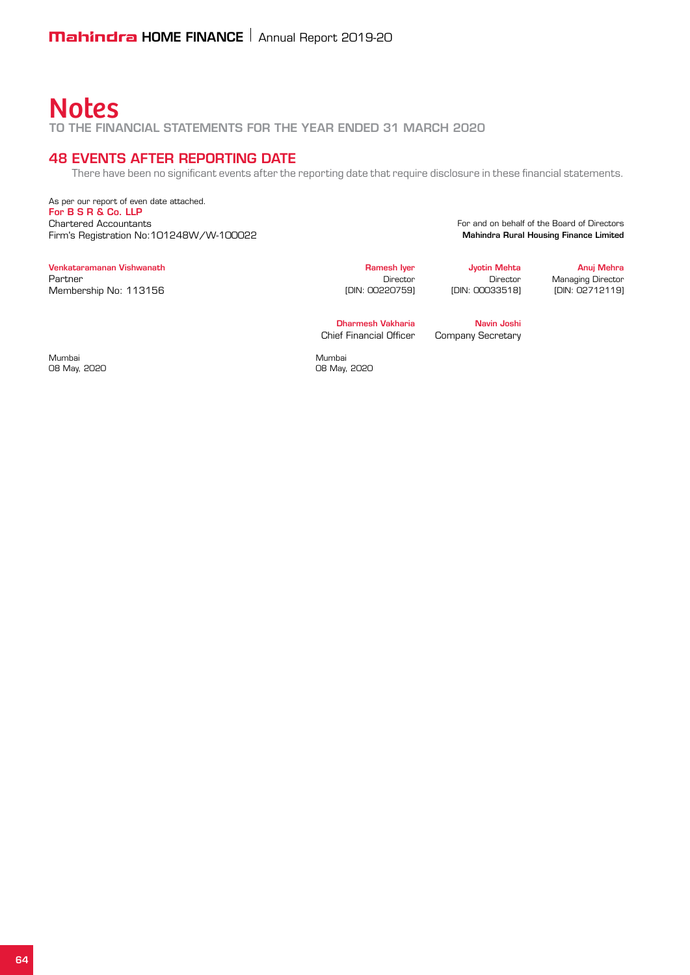to the Financial Statements for the year ended 31 March 2020

### 48 Events after reporting date

There have been no significant events after the reporting date that require disclosure in these financial statements.

As per our report of even date attached. For B S R & Co. LLP Chartered Accountants<br>
For and on behalf of the Board of Directors<br>
Firm's Registration No:101248W/W-100022 Firm's Registration No:101248W/W-100022

Venkataramanan Vishwanath Ramesh Iyer Jyotin Mehta Anuj Mehra Partner Director Director Managing Director Membership No: 113156

Dharmesh Vakharia<br>Chief Financial Officer Company Secretary

Company Secretary

Mumbai Mumbai 08 May, 2020 08 May, 2020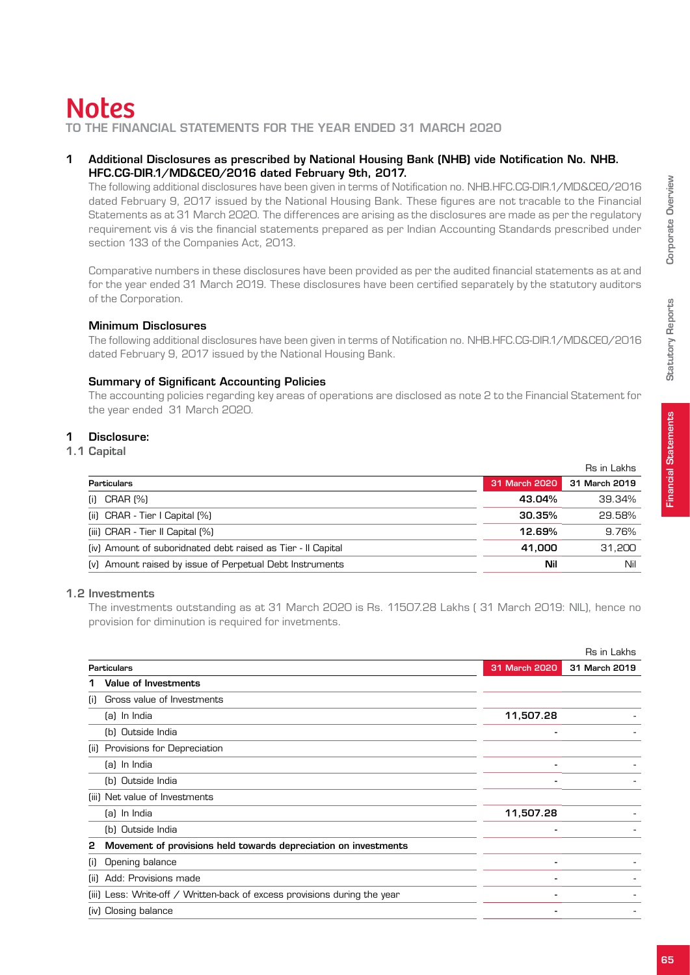# **Statutory Reports** Statutory Reports

# **Notes**

to the Financial Statements for the year ended 31 March 2020

1 Additional Disclosures as prescribed by National Housing Bank (NHB) vide Notification No. NHB. HFC.CG-DIR.1/MD&CEO/2016 dated February 9th, 2017.

The following additional disclosures have been given in terms of Notification no. NHB.HFC.CG-DIR.1/MD&CEO/2016 dated February 9, 2017 issued by the National Housing Bank. These figures are not tracable to the Financial Statements as at 31 March 2020. The differences are arising as the disclosures are made as per the regulatory requirement vis á vis the financial statements prepared as per Indian Accounting Standards prescribed under section 133 of the Companies Act, 2013.

Comparative numbers in these disclosures have been provided as per the audited financial statements as at and for the year ended 31 March 2019. These disclosures have been certified separately by the statutory auditors of the Corporation.

### Minimum Disclosures

The following additional disclosures have been given in terms of Notification no. NHB.HFC.CG-DIR.1/MD&CEO/2016 dated February 9, 2017 issued by the National Housing Bank.

### Summary of Significant Accounting Policies

The accounting policies regarding key areas of operations are disclosed as note 2 to the Financial Statement for the year ended 31 March 2020.

### 1 Disclosure:

### 1.1 Capital

|                                                              |               | Rs in Lakhs   |
|--------------------------------------------------------------|---------------|---------------|
| <b>Particulars</b>                                           | 31 March 2020 | 31 March 2019 |
| $(i)$ CRAR $(%)$                                             | 43.04%        | 39.34%        |
| (ii) CRAR - Tier I Capital (%)                               | 30.35%        | 29.58%        |
| $(iii)$ CRAR - Tier II Capital $(%)$                         | 12.69%        | 9.76%         |
| (iv) Amount of suboridnated debt raised as Tier - Il Capital | 41.000        | 31,200        |
| (v) Amount raised by issue of Perpetual Debt Instruments     | Nil           | Nil           |

### 1.2 Investments

The investments outstanding as at 31 March 2020 is Rs. 11507.28 Lakhs ( 31 March 2019: NIL), hence no provision for diminution is required for invetments.

| <b>Particulars</b><br>31 March 2020<br>Value of Investments<br>1<br>Gross value of Investments<br>$\left\lceil i \right\rceil$<br>(a) In India<br>11,507.28<br>(b) Outside India<br>Provisions for Depreciation<br>(ii)<br>(a) In India<br>$\overline{\phantom{a}}$<br>(b) Outside India<br>(iii) Net value of Investments<br>11,507.28<br>(a) In India<br>(b) Outside India<br>Movement of provisions held towards depreciation on investments<br>2<br>Opening balance<br>(i)<br>Add: Provisions made<br>(ii) | Rs in Lakhs   |
|----------------------------------------------------------------------------------------------------------------------------------------------------------------------------------------------------------------------------------------------------------------------------------------------------------------------------------------------------------------------------------------------------------------------------------------------------------------------------------------------------------------|---------------|
|                                                                                                                                                                                                                                                                                                                                                                                                                                                                                                                | 31 March 2019 |
|                                                                                                                                                                                                                                                                                                                                                                                                                                                                                                                |               |
|                                                                                                                                                                                                                                                                                                                                                                                                                                                                                                                |               |
|                                                                                                                                                                                                                                                                                                                                                                                                                                                                                                                |               |
|                                                                                                                                                                                                                                                                                                                                                                                                                                                                                                                |               |
|                                                                                                                                                                                                                                                                                                                                                                                                                                                                                                                |               |
|                                                                                                                                                                                                                                                                                                                                                                                                                                                                                                                |               |
|                                                                                                                                                                                                                                                                                                                                                                                                                                                                                                                |               |
|                                                                                                                                                                                                                                                                                                                                                                                                                                                                                                                |               |
|                                                                                                                                                                                                                                                                                                                                                                                                                                                                                                                |               |
|                                                                                                                                                                                                                                                                                                                                                                                                                                                                                                                |               |
|                                                                                                                                                                                                                                                                                                                                                                                                                                                                                                                |               |
|                                                                                                                                                                                                                                                                                                                                                                                                                                                                                                                |               |
|                                                                                                                                                                                                                                                                                                                                                                                                                                                                                                                |               |
| (iii) Less: Write-off / Written-back of excess provisions during the year                                                                                                                                                                                                                                                                                                                                                                                                                                      |               |
| (iv) Closing balance                                                                                                                                                                                                                                                                                                                                                                                                                                                                                           |               |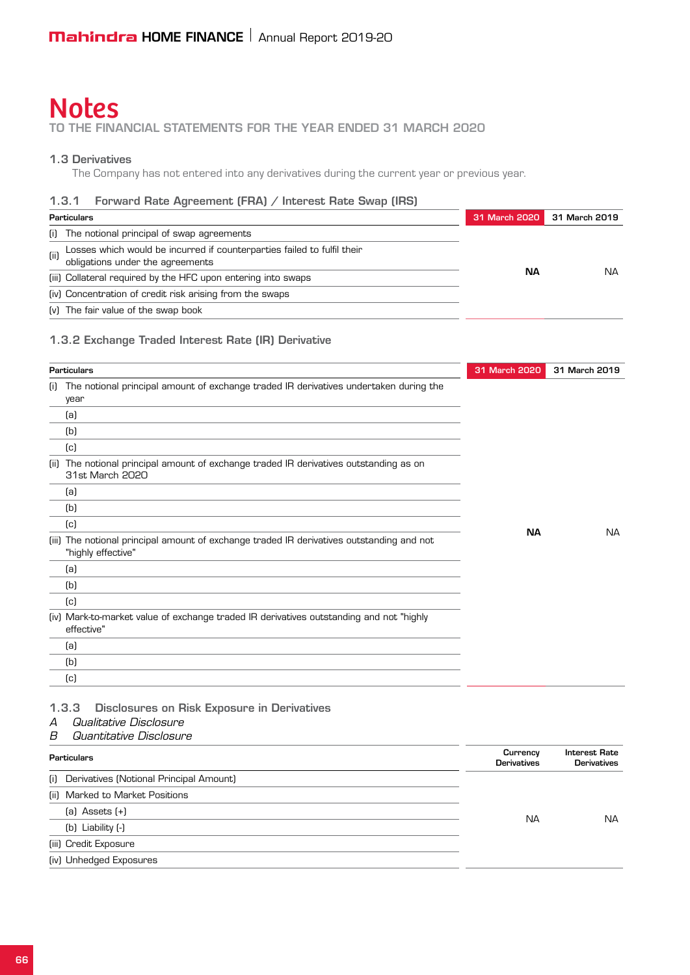to the Financial Statements for the year ended 31 March 2020

### 1.3 Derivatives

The Company has not entered into any derivatives during the current year or previous year.

### 1.3.1 Forward Rate Agreement (FRA) / Interest Rate Swap (IRS) Particulars 31 March 2020 31 March 2019 (i) The notional principal of swap agreements NA NA (ii) Losses which would be incurred if counterparties failed to fulfil their obligations under the agreements (iii) Collateral required by the HFC upon entering into swaps (iv) Concentration of credit risk arising from the swaps (v) The fair value of the swap book 1.3.2 Exchange Traded Interest Rate (IR) Derivative Particulars 31 March 2020 31 March 2019 (i) The notional principal amount of exchange traded IR derivatives undertaken during the year NA NA (a) (b) (c) (ii) The notional principal amount of exchange traded IR derivatives outstanding as on 31st March 2020 (a) (b) (c) (iii) The notional principal amount of exchange traded IR derivatives outstanding and not "highly effective" (a) (b) (c) (iv) Mark-to-market value of exchange traded IR derivatives outstanding and not "highly effective" (a) (b) (c) 1.3.3 Disclosures on Risk Exposure in Derivatives A Qualitative Disclosure B Quantitative Disclosure Particulars Currency Interest Rate

| га ысим э                                   | <b>Derivatives</b> | <b>Derivatives</b> |
|---------------------------------------------|--------------------|--------------------|
| (i) Derivatives (Notional Principal Amount) |                    |                    |
| (ii) Marked to Market Positions             |                    |                    |
| $[a]$ Assets $[+]$                          | ΝA                 | <b>NA</b>          |
| (b) Liability [-]                           |                    |                    |
| (iii) Credit Exposure                       |                    |                    |
| (iv) Unhedged Exposures                     |                    |                    |
|                                             |                    |                    |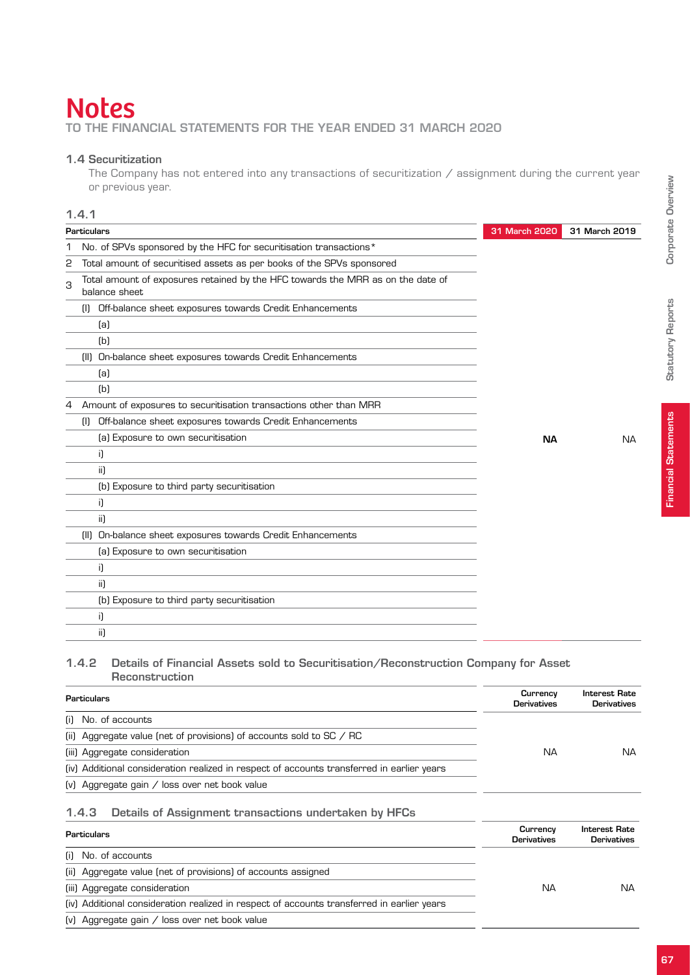## **Notes** to the Financial Statements for the year ended 31 March 2020

### 1.4 Securitization

The Company has not entered into any transactions of securitization / assignment during the current year or previous year.

|   | 1.4.1                                                                                            |               |               |
|---|--------------------------------------------------------------------------------------------------|---------------|---------------|
|   | <b>Particulars</b>                                                                               | 31 March 2020 | 31 March 2019 |
| 1 | No. of SPVs sponsored by the HFC for securitisation transactions*                                |               |               |
| 2 | Total amount of securitised assets as per books of the SPVs sponsored                            |               |               |
| 3 | Total amount of exposures retained by the HFC towards the MRR as on the date of<br>balance sheet |               |               |
|   | Off-balance sheet exposures towards Credit Enhancements<br>m                                     |               |               |
|   | (a)                                                                                              |               |               |
|   | (b)                                                                                              |               |               |
|   | (II) On-balance sheet exposures towards Credit Enhancements                                      |               |               |
|   | (a)                                                                                              |               |               |
|   | [b]                                                                                              |               |               |
| 4 | Amount of exposures to securitisation transactions other than MRR                                |               |               |
|   | Off-balance sheet exposures towards Credit Enhancements<br>(1)                                   |               |               |
|   | (a) Exposure to own securitisation                                                               | <b>NA</b>     | <b>NA</b>     |
|   | i)                                                                                               |               |               |
|   | ii)                                                                                              |               |               |
|   | (b) Exposure to third party securitisation                                                       |               |               |
|   | i)                                                                                               |               |               |
|   | ii)                                                                                              |               |               |
|   | (II) On-balance sheet exposures towards Credit Enhancements                                      |               |               |
|   | (a) Exposure to own securitisation                                                               |               |               |
|   | i)                                                                                               |               |               |
|   | ii)                                                                                              |               |               |
|   | (b) Exposure to third party securitisation                                                       |               |               |
|   | i)                                                                                               |               |               |
|   | ii)                                                                                              |               |               |

### 1.4.2 Details of Financial Assets sold to Securitisation/Reconstruction Company for Asset **Reconstruction**

| Particulars                                                                                | Currency<br><b>Derivatives</b> | Interest Rate<br><b>Derivatives</b> |
|--------------------------------------------------------------------------------------------|--------------------------------|-------------------------------------|
| (i) No. of accounts                                                                        |                                |                                     |
| (ii) Aggregate value (net of provisions) of accounts sold to $SC / RC$                     |                                |                                     |
| (iii) Aggregate consideration                                                              | NА                             | NA.                                 |
| (iv) Additional consideration realized in respect of accounts transferred in earlier years |                                |                                     |
| (v) Aggregate gain / loss over net book value                                              |                                |                                     |
| Details of Assignment transactions undertaken by HFCs<br>1.4.3<br>Particulars              | Currency<br><b>Derivatives</b> | Interest Rate<br><b>Derivatives</b> |
| (i) No. of accounts                                                                        |                                |                                     |
| (ii) Aggregate value (net of provisions) of accounts assigned                              |                                |                                     |
| (iii) Aggregate consideration                                                              | <b>NA</b>                      | ΝA                                  |
| (iv) Additional consideration realized in respect of accounts transferred in earlier years |                                |                                     |
| (v) Aggregate gain / loss over net book value                                              |                                |                                     |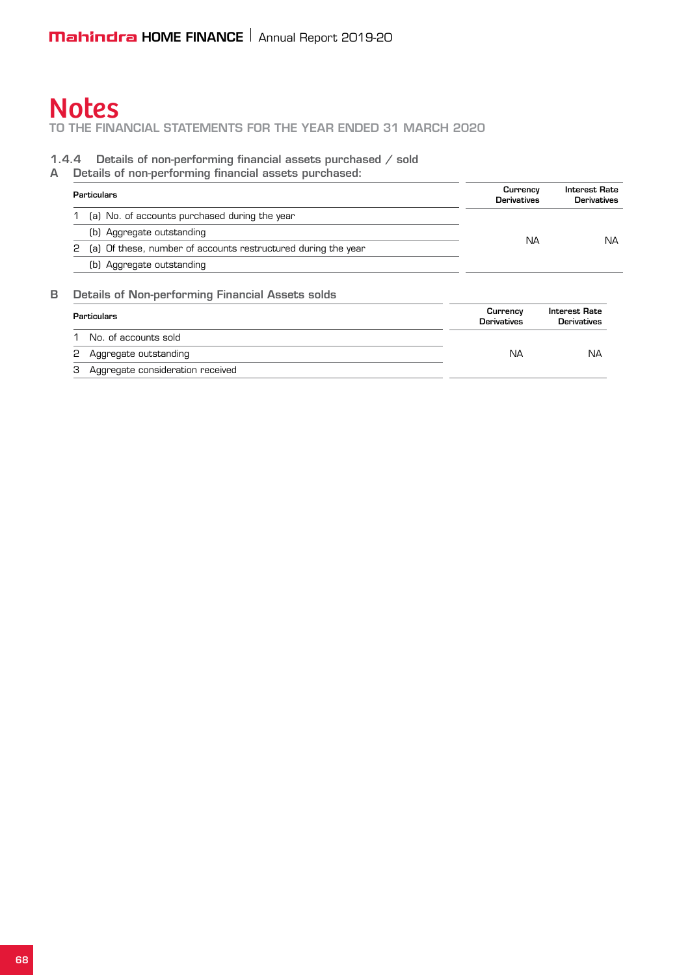to the Financial Statements for the year ended 31 March 2020

### 1.4.4 Details of non-performing financial assets purchased / sold

A Details of non-performing financial assets purchased:

|   | <b>Particulars</b>                                            | Currency<br>Derivatives        | Interest Rate<br><b>Derivatives</b> |  |
|---|---------------------------------------------------------------|--------------------------------|-------------------------------------|--|
|   | (a) No. of accounts purchased during the year                 |                                |                                     |  |
|   | (b) Aggregate outstanding                                     | ΝA                             | NA.                                 |  |
| 2 | (a) Of these, number of accounts restructured during the year |                                |                                     |  |
|   | (b) Aggregate outstanding                                     |                                |                                     |  |
|   | <b>Details of Non-performing Financial Assets solds</b>       |                                |                                     |  |
|   | <b>Particulars</b>                                            | Currency<br><b>Derivatives</b> | Interest Rate<br>Derivatives        |  |
|   | No. of accounts sold                                          |                                |                                     |  |
| 2 | Aggregate outstanding                                         | <b>NA</b>                      | ΝA                                  |  |
| З | Aggregate consideration received                              |                                |                                     |  |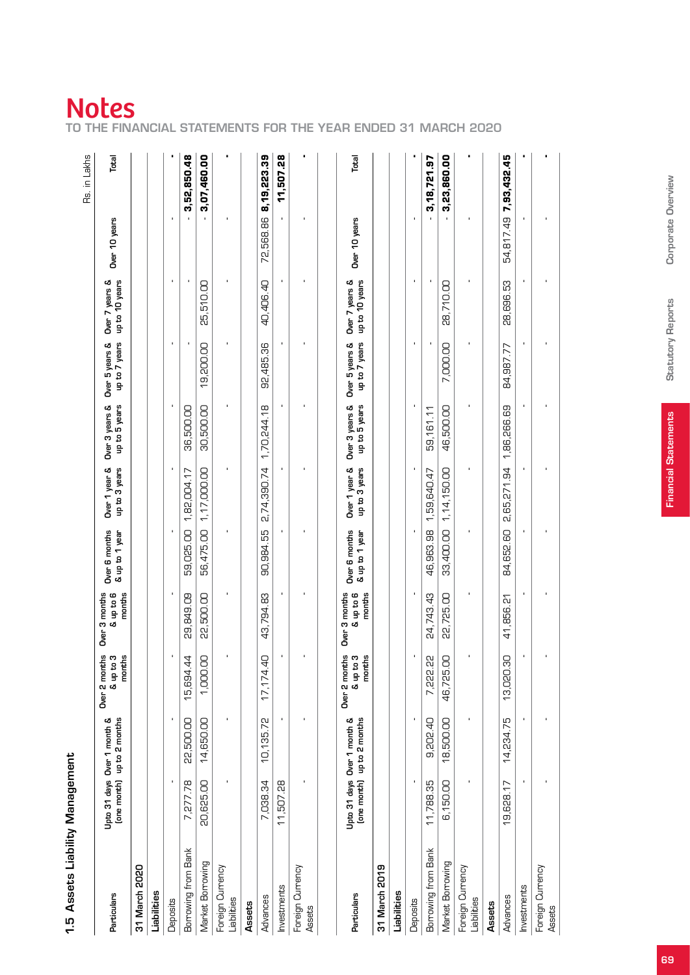to the Financial Statement for the year ended 31 March 2020 l<br>S

| 1.5 Assets Liability Management |                            |                                                           |                                      |                                      |                                 |                                |                                 |                                 |                                  |                | Rs. in Lakhs |
|---------------------------------|----------------------------|-----------------------------------------------------------|--------------------------------------|--------------------------------------|---------------------------------|--------------------------------|---------------------------------|---------------------------------|----------------------------------|----------------|--------------|
| Particulars                     |                            | (one month) up to 2 months<br>Upto 31 days Over 1 month & | Over 2 months<br>& up to 3<br>months | months<br>Over 3 months<br>& up to 6 | Over 6 months<br>& up to 1 year | up to 3 years<br>Over 1 year & | up to 5 years<br>Over 3 years & | up to 7 years<br>Over 5 years & | Over 7 years &<br>up to 10 years | Over 10 years  | Total        |
| 31 March 2020                   |                            |                                                           |                                      |                                      |                                 |                                |                                 |                                 |                                  |                |              |
| Liabilities                     |                            |                                                           |                                      |                                      |                                 |                                |                                 |                                 |                                  |                |              |
| Deposits                        |                            | $\blacksquare$                                            |                                      | $\mathbf{I}$                         | $\blacksquare$                  | $\blacksquare$                 | $\mathbf{I}$                    | $\mathbf{I}$                    | $\blacksquare$                   | $\blacksquare$ |              |
| Borrowing from Bank             | 7,277.78                   | 22,500.00                                                 | $\ddot{4}$<br>15,694.                | 29,849.09                            | 59,025.00                       | 1,82,004.17                    | 36,500.00                       | $\blacksquare$                  | $\blacksquare$                   | $\blacksquare$ | 3,52,850.48  |
| Market Borrowing                | 20,625.00                  | 14,650.00                                                 | 8<br>1,000.                          | 22,500.00                            | 56,475.00                       | 1,17,000.00                    | 30,500.00                       | 19,200.00                       | 25,510.00                        | $\mathbf{r}$   | 3,07,460.00  |
| Foreign Currency<br>Liabilities |                            |                                                           |                                      |                                      | J.                              |                                |                                 |                                 |                                  | $\blacksquare$ |              |
| Assets                          |                            |                                                           |                                      |                                      |                                 |                                |                                 |                                 |                                  |                |              |
| Advances                        | 7,038.34                   | N<br>10,135.7                                             | $\overline{a}$<br>17,174             | 43,794.83                            | 90,984.55                       | 2,74,390.74                    | 1,70,244.18                     | 92,485.36                       | 40,406.40                        | 72,568.86      | 8,19,223.39  |
| Investments                     | 11,507.28                  | $\mathbf{I}$                                              | f,                                   | ٠                                    | f,                              | ٠                              | $\mathbf I$                     | $\mathbf I$                     | $\mathbf{I}$                     | $\mathbf{I}$   | 11,507.28    |
| Foreign Currency<br>Assets      | J.                         | I.                                                        |                                      | f,                                   | J.                              | f,                             | J.                              | f,                              | J.                               | I.             |              |
|                                 |                            |                                                           |                                      |                                      |                                 |                                |                                 |                                 |                                  |                |              |
| Particulars                     | (one month)                | up to 2 months<br>Upto 31 days Over 1 month &             | Over 2 months<br>& up to 3<br>months | Over 3 months<br>& up to 6<br>months | Over 6 months<br>& up to 1 year | Over 1 year &<br>up to 3 years | up to 5 years<br>Dver 3 years & | Over 5 years &<br>up to 7 years | up to 10 years<br>Over 7 years & | Over 10 years  | Total        |
| 31 March 2019                   |                            |                                                           |                                      |                                      |                                 |                                |                                 |                                 |                                  |                |              |
| Liabilities                     |                            |                                                           |                                      |                                      |                                 |                                |                                 |                                 |                                  |                |              |
| Deposits                        | $\blacksquare$             | J.                                                        | п                                    | J.                                   | J.                              | <b>I</b>                       | <b>I</b>                        | f,                              | f,                               | <b>I</b>       |              |
| Borrowing from Bank             | 11,788.35                  | 9,202.40                                                  | လ္လ<br>7,222.                        | 24,743.43                            | 46,963.98                       | 1,59,640.47                    | 59,161.11                       |                                 | $\mathbf{I}$                     | $\blacksquare$ | 3,18,721.97  |
| Market Borrowing                | 6,150.00                   | 18,500.00                                                 | 8<br>46,725                          | 22,725.00                            | 33,400.00                       | 1,14,150.00                    | 46,500.00                       | 7,000.00                        | 28,710.00                        | $\mathbf{I}$   | 3,23,860.00  |
| Foreign Currency<br>Liabilities |                            |                                                           |                                      | л                                    |                                 | $\blacksquare$                 |                                 |                                 |                                  |                |              |
| Assets                          |                            |                                                           |                                      |                                      |                                 |                                |                                 |                                 |                                  |                |              |
| Advances                        | $\overline{ }$<br>19,628.1 | 14,234.75                                                 | සි<br>13,020                         | 41,856.21                            | 84,652.60                       | 2,65,271.94                    | 1,86,266.69                     | 84,987.77                       | 28,696.53                        | 54,817.49      | 7,93,432.45  |
| Investments                     | $\mathbf{I}$               | $\mathbf{I}$                                              | J.                                   | $\mathbf{I}$                         | $\mathbf{I}$                    | $\mathbf{I}$                   | $\mathbf{I}$                    | ٠                               | $\mathbf{I}$                     | $\mathbf{I}$   | п            |
| Foreign Currency<br>Assets      | $\blacksquare$             | $\blacksquare$                                            |                                      |                                      | $\blacksquare$                  | $\blacksquare$                 | $\blacksquare$                  | $\blacksquare$                  | $\blacksquare$                   | $\blacksquare$ |              |
|                                 |                            |                                                           |                                      |                                      |                                 |                                |                                 |                                 |                                  |                |              |

Corporate Overview Corporate Overview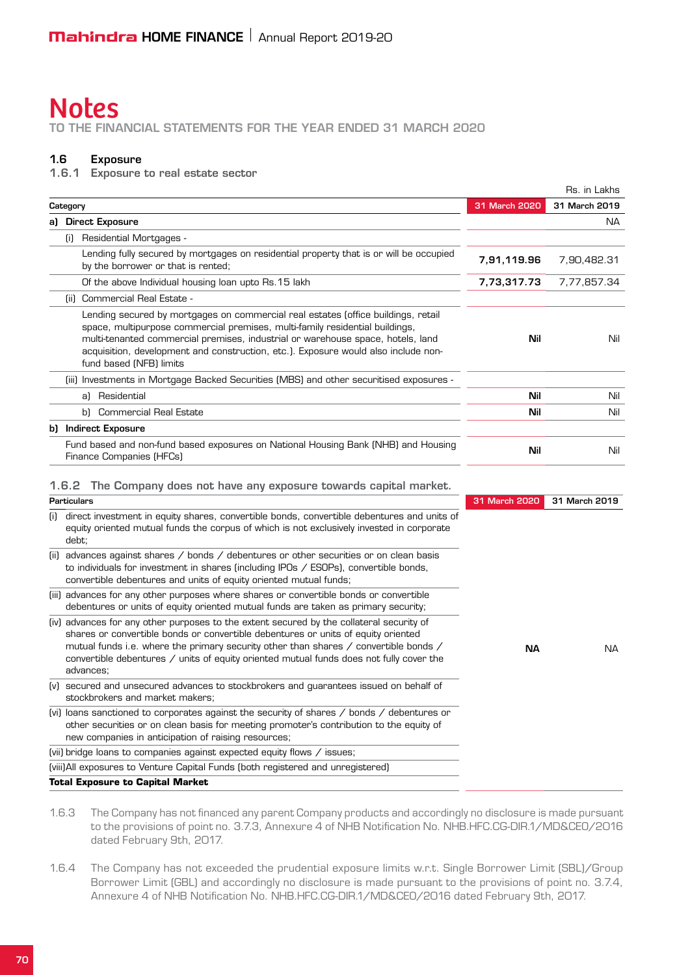to the Financial Statements for the year ended 31 March 2020

### 1.6 Exposure

### 1.6.1 Exposure to real estate sector

|                                                                                                                                                                                                                                                                                                                                                                                 | Rs. in Lakhs                   |
|---------------------------------------------------------------------------------------------------------------------------------------------------------------------------------------------------------------------------------------------------------------------------------------------------------------------------------------------------------------------------------|--------------------------------|
| Category                                                                                                                                                                                                                                                                                                                                                                        | 31 March 2020<br>31 March 2019 |
| a) Direct Exposure                                                                                                                                                                                                                                                                                                                                                              | NА                             |
| Residential Mortgages -<br>(ii)                                                                                                                                                                                                                                                                                                                                                 |                                |
| Lending fully secured by mortgages on residential property that is or will be occupied<br>by the borrower or that is rented;                                                                                                                                                                                                                                                    | 7,91,119.96<br>7,90,482.31     |
| Of the above Individual housing loan upto Rs. 15 lakh                                                                                                                                                                                                                                                                                                                           | 7,73,317.73<br>7,77,857.34     |
| (ii) Commercial Real Estate -                                                                                                                                                                                                                                                                                                                                                   |                                |
| Lending secured by mortgages on commercial real estates (office buildings, retail<br>space, multipurpose commercial premises, multi-family residential buildings,<br>multi-tenanted commercial premises, industrial or warehouse space, hotels, land<br>acquisition, development and construction, etc.). Exposure would also include non-<br>fund based (NFB) limits           | Nil<br>Nil                     |
| (iii) Investments in Mortgage Backed Securities (MBS) and other securitised exposures -                                                                                                                                                                                                                                                                                         |                                |
| a) Residential                                                                                                                                                                                                                                                                                                                                                                  | Nil<br>Nil                     |
| b) Commercial Real Estate                                                                                                                                                                                                                                                                                                                                                       | Nil<br>Nil                     |
| b) Indirect Exposure                                                                                                                                                                                                                                                                                                                                                            |                                |
| Fund based and non-fund based exposures on National Housing Bank (NHB) and Housing<br>Finance Companies (HFCs)                                                                                                                                                                                                                                                                  | Nil<br>Nil                     |
| 1.6.2<br>The Company does not have any exposure towards capital market.<br>Particulars                                                                                                                                                                                                                                                                                          | 31 March 2020<br>31 March 2019 |
| direct investment in equity shares, convertible bonds, convertible debentures and units of<br>(i)<br>equity oriented mutual funds the corpus of which is not exclusively invested in corporate<br>debt;                                                                                                                                                                         |                                |
| (ii) advances against shares / bonds / debentures or other securities or on clean basis<br>to individuals for investment in shares (including IPOs / ESOPs), convertible bonds,<br>convertible debentures and units of equity oriented mutual funds;                                                                                                                            |                                |
| (iii) advances for any other purposes where shares or convertible bonds or convertible<br>debentures or units of equity oriented mutual funds are taken as primary security;                                                                                                                                                                                                    |                                |
| (iv) advances for any other purposes to the extent secured by the collateral security of<br>shares or convertible bonds or convertible debentures or units of equity oriented<br>mutual funds i.e. where the primary security other than shares / convertible bonds /<br>convertible debentures $/$ units of equity oriented mutual funds does not fully cover the<br>advances; | NА<br>NA.                      |
| (v) secured and unsecured advances to stockbrokers and guarantees issued on behalf of<br>stockbrokers and market makers:                                                                                                                                                                                                                                                        |                                |
| (vi) loans sanctioned to corporates against the security of shares / bonds / debentures or<br>other securities or on clean basis for meeting promoter's contribution to the equity of<br>new companies in anticipation of raising resources;                                                                                                                                    |                                |
| (vii) bridge loans to companies against expected equity flows / issues;                                                                                                                                                                                                                                                                                                         |                                |
| (viii)All exposures to Venture Capital Funds (both registered and unregistered)                                                                                                                                                                                                                                                                                                 |                                |
| <b>Total Exposure to Capital Market</b>                                                                                                                                                                                                                                                                                                                                         |                                |

- 1.6.3 The Company has not financed any parent Company products and accordingly no disclosure is made pursuant to the provisions of point no. 3.7.3, Annexure 4 of NHB Notification No. NHB.HFC.CG-DIR.1/MD&CEO/2016 dated February 9th, 2017.
- 1.6.4 The Company has not exceeded the prudential exposure limits w.r.t. Single Borrower Limit (SBL)/Group Borrower Limit (GBL) and accordingly no disclosure is made pursuant to the provisions of point no. 3.7.4, Annexure 4 of NHB Notification No. NHB.HFC.CG-DIR.1/MD&CEO/2016 dated February 9th, 2017.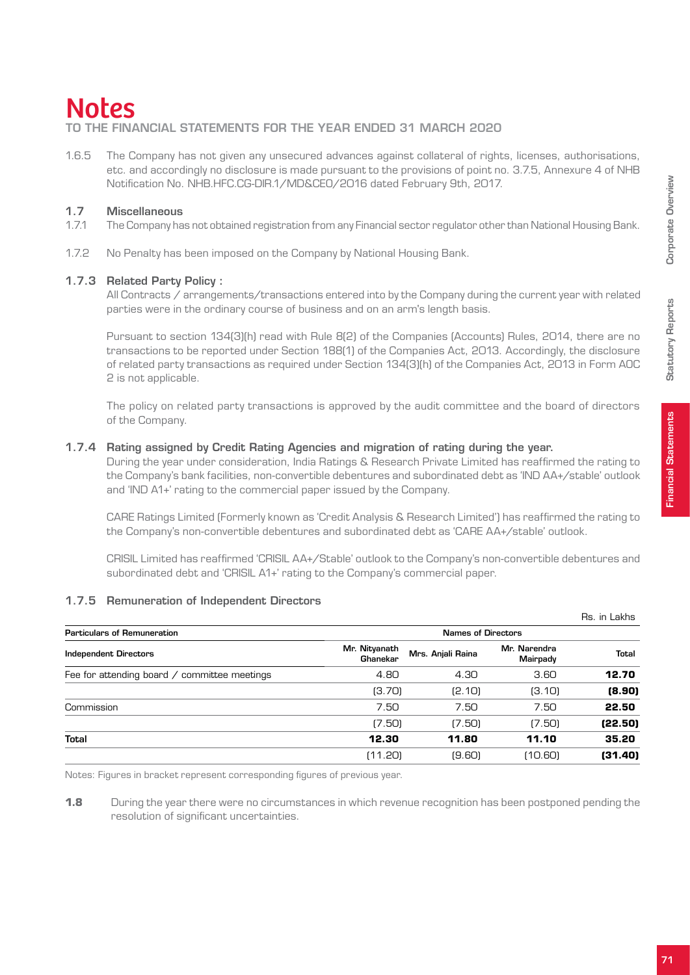Statutory Reports

**Statutory Reports** 

# **Notes**

### to the Financial Statements for the year ended 31 March 2020

1.6.5 The Company has not given any unsecured advances against collateral of rights, licenses, authorisations, etc. and accordingly no disclosure is made pursuant to the provisions of point no. 3.7.5, Annexure 4 of NHB Notification No. NHB.HFC.CG-DIR.1/MD&CEO/2016 dated February 9th, 2017.

### 1.7 Miscellaneous

- 1.7.1 The Company has not obtained registration from any Financial sector regulator other than National Housing Bank.
- 1.7.2 No Penalty has been imposed on the Company by National Housing Bank.

### 1.7.3 Related Party Policy :

All Contracts / arrangements/transactions entered into by the Company during the current year with related parties were in the ordinary course of business and on an arm's length basis.

Pursuant to section 134(3)(h) read with Rule 8(2) of the Companies (Accounts) Rules, 2014, there are no transactions to be reported under Section 188(1) of the Companies Act, 2013. Accordingly, the disclosure of related party transactions as required under Section 134(3)(h) of the Companies Act, 2013 in Form AOC 2 is not applicable.

The policy on related party transactions is approved by the audit committee and the board of directors of the Company.

### 1.7.4 Rating assigned by Credit Rating Agencies and migration of rating during the year.

During the year under consideration, India Ratings & Research Private Limited has reaffirmed the rating to the Company's bank facilities, non-convertible debentures and subordinated debt as 'IND AA+/stable' outlook and 'IND A1+' rating to the commercial paper issued by the Company.

CARE Ratings Limited (Formerly known as 'Credit Analysis & Research Limited') has reaffirmed the rating to the Company's non-convertible debentures and subordinated debt as 'CARE AA+/stable' outlook.

CRISIL Limited has reaffirmed 'CRISIL AA+/Stable' outlook to the Company's non-convertible debentures and subordinated debt and 'CRISIL A1+' rating to the Company's commercial paper.

### 1.7.5 Remuneration of Independent Directors

|                                              |                           |                           |                          | Rs. in Lakhs |
|----------------------------------------------|---------------------------|---------------------------|--------------------------|--------------|
| Particulars of Remuneration                  |                           | <b>Names of Directors</b> |                          |              |
| <b>Independent Directors</b>                 | Mr. Nityanath<br>Ghanekar | Mrs. Anjali Raina         | Mr. Narendra<br>Mairpady | <b>Total</b> |
| Fee for attending board / committee meetings | 4.80                      | 4.30                      | 3.60                     | 12.70        |
|                                              | (3.70)                    | [2.10]                    | (3.10)                   | (8.90)       |
| Commission                                   | 7.50                      | 7.50                      | 7.50                     | 22.50        |
|                                              | (7.50)                    | (7.50)                    | (7.50)                   | (22.50)      |
| Total                                        | 12.30                     | 11.80                     | 11.10                    | 35.20        |
|                                              | (11.20)                   | (9.60)                    | (10.60)                  | (31.40)      |

Notes: Figures in bracket represent corresponding figures of previous year.

**1.8** During the year there were no circumstances in which revenue recognition has been postponed pending the resolution of significant uncertainties.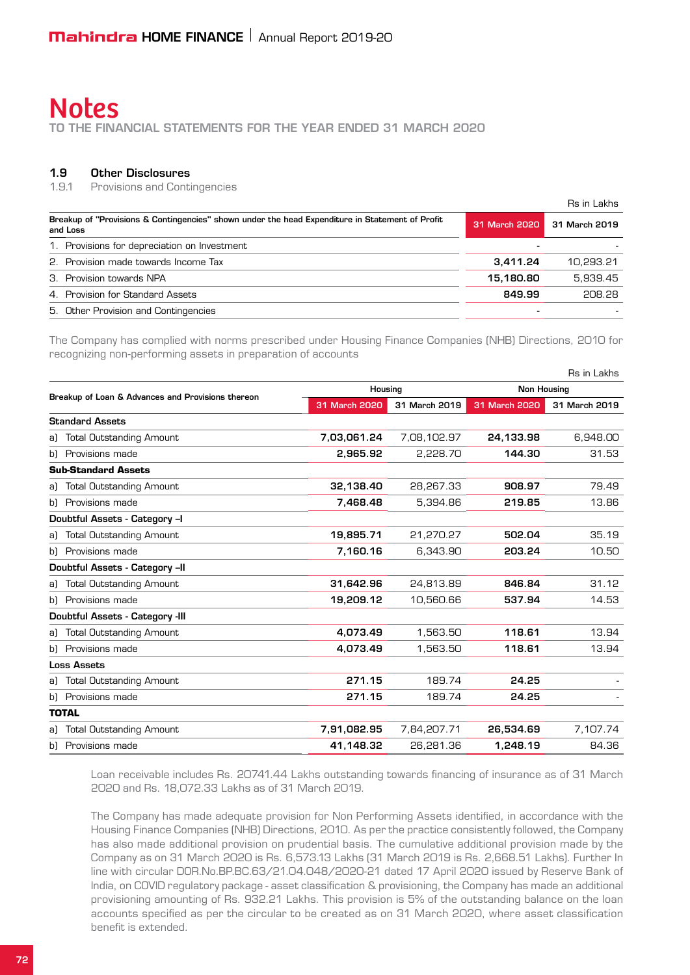to the Financial Statements for the year ended 31 March 2020

### 1.9 Other Disclosures

1.9.1 Provisions and Contingencies

|                                                                                                             |               | Rs in Lakhs   |
|-------------------------------------------------------------------------------------------------------------|---------------|---------------|
| Breakup of "Provisions & Contingencies" shown under the head Expenditure in Statement of Profit<br>and Loss | 31 March 2020 | 31 March 2019 |
| 1. Provisions for depreciation on Investment                                                                |               |               |
| 2. Provision made towards Income Tax                                                                        | 3.411.24      | 10.293.21     |
| 3. Provision towards NPA                                                                                    | 15.180.80     | 5.939.45      |
| 4. Provision for Standard Assets                                                                            | 849.99        | <b>POB PB</b> |
| 5. Other Provision and Contingencies                                                                        |               |               |

The Company has complied with norms prescribed under Housing Finance Companies (NHB) Directions, 2010 for recognizing non-performing assets in preparation of accounts

|               |               |               | Rs in Lakhs        |
|---------------|---------------|---------------|--------------------|
|               |               |               |                    |
| 31 March 2020 | 31 March 2019 | 31 March 2020 | 31 March 2019      |
|               |               |               |                    |
| 7,03,061.24   | 7,08,102.97   | 24,133.98     | 6,948.00           |
| 2,965.92      | 2,228.70      | 144.30        | 31.53              |
|               |               |               |                    |
| 32,138.40     | 28,267.33     | 908.97        | 79.49              |
| 7,468.48      | 5,394.86      | 219.85        | 13.86              |
|               |               |               |                    |
| 19,895.71     | 21.270.27     | 502.04        | 35.19              |
| 7,160.16      | 6,343.90      | 203.24        | 10.50              |
|               |               |               |                    |
| 31,642.96     | 24,813.89     | 846.84        | 31.12              |
| 19,209.12     | 10,560.66     | 537.94        | 14.53              |
|               |               |               |                    |
| 4,073.49      | 1,563.50      | 118.61        | 13.94              |
| 4,073.49      | 1,563.50      | 118.61        | 13.94              |
|               |               |               |                    |
| 271.15        | 189.74        | 24.25         |                    |
| 271.15        | 189.74        | 24.25         |                    |
|               |               |               |                    |
| 7,91,082.95   | 7,84,207.71   | 26,534.69     | 7,107.74           |
| 41,148.32     | 26,281.36     | 1,248.19      | 84.36              |
|               |               | Housing       | <b>Non Housing</b> |

Loan receivable includes Rs. 20741.44 Lakhs outstanding towards financing of insurance as of 31 March 2020 and Rs. 18,072.33 Lakhs as of 31 March 2019.

The Company has made adequate provision for Non Performing Assets identified, in accordance with the Housing Finance Companies (NHB) Directions, 2010. As per the practice consistently followed, the Company has also made additional provision on prudential basis. The cumulative additional provision made by the Company as on 31 March 2020 is Rs. 6,573.13 Lakhs (31 March 2019 is Rs. 2,668.51 Lakhs). Further In line with circular DOR.No.BP.BC.63/21.04.048/2020-21 dated 17 April 2020 issued by Reserve Bank of India, on COVID regulatory package - asset classification & provisioning, the Company has made an additional provisioning amounting of Rs. 932.21 Lakhs. This provision is 5% of the outstanding balance on the loan accounts specified as per the circular to be created as on 31 March 2020, where asset classification benefit is extended.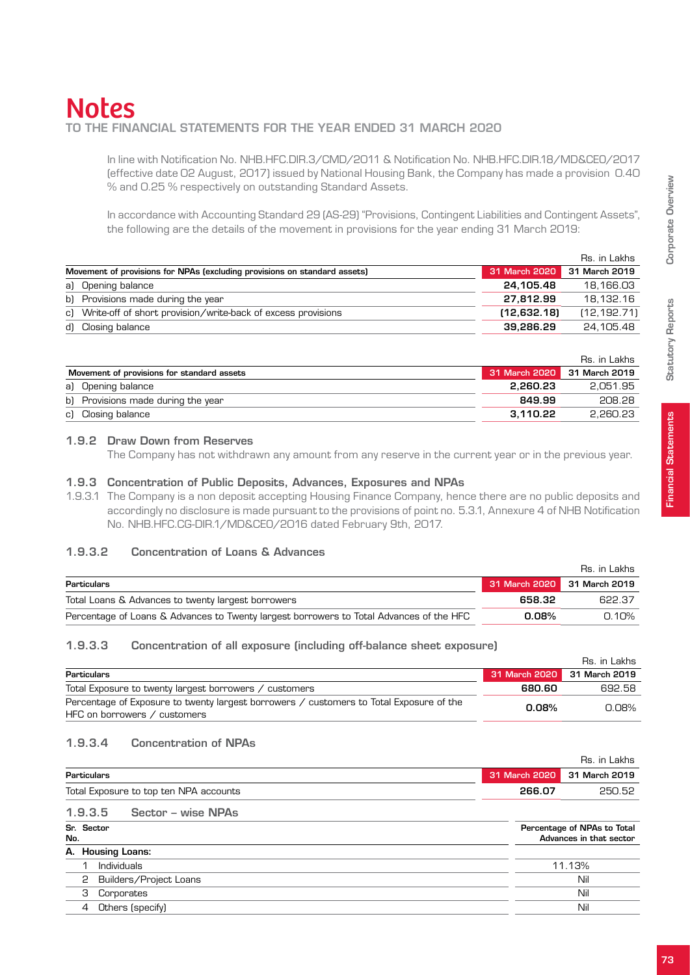## **Notes** to the Financial Statements for the year ended 31 March 2020

In line with Notification No. NHB.HFC.DIR.3/CMD/2011 & Notification No. NHB.HFC.DIR.18/MD&CEO/2017 (effective date 02 August, 2017) issued by National Housing Bank, the Company has made a provision 0.40 % and 0.25 % respectively on outstanding Standard Assets.

In accordance with Accounting Standard 29 (AS-29) "Provisions, Contingent Liabilities and Contingent Assets", the following are the details of the movement in provisions for the year ending 31 March 2019:

|                                                                           |               | Rs. in Lakhs  |
|---------------------------------------------------------------------------|---------------|---------------|
| Movement of provisions for NPAs (excluding provisions on standard assets) | 31 March 2020 | 31 March 2019 |
| a) Opening balance                                                        | 24.105.48     | 18.166.03     |
| b) Provisions made during the year                                        | 27.812.99     | 18.132.16     |
| c) Write-off of short provision/write-back of excess provisions           | (12.632.18)   | (12, 192, 71) |
| d) Closing balance                                                        | 39.286.29     | 24.105.48     |

|                                            |          | Rs. in Lakhs  |
|--------------------------------------------|----------|---------------|
| Movement of provisions for standard assets |          | 31 March 2019 |
| a) Opening balance                         | 2.260.23 | 2,051.95      |
| b) Provisions made during the year         | 849.99   | <b>208.28</b> |
| c) Closing balance                         | 3.110.22 | 2.260.23      |

#### 1.9.2 Draw Down from Reserves

The Company has not withdrawn any amount from any reserve in the current year or in the previous year.

#### 1.9.3 Concentration of Public Deposits, Advances, Exposures and NPAs

1.9.3.1 The Company is a non deposit accepting Housing Finance Company, hence there are no public deposits and accordingly no disclosure is made pursuant to the provisions of point no. 5.3.1, Annexure 4 of NHB Notification No. NHB.HFC.CG-DIR.1/MD&CEO/2016 dated February 9th, 2017.

#### 1.9.3.2 Concentration of Loans & Advances

|                                                                                         |                             | Rs. in Lakhs |  |
|-----------------------------------------------------------------------------------------|-----------------------------|--------------|--|
| Particulars                                                                             | 31 March 2020 31 March 2019 |              |  |
| Total Loans & Advances to twenty largest borrowers                                      | 658.32                      | 622.37       |  |
| Percentage of Loans & Advances to Twenty largest borrowers to Total Advances of the HFC | 0.08%                       | 0.10%        |  |

#### 1.9.3.3 Concentration of all exposure (including off-balance sheet exposure)

|                                                                                                                         |                             | Rs. in Lakhs |
|-------------------------------------------------------------------------------------------------------------------------|-----------------------------|--------------|
| <b>Particulars</b>                                                                                                      | 31 March 2020 31 March 2019 |              |
| Total Exposure to twenty largest borrowers / customers                                                                  | 680.60                      | 692.58       |
| Percentage of Exposure to twenty largest borrowers / customers to Total Exposure of the<br>HFC on borrowers / customers | 0.08%                       | 0.08%        |

#### 1.9.3.4 Concentration of NPAs

|                                        |               | Rs. in Lakhs                                           |
|----------------------------------------|---------------|--------------------------------------------------------|
| <b>Particulars</b>                     | 31 March 2020 | 31 March 2019                                          |
| Total Exposure to top ten NPA accounts | 266.07        | 250.52                                                 |
| 1.9.3.5<br>Sector - wise NPAs          |               |                                                        |
| Sr. Sector<br>No.                      |               | Percentage of NPAs to Total<br>Advances in that sector |
| A. Housing Loans:                      |               |                                                        |
| Individuals                            |               | 11.13%                                                 |
| Builders/Project Loans<br>2            |               | Nil                                                    |
| З<br>Corporates                        |               | Nil                                                    |
| Others (specify)<br>4                  |               | Nil                                                    |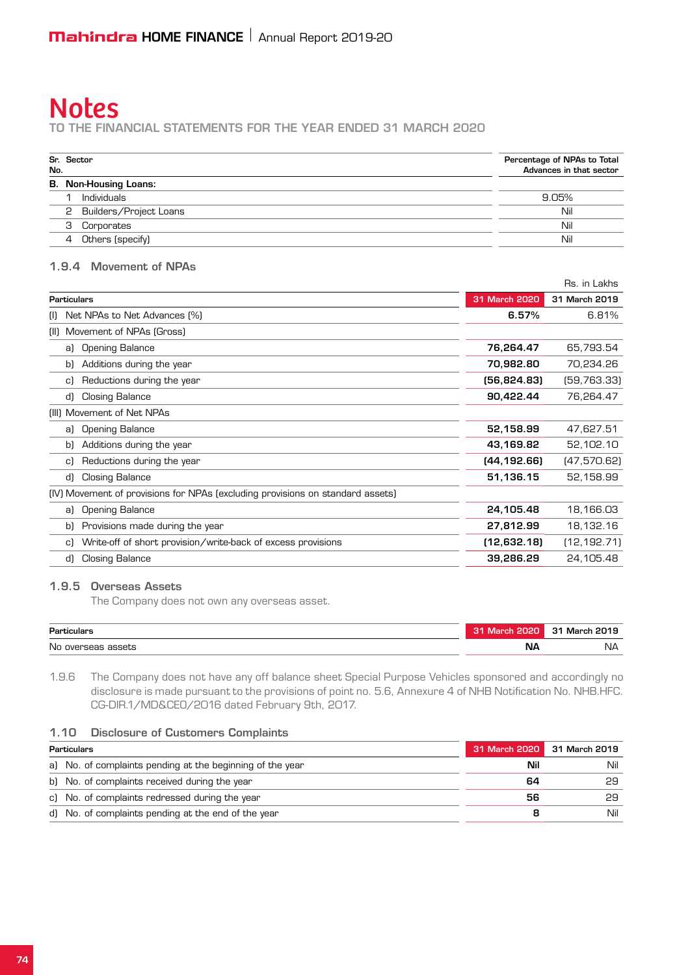# **Notes**

to the Financial Statements for the year ended 31 March 2020

| Sr. Sector<br>No. |                              | Percentage of NPAs to Total<br>Advances in that sector |
|-------------------|------------------------------|--------------------------------------------------------|
|                   |                              |                                                        |
|                   | <b>B.</b> Non-Housing Loans: |                                                        |
|                   | Individuals                  | $9.05\%$                                               |
|                   | 2 Builders/Project Loans     | Nil                                                    |
|                   | 3 Corporates                 | Nil                                                    |
| 4                 | Others (specify)             | Nil                                                    |
|                   |                              |                                                        |

#### 1.9.4 Movement of NPAs

|                                                                                |               | Rs. in Lakhs  |
|--------------------------------------------------------------------------------|---------------|---------------|
| <b>Particulars</b>                                                             | 31 March 2020 | 31 March 2019 |
| Net NPAs to Net Advances (%)<br>W                                              | 6.57%         | 6.81%         |
| Movement of NPAs (Gross)<br>(III)                                              |               |               |
| <b>Opening Balance</b><br>al                                                   | 76,264.47     | 65,793.54     |
| Additions during the year<br>bì                                                | 70,982.80     | 70,234.26     |
| Reductions during the year<br>c)                                               | (56, 824.83)  | [59,763.33]   |
| Closing Balance<br>d)                                                          | 90,422.44     | 76,264.47     |
| (III) Movement of Net NPAs                                                     |               |               |
| <b>Opening Balance</b><br>al                                                   | 52,158.99     | 47,627.51     |
| Additions during the year<br>b)                                                | 43,169.82     | 52,102.10     |
| Reductions during the year<br>C)                                               | (44, 192.66)  | (47, 570.62)  |
| Closing Balance<br>d)                                                          | 51,136.15     | 52,158.99     |
| (IV) Movement of provisions for NPAs (excluding provisions on standard assets) |               |               |
| <b>Opening Balance</b><br>a)                                                   | 24,105.48     | 18,166.03     |
| Provisions made during the year<br>bì                                          | 27,812.99     | 18,132.16     |
| Write-off of short provision/write-back of excess provisions<br>C)             | (12,632.18)   | (12, 192.71)  |
| <b>Closing Balance</b><br>d)                                                   | 39,286.29     | 24,105.48     |

#### 1.9.5 Overseas Assets

The Company does not own any overseas asset.

| Particulars           | 04        | 31 March 2019 |
|-----------------------|-----------|---------------|
| No overseas<br>assets | <b>NA</b> | NА            |

1.9.6 The Company does not have any off balance sheet Special Purpose Vehicles sponsored and accordingly no disclosure is made pursuant to the provisions of point no. 5.6, Annexure 4 of NHB Notification No. NHB.HFC. CG-DIR.1/MD&CEO/2016 dated February 9th, 2017.

#### 1.10 Disclosure of Customers Complaints

| Particulars                                               | 31 March 2020 31 March 2019 |     |
|-----------------------------------------------------------|-----------------------------|-----|
| a) No. of complaints pending at the beginning of the year | Nil                         | Nil |
| b) No. of complaints received during the year             | 64                          | 29  |
| c) No. of complaints redressed during the year            | 56                          | 29  |
| d) No. of complaints pending at the end of the year       |                             | Nil |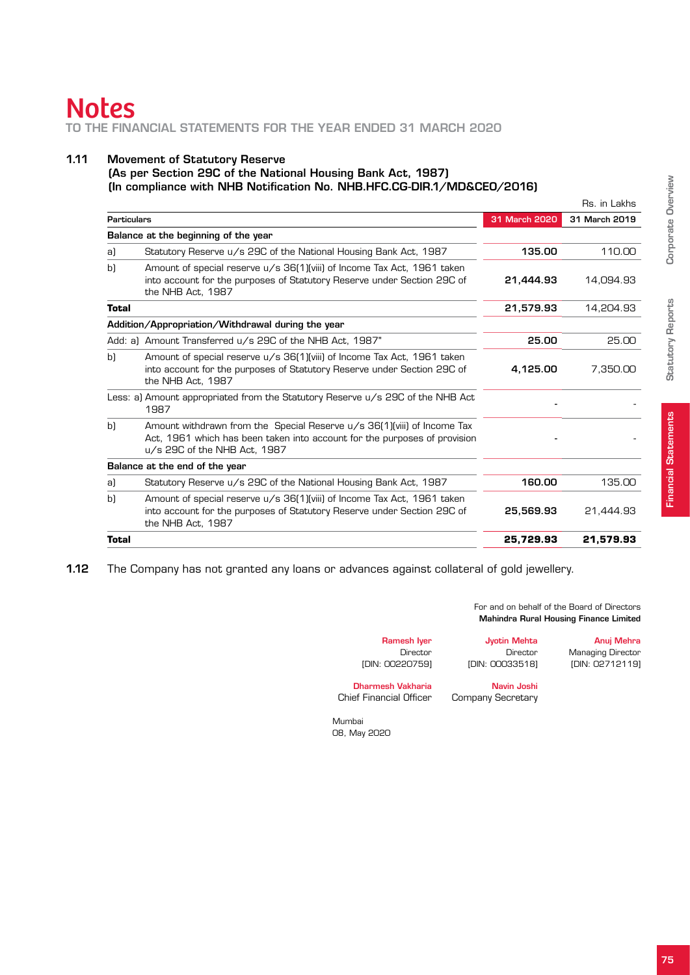### **Notes** to the Financial Statements for the year ended 31 March 2020

#### 1.11 Movement of Statutory Reserve

#### (As per Section 29C of the National Housing Bank Act, 1987) (In compliance with NHB Notification No. NHB.HFC.CG-DIR.1/MD&CEO/2016)

|                    |                                                                                                                                                                                       |               | Rs. in Lakhs  |
|--------------------|---------------------------------------------------------------------------------------------------------------------------------------------------------------------------------------|---------------|---------------|
| <b>Particulars</b> |                                                                                                                                                                                       | 31 March 2020 | 31 March 2019 |
|                    | Balance at the beginning of the year                                                                                                                                                  |               |               |
| a)                 | Statutory Reserve u/s 29C of the National Housing Bank Act, 1987                                                                                                                      | 135.00        | 110.00        |
| b)                 | Amount of special reserve u/s 36(1)(viii) of Income Tax Act, 1961 taken<br>into account for the purposes of Statutory Reserve under Section 29C of<br>the NHB Act, 1987               | 21,444.93     | 14,094.93     |
| Total              |                                                                                                                                                                                       | 21,579.93     | 14,204.93     |
|                    | Addition/Appropriation/Withdrawal during the year                                                                                                                                     |               |               |
|                    | Add: a) Amount Transferred u/s 29C of the NHB Act, 1987"                                                                                                                              | 25.00         | 25.00         |
| b)                 | Amount of special reserve u/s 36(1)(viii) of Income Tax Act, 1961 taken<br>into account for the purposes of Statutory Reserve under Section 29C of<br>the NHB Act, 1987               | 4,125.00      | 7.350.00      |
|                    | Less: a) Amount appropriated from the Statutory Reserve $u/s$ 29C of the NHB Act<br>1987                                                                                              |               |               |
| b)                 | Amount withdrawn from the Special Reserve u/s 36(1) [viii] of Income Tax<br>Act, 1961 which has been taken into account for the purposes of provision<br>u/s 29C of the NHB Act, 1987 |               |               |
|                    | Balance at the end of the year                                                                                                                                                        |               |               |
| a)                 | Statutory Reserve u/s 29C of the National Housing Bank Act, 1987                                                                                                                      | 160.00        | 135.00        |
| b)                 | Amount of special reserve u/s 36(1)(viii) of Income Tax Act, 1961 taken<br>into account for the purposes of Statutory Reserve under Section 29C of<br>the NHB Act, 1987               | 25,569.93     | 21,444.93     |
| <b>Total</b>       |                                                                                                                                                                                       | 25,729.93     | 21,579.93     |

1.12 The Company has not granted any loans or advances against collateral of gold jewellery.

For and on behalf of the Board of Directors Mahindra Rural Housing Finance Limited

| Ramesh Iver     | Jyotin Mehta    | Anuj Mehra             |
|-----------------|-----------------|------------------------|
| Director        | Director        | Managing Director      |
| IDIN: 002207591 | IDIN: 000335181 | <b>IDIN: 027121191</b> |

Dharmesh Vakharia Navin Joshi Chief Financial Officer Company Secretary

Mumbai 08, May 2020